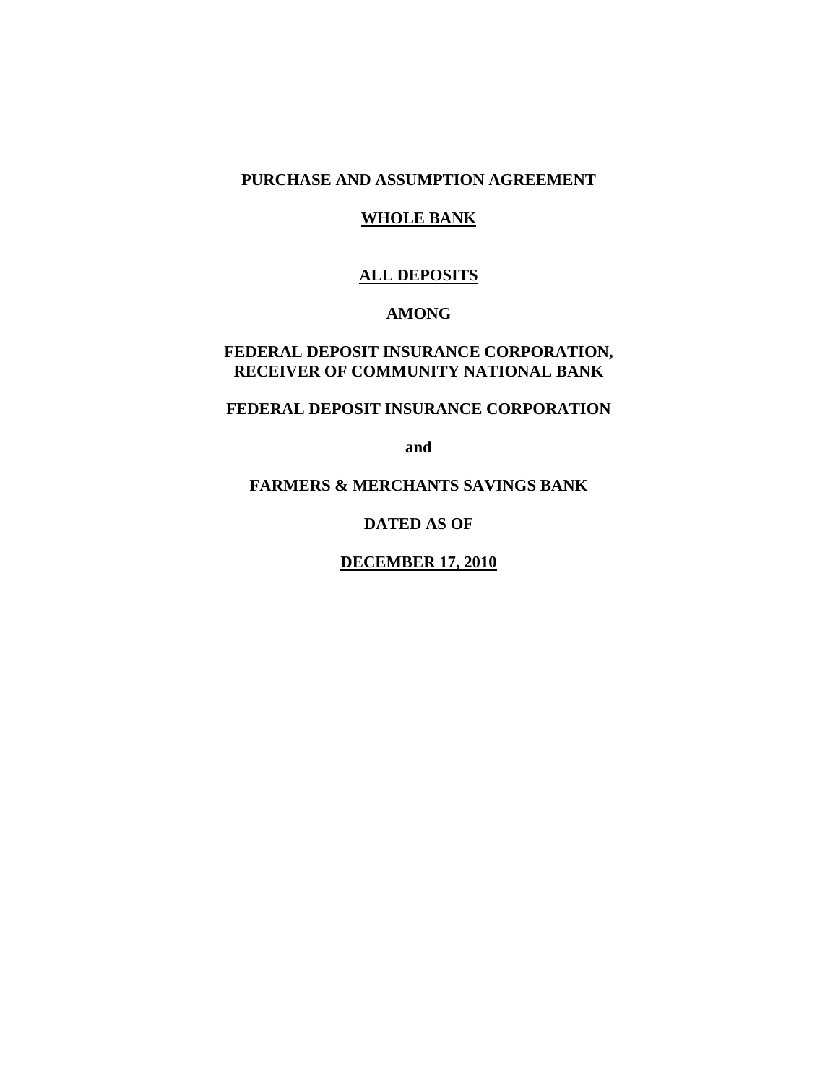#### **PURCHASE AND ASSUMPTION AGREEMENT**

#### <span id="page-0-0"></span> **WHOLE BANK**

#### **ALL DEPOSITS**

#### **AMONG**

#### **FEDERAL DEPOSIT INSURANCE CORPORATION, RECEIVER OF COMMUNITY NATIONAL BANK**

#### **FEDERAL DEPOSIT INSURANCE CORPORATION**

**and** 

#### **FARMERS & MERCHANTS SAVINGS BANK**

## **DATED AS OF**

#### **DECEMBER 17, 2010**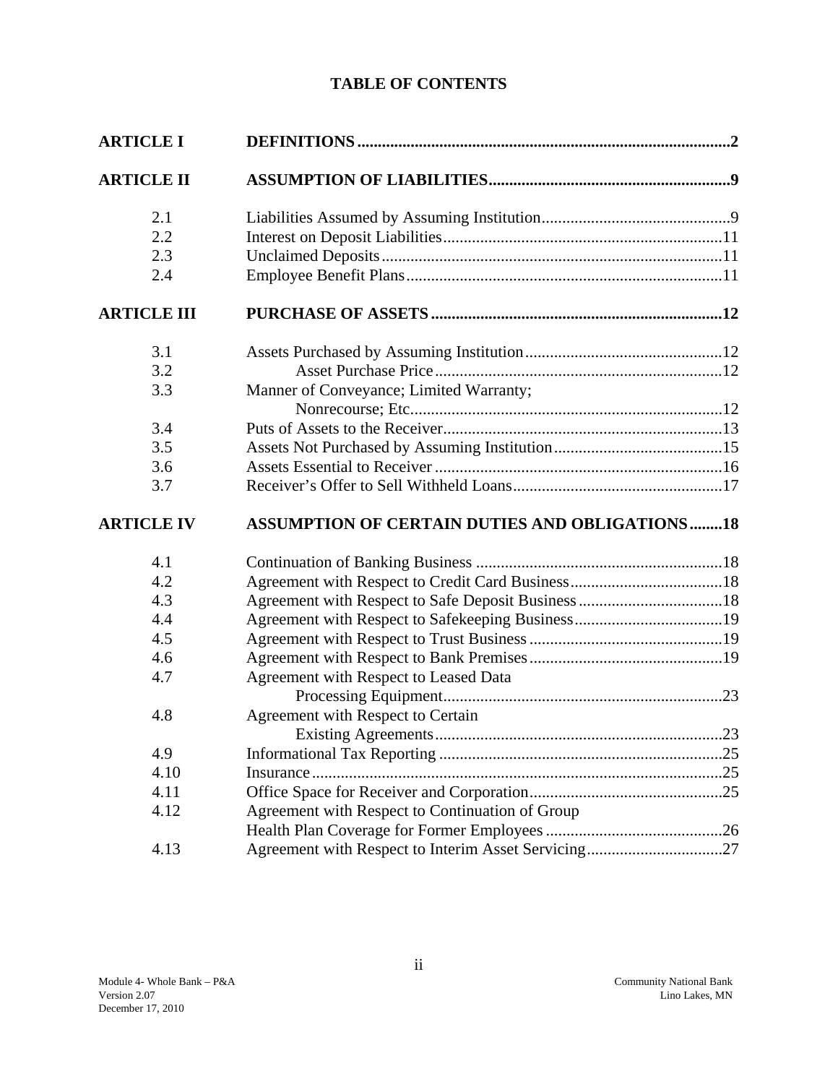# **TABLE OF CONTENTS**

| <b>ARTICLE I</b>   |                                                       |  |
|--------------------|-------------------------------------------------------|--|
| <b>ARTICLE II</b>  |                                                       |  |
| 2.1                |                                                       |  |
| 2.2                |                                                       |  |
| 2.3                |                                                       |  |
| 2.4                |                                                       |  |
| <b>ARTICLE III</b> |                                                       |  |
| 3.1                |                                                       |  |
| 3.2                |                                                       |  |
| 3.3                | Manner of Conveyance; Limited Warranty;               |  |
| 3.4                |                                                       |  |
| 3.5                |                                                       |  |
| 3.6                |                                                       |  |
| 3.7                |                                                       |  |
| <b>ARTICLE IV</b>  | <b>ASSUMPTION OF CERTAIN DUTIES AND OBLIGATIONS18</b> |  |
| 4.1                |                                                       |  |
| 4.2                |                                                       |  |
| 4.3                |                                                       |  |
| 4.4                |                                                       |  |
| 4.5                |                                                       |  |
| 4.6                |                                                       |  |
| 4.7                | Agreement with Respect to Leased Data                 |  |
| 4.8                | Agreement with Respect to Certain                     |  |
|                    |                                                       |  |
| 4.9                |                                                       |  |
| 4.10               | Insurance                                             |  |
| 4.11               |                                                       |  |
| 4.12               | Agreement with Respect to Continuation of Group       |  |
|                    |                                                       |  |
| 4.13               |                                                       |  |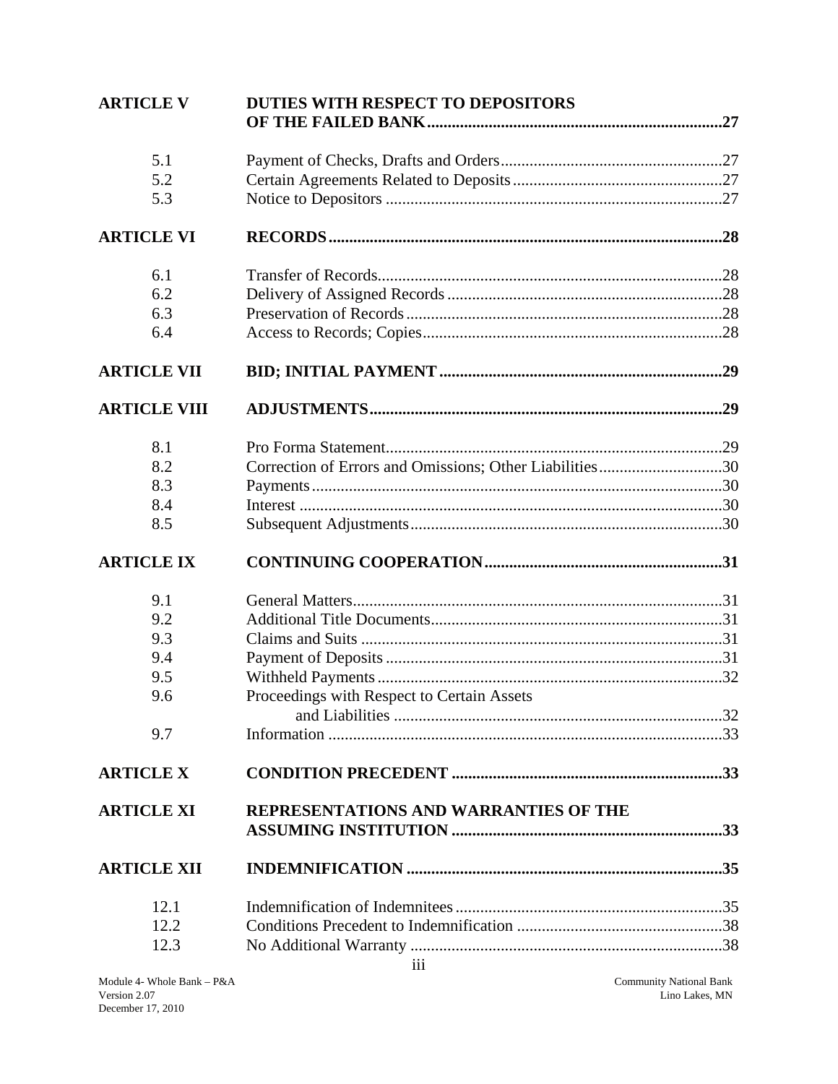| <b>ARTICLE V</b>    | <b>DUTIES WITH RESPECT TO DEPOSITORS</b>                |  |
|---------------------|---------------------------------------------------------|--|
| 5.1                 |                                                         |  |
| 5.2                 |                                                         |  |
| 5.3                 |                                                         |  |
|                     |                                                         |  |
| <b>ARTICLE VI</b>   |                                                         |  |
| 6.1                 |                                                         |  |
| 6.2                 |                                                         |  |
| 6.3                 |                                                         |  |
| 6.4                 |                                                         |  |
| <b>ARTICLE VII</b>  |                                                         |  |
| <b>ARTICLE VIII</b> |                                                         |  |
| 8.1                 |                                                         |  |
| 8.2                 | Correction of Errors and Omissions; Other Liabilities30 |  |
| 8.3                 |                                                         |  |
| 8.4                 |                                                         |  |
| 8.5                 |                                                         |  |
| <b>ARTICLE IX</b>   |                                                         |  |
| 9.1                 |                                                         |  |
| 9.2                 |                                                         |  |
| 9.3                 |                                                         |  |
| 9.4                 |                                                         |  |
| 9.5                 |                                                         |  |
| 9.6                 | Proceedings with Respect to Certain Assets              |  |
|                     |                                                         |  |
| 9.7                 |                                                         |  |
| <b>ARTICLE X</b>    |                                                         |  |
| <b>ARTICLE XI</b>   | REPRESENTATIONS AND WARRANTIES OF THE                   |  |
| <b>ARTICLE XII</b>  |                                                         |  |
| 12.1                |                                                         |  |
| 12.2                |                                                         |  |
| 12.3                |                                                         |  |
|                     | iii                                                     |  |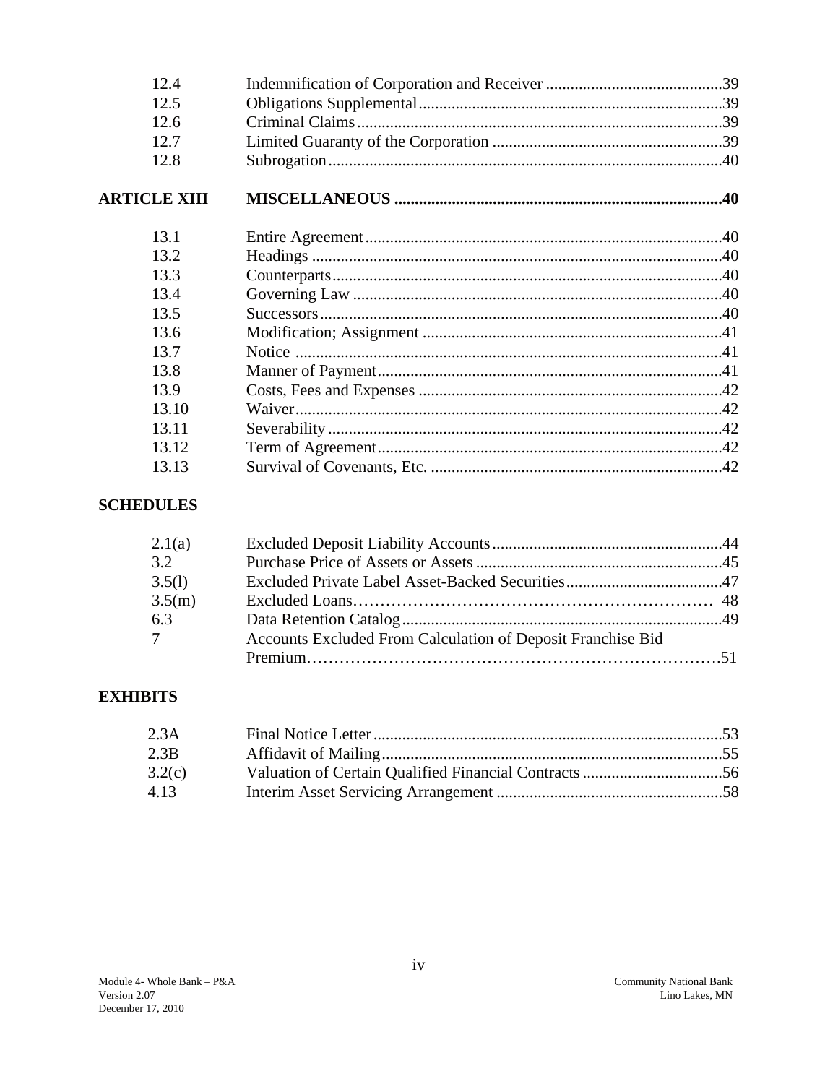| 12.4                |  |
|---------------------|--|
| 12.5                |  |
| 12.6                |  |
| 12.7                |  |
| 12.8                |  |
| <b>ARTICLE XIII</b> |  |
| 13.1                |  |
| 13.2                |  |
| 13.3                |  |
| 13.4                |  |
| 13.5                |  |
| 13.6                |  |
| 13.7                |  |
| 13.8                |  |
| 13.9                |  |
| 13.10               |  |
| 13.11               |  |
| 13.12               |  |
| 13.13               |  |

## **SCHEDULES**

| 2.1(a)          |                                                             |  |
|-----------------|-------------------------------------------------------------|--|
| 3.2             |                                                             |  |
| 3.5(l)          |                                                             |  |
| 3.5(m)          |                                                             |  |
| 6.3             |                                                             |  |
| $7\overline{ }$ | Accounts Excluded From Calculation of Deposit Franchise Bid |  |
|                 |                                                             |  |

# **EXHIBITS**

| 2.3A   |  |
|--------|--|
| 2.3B   |  |
| 3.2(c) |  |
| 4.13   |  |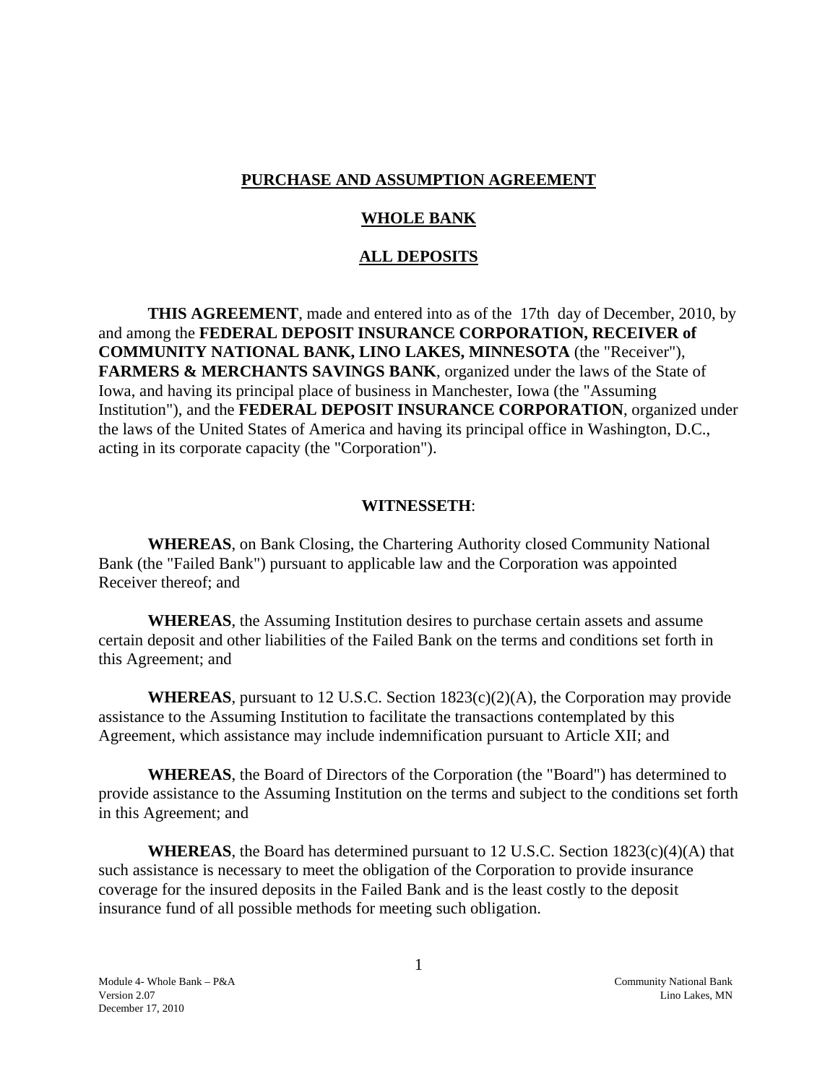#### **PURCHASE AND ASSUMPTION AGREEMENT**

#### **WHOLE BANK**

#### **ALL DEPOSITS**

 **THIS AGREEMENT**, made and entered into as of the 17th day of December, 2010, by and among the **FEDERAL DEPOSIT INSURANCE CORPORATION, RECEIVER of COMMUNITY NATIONAL BANK, LINO LAKES, MINNESOTA** (the "Receiver"), **FARMERS & MERCHANTS SAVINGS BANK**, organized under the laws of the State of Iowa, and having its principal place of business in Manchester, Iowa (the "Assuming Institution"), and the **FEDERAL DEPOSIT INSURANCE CORPORATION**, organized under the laws of the United States of America and having its principal office in Washington, D.C., acting in its corporate capacity (the "Corporation").

#### **WITNESSETH**:

**WHEREAS**, on Bank Closing, the Chartering Authority closed Community National Bank (the "Failed Bank") pursuant to applicable law and the Corporation was appointed Receiver thereof; and

**WHEREAS**, the Assuming Institution desires to purchase certain assets and assume certain deposit and other liabilities of the Failed Bank on the terms and conditions set forth in this Agreement; and

**WHEREAS**, pursuant to 12 U.S.C. Section 1823(c)(2)(A), the Corporation may provide assistance to the Assuming Institution to facilitate the transactions contemplated by this Agreement, which assistance may include indemnification pursuant to Article XII; and

**WHEREAS**, the Board of Directors of the Corporation (the "Board") has determined to provide assistance to the Assuming Institution on the terms and subject to the conditions set forth in this Agreement; and

**WHEREAS**, the Board has determined pursuant to 12 U.S.C. Section 1823(c)(4)(A) that such assistance is necessary to meet the obligation of the Corporation to provide insurance coverage for the insured deposits in the Failed Bank and is the least costly to the deposit insurance fund of all possible methods for meeting such obligation.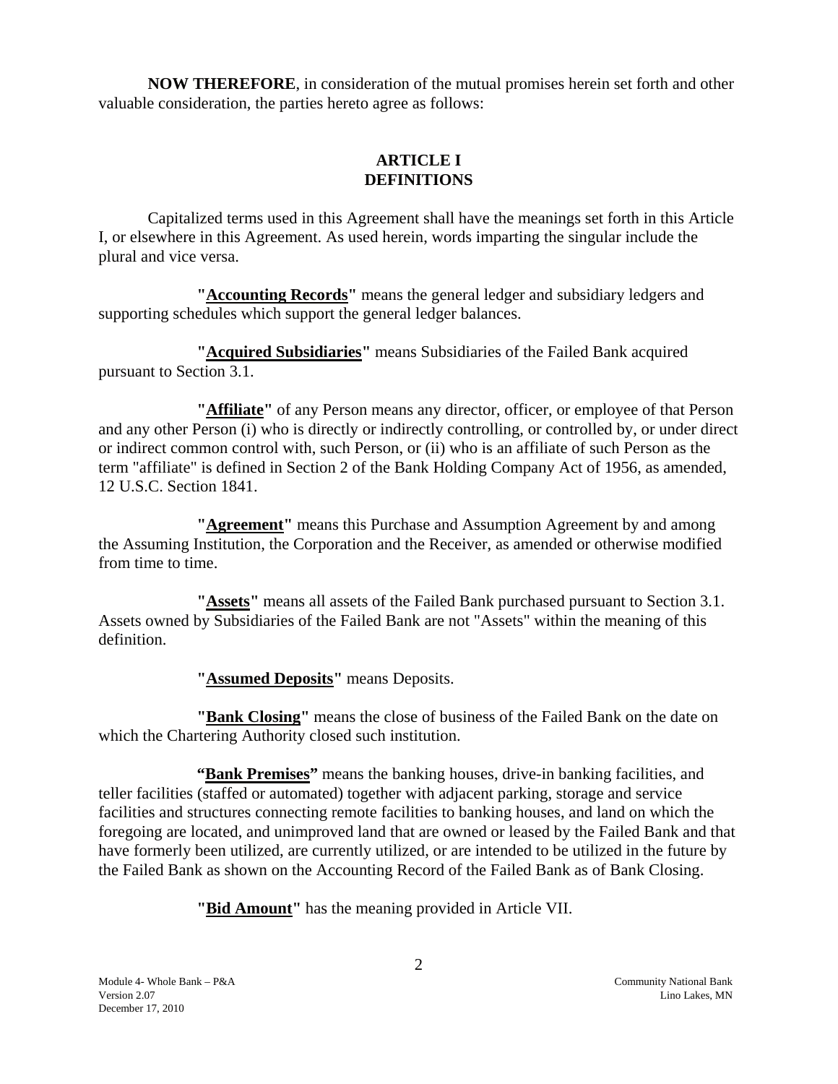<span id="page-5-0"></span> **NOW THEREFORE**, in consideration of the mutual promises herein set forth and other valuable consideration, the parties hereto agree as follows:

## **ARTICLE I DEFINITIONS**

Capitalized terms used in this Agreement shall have the meanings set forth in this Article I, or elsewhere in this Agreement. As used herein, words imparting the singular include the plural and vice versa.

**"Accounting Records"** means the general ledger and subsidiary ledgers and supporting schedules which support the general ledger balances.

**"Acquired Subsidiaries"** means Subsidiaries of the Failed Bank acquired pursuant to Section 3.1.

**"Affiliate"** of any Person means any director, officer, or employee of that Person and any other Person (i) who is directly or indirectly controlling, or controlled by, or under direct or indirect common control with, such Person, or (ii) who is an affiliate of such Person as the term "affiliate" is defined in Section 2 of the Bank Holding Company Act of 1956, as amended, 12 U.S.C. Section 1841.

**"Agreement"** means this Purchase and Assumption Agreement by and among the Assuming Institution, the Corporation and the Receiver, as amended or otherwise modified from time to time.

**"Assets"** means all assets of the Failed Bank purchased pursuant to Section 3.1. Assets owned by Subsidiaries of the Failed Bank are not "Assets" within the meaning of this definition.

**"Assumed Deposits"** means Deposits.

**"Bank Closing"** means the close of business of the Failed Bank on the date on which the Chartering Authority closed such institution.

**"Bank Premises"** means the banking houses, drive-in banking facilities, and teller facilities (staffed or automated) together with adjacent parking, storage and service facilities and structures connecting remote facilities to banking houses, and land on which the foregoing are located, and unimproved land that are owned or leased by the Failed Bank and that have formerly been utilized, are currently utilized, or are intended to be utilized in the future by the Failed Bank as shown on the Accounting Record of the Failed Bank as of Bank Closing.

**"Bid Amount"** has the meaning provided in Article VII.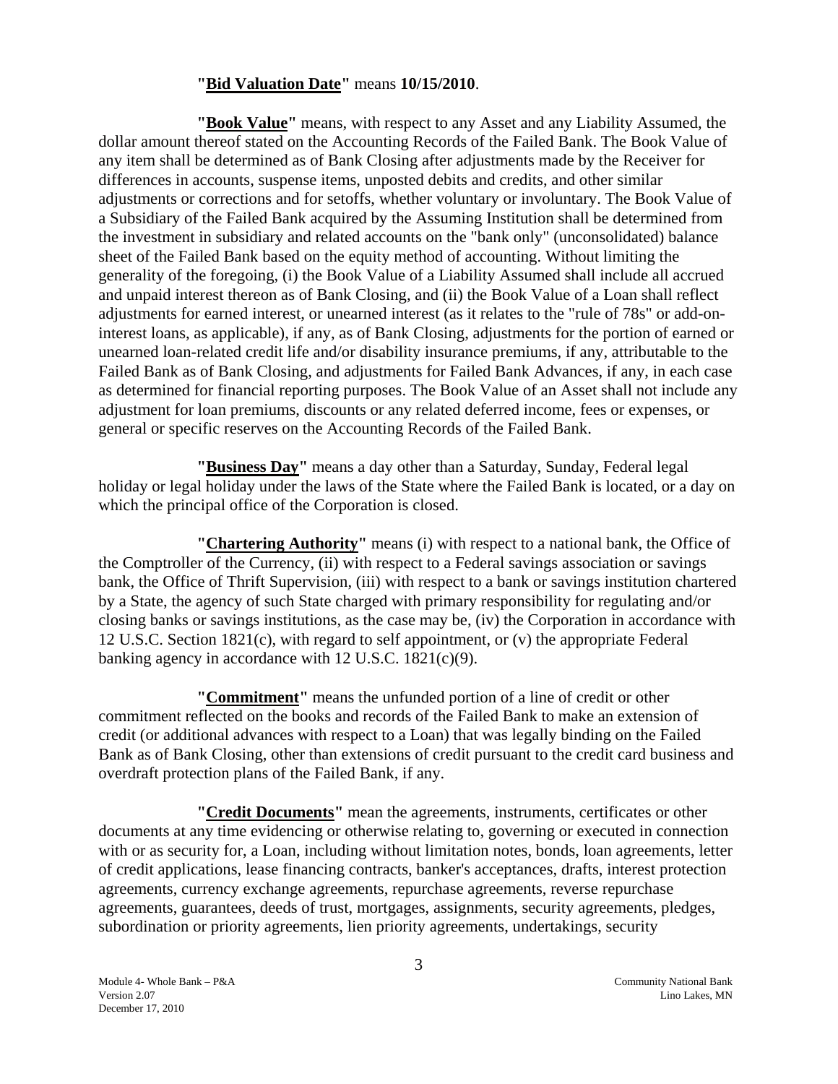#### **"Bid Valuation Date"** means **10/15/2010**.

**"Book Value"** means, with respect to any Asset and any Liability Assumed, the dollar amount thereof stated on the Accounting Records of the Failed Bank. The Book Value of any item shall be determined as of Bank Closing after adjustments made by the Receiver for differences in accounts, suspense items, unposted debits and credits, and other similar adjustments or corrections and for setoffs, whether voluntary or involuntary. The Book Value of a Subsidiary of the Failed Bank acquired by the Assuming Institution shall be determined from the investment in subsidiary and related accounts on the "bank only" (unconsolidated) balance sheet of the Failed Bank based on the equity method of accounting. Without limiting the generality of the foregoing, (i) the Book Value of a Liability Assumed shall include all accrued and unpaid interest thereon as of Bank Closing, and (ii) the Book Value of a Loan shall reflect adjustments for earned interest, or unearned interest (as it relates to the "rule of 78s" or add-oninterest loans, as applicable), if any, as of Bank Closing, adjustments for the portion of earned or unearned loan-related credit life and/or disability insurance premiums, if any, attributable to the Failed Bank as of Bank Closing, and adjustments for Failed Bank Advances, if any, in each case as determined for financial reporting purposes. The Book Value of an Asset shall not include any adjustment for loan premiums, discounts or any related deferred income, fees or expenses, or general or specific reserves on the Accounting Records of the Failed Bank.

**"Business Day"** means a day other than a Saturday, Sunday, Federal legal holiday or legal holiday under the laws of the State where the Failed Bank is located, or a day on which the principal office of the Corporation is closed.

**"Chartering Authority"** means (i) with respect to a national bank, the Office of the Comptroller of the Currency, (ii) with respect to a Federal savings association or savings bank, the Office of Thrift Supervision, (iii) with respect to a bank or savings institution chartered by a State, the agency of such State charged with primary responsibility for regulating and/or closing banks or savings institutions, as the case may be, (iv) the Corporation in accordance with 12 U.S.C. Section 1821(c), with regard to self appointment, or (v) the appropriate Federal banking agency in accordance with 12 U.S.C. 1821(c)(9).

**"Commitment"** means the unfunded portion of a line of credit or other commitment reflected on the books and records of the Failed Bank to make an extension of credit (or additional advances with respect to a Loan) that was legally binding on the Failed Bank as of Bank Closing, other than extensions of credit pursuant to the credit card business and overdraft protection plans of the Failed Bank, if any.

**"Credit Documents"** mean the agreements, instruments, certificates or other documents at any time evidencing or otherwise relating to, governing or executed in connection with or as security for, a Loan, including without limitation notes, bonds, loan agreements, letter of credit applications, lease financing contracts, banker's acceptances, drafts, interest protection agreements, currency exchange agreements, repurchase agreements, reverse repurchase agreements, guarantees, deeds of trust, mortgages, assignments, security agreements, pledges, subordination or priority agreements, lien priority agreements, undertakings, security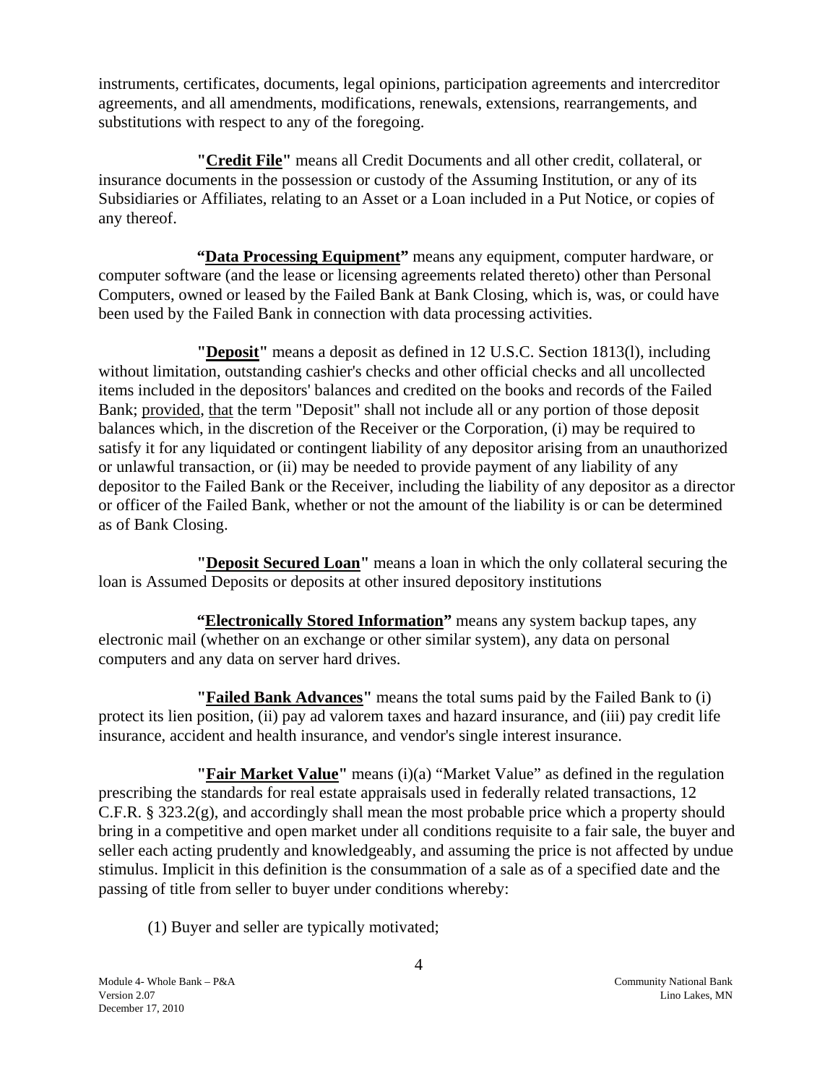instruments, certificates, documents, legal opinions, participation agreements and intercreditor agreements, and all amendments, modifications, renewals, extensions, rearrangements, and substitutions with respect to any of the foregoing.

**"Credit File"** means all Credit Documents and all other credit, collateral, or insurance documents in the possession or custody of the Assuming Institution, or any of its Subsidiaries or Affiliates, relating to an Asset or a Loan included in a Put Notice, or copies of any thereof.

**"Data Processing Equipment"** means any equipment, computer hardware, or computer software (and the lease or licensing agreements related thereto) other than Personal Computers, owned or leased by the Failed Bank at Bank Closing, which is, was, or could have been used by the Failed Bank in connection with data processing activities.

**"Deposit"** means a deposit as defined in 12 U.S.C. Section 1813(l), including without limitation, outstanding cashier's checks and other official checks and all uncollected items included in the depositors' balances and credited on the books and records of the Failed Bank; provided, that the term "Deposit" shall not include all or any portion of those deposit balances which, in the discretion of the Receiver or the Corporation, (i) may be required to satisfy it for any liquidated or contingent liability of any depositor arising from an unauthorized or unlawful transaction, or (ii) may be needed to provide payment of any liability of any depositor to the Failed Bank or the Receiver, including the liability of any depositor as a director or officer of the Failed Bank, whether or not the amount of the liability is or can be determined as of Bank Closing.

**"Deposit Secured Loan"** means a loan in which the only collateral securing the loan is Assumed Deposits or deposits at other insured depository institutions

**"Electronically Stored Information"** means any system backup tapes, any electronic mail (whether on an exchange or other similar system), any data on personal computers and any data on server hard drives.

**"Failed Bank Advances"** means the total sums paid by the Failed Bank to (i) protect its lien position, (ii) pay ad valorem taxes and hazard insurance, and (iii) pay credit life insurance, accident and health insurance, and vendor's single interest insurance.

**"Fair Market Value"** means (i)(a) "Market Value" as defined in the regulation prescribing the standards for real estate appraisals used in federally related transactions, 12 C.F.R. § 323.2(g), and accordingly shall mean the most probable price which a property should bring in a competitive and open market under all conditions requisite to a fair sale, the buyer and seller each acting prudently and knowledgeably, and assuming the price is not affected by undue stimulus. Implicit in this definition is the consummation of a sale as of a specified date and the passing of title from seller to buyer under conditions whereby:

(1) Buyer and seller are typically motivated;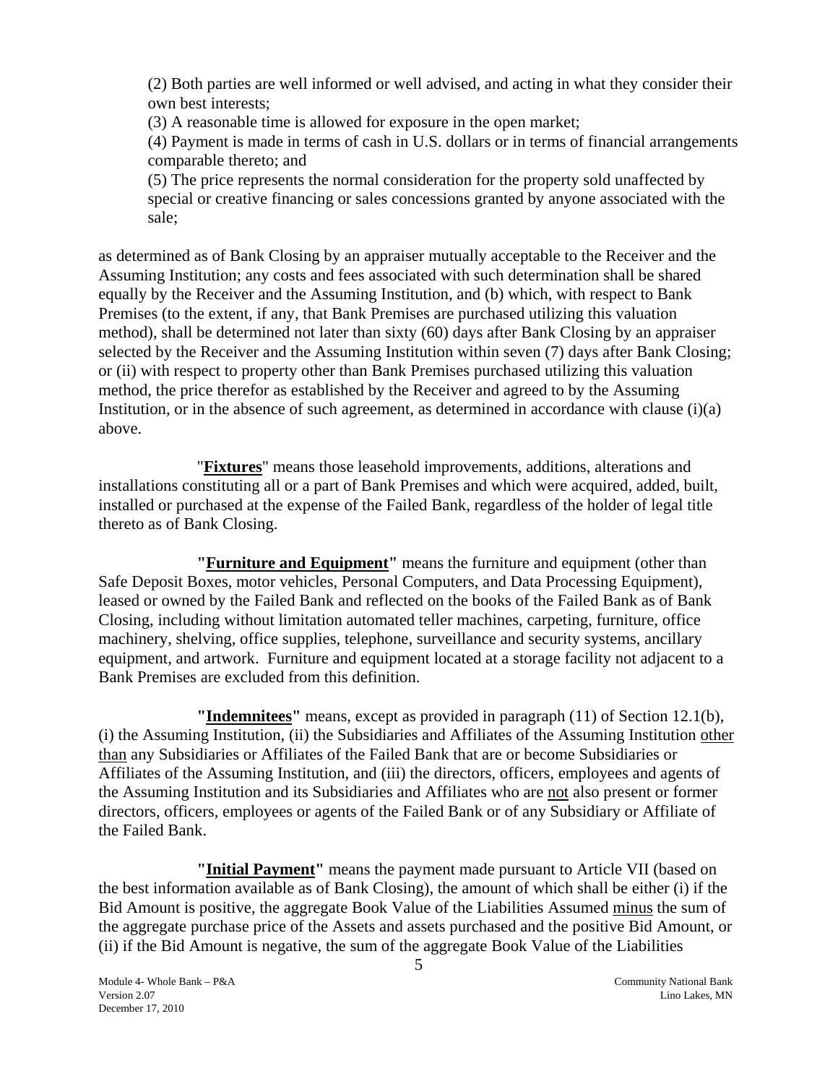(2) Both parties are well informed or well advised, and acting in what they consider their own best interests;

(3) A reasonable time is allowed for exposure in the open market;

(4) Payment is made in terms of cash in U.S. dollars or in terms of financial arrangements comparable thereto; and

(5) The price represents the normal consideration for the property sold unaffected by special or creative financing or sales concessions granted by anyone associated with the sale;

as determined as of Bank Closing by an appraiser mutually acceptable to the Receiver and the Assuming Institution; any costs and fees associated with such determination shall be shared equally by the Receiver and the Assuming Institution, and (b) which, with respect to Bank Premises (to the extent, if any, that Bank Premises are purchased utilizing this valuation method), shall be determined not later than sixty (60) days after Bank Closing by an appraiser selected by the Receiver and the Assuming Institution within seven (7) days after Bank Closing; or (ii) with respect to property other than Bank Premises purchased utilizing this valuation method, the price therefor as established by the Receiver and agreed to by the Assuming Institution, or in the absence of such agreement, as determined in accordance with clause  $(i)(a)$ above.

"**Fixtures**" means those leasehold improvements, additions, alterations and installations constituting all or a part of Bank Premises and which were acquired, added, built, installed or purchased at the expense of the Failed Bank, regardless of the holder of legal title thereto as of Bank Closing.

**"Furniture and Equipment"** means the furniture and equipment (other than Safe Deposit Boxes, motor vehicles, Personal Computers, and Data Processing Equipment), leased or owned by the Failed Bank and reflected on the books of the Failed Bank as of Bank Closing, including without limitation automated teller machines, carpeting, furniture, office machinery, shelving, office supplies, telephone, surveillance and security systems, ancillary equipment, and artwork. Furniture and equipment located at a storage facility not adjacent to a Bank Premises are excluded from this definition.

**"Indemnitees"** means, except as provided in paragraph (11) of Section 12.1(b), (i) the Assuming Institution, (ii) the Subsidiaries and Affiliates of the Assuming Institution other than any Subsidiaries or Affiliates of the Failed Bank that are or become Subsidiaries or Affiliates of the Assuming Institution, and (iii) the directors, officers, employees and agents of the Assuming Institution and its Subsidiaries and Affiliates who are not also present or former directors, officers, employees or agents of the Failed Bank or of any Subsidiary or Affiliate of the Failed Bank.

**"Initial Payment"** means the payment made pursuant to Article VII (based on the best information available as of Bank Closing), the amount of which shall be either (i) if the Bid Amount is positive, the aggregate Book Value of the Liabilities Assumed minus the sum of the aggregate purchase price of the Assets and assets purchased and the positive Bid Amount, or (ii) if the Bid Amount is negative, the sum of the aggregate Book Value of the Liabilities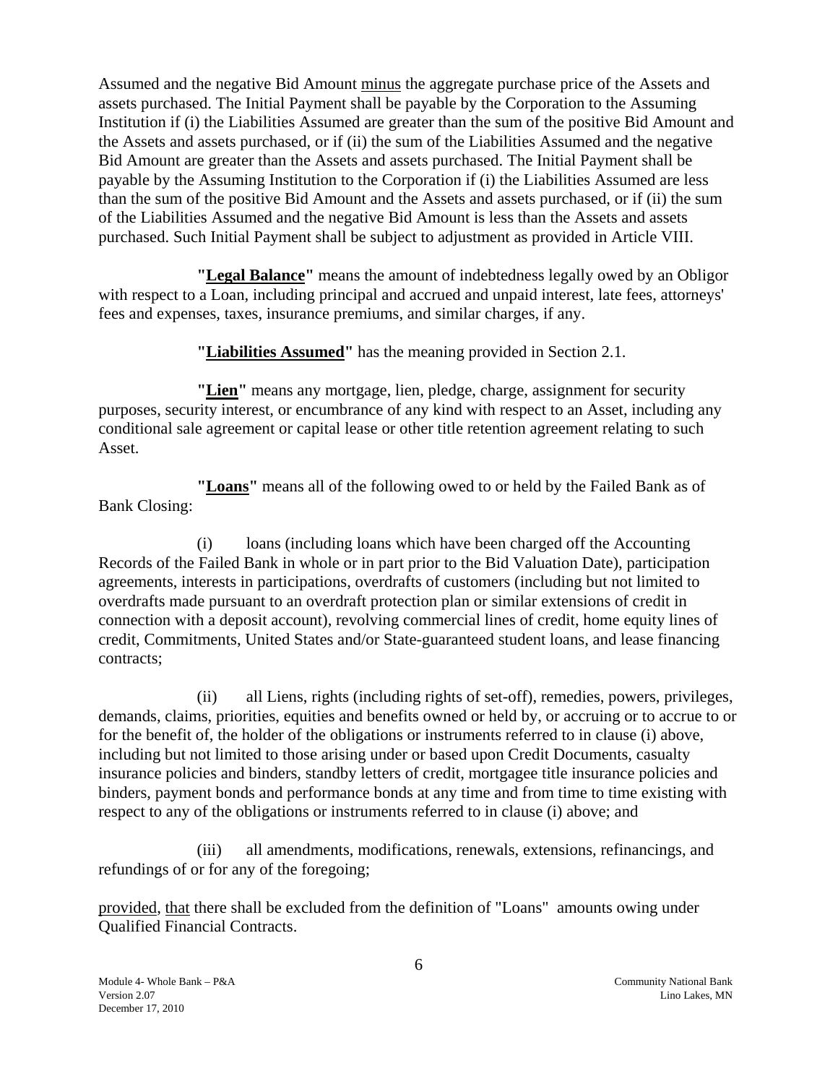Assumed and the negative Bid Amount minus the aggregate purchase price of the Assets and assets purchased. The Initial Payment shall be payable by the Corporation to the Assuming Institution if (i) the Liabilities Assumed are greater than the sum of the positive Bid Amount and the Assets and assets purchased, or if (ii) the sum of the Liabilities Assumed and the negative Bid Amount are greater than the Assets and assets purchased. The Initial Payment shall be payable by the Assuming Institution to the Corporation if (i) the Liabilities Assumed are less than the sum of the positive Bid Amount and the Assets and assets purchased, or if (ii) the sum of the Liabilities Assumed and the negative Bid Amount is less than the Assets and assets purchased. Such Initial Payment shall be subject to adjustment as provided in Article VIII.

**"Legal Balance"** means the amount of indebtedness legally owed by an Obligor with respect to a Loan, including principal and accrued and unpaid interest, late fees, attorneys' fees and expenses, taxes, insurance premiums, and similar charges, if any.

**"Liabilities Assumed"** has the meaning provided in Section 2.1.

**"Lien"** means any mortgage, lien, pledge, charge, assignment for security purposes, security interest, or encumbrance of any kind with respect to an Asset, including any conditional sale agreement or capital lease or other title retention agreement relating to such Asset.

**"Loans"** means all of the following owed to or held by the Failed Bank as of Bank Closing:

(i) loans (including loans which have been charged off the Accounting Records of the Failed Bank in whole or in part prior to the Bid Valuation Date), participation agreements, interests in participations, overdrafts of customers (including but not limited to overdrafts made pursuant to an overdraft protection plan or similar extensions of credit in connection with a deposit account), revolving commercial lines of credit, home equity lines of credit, Commitments, United States and/or State-guaranteed student loans, and lease financing contracts;

(ii) all Liens, rights (including rights of set-off), remedies, powers, privileges, demands, claims, priorities, equities and benefits owned or held by, or accruing or to accrue to or for the benefit of, the holder of the obligations or instruments referred to in clause (i) above, including but not limited to those arising under or based upon Credit Documents, casualty insurance policies and binders, standby letters of credit, mortgagee title insurance policies and binders, payment bonds and performance bonds at any time and from time to time existing with respect to any of the obligations or instruments referred to in clause (i) above; and

(iii) all amendments, modifications, renewals, extensions, refinancings, and refundings of or for any of the foregoing;

provided, that there shall be excluded from the definition of "Loans" amounts owing under Qualified Financial Contracts.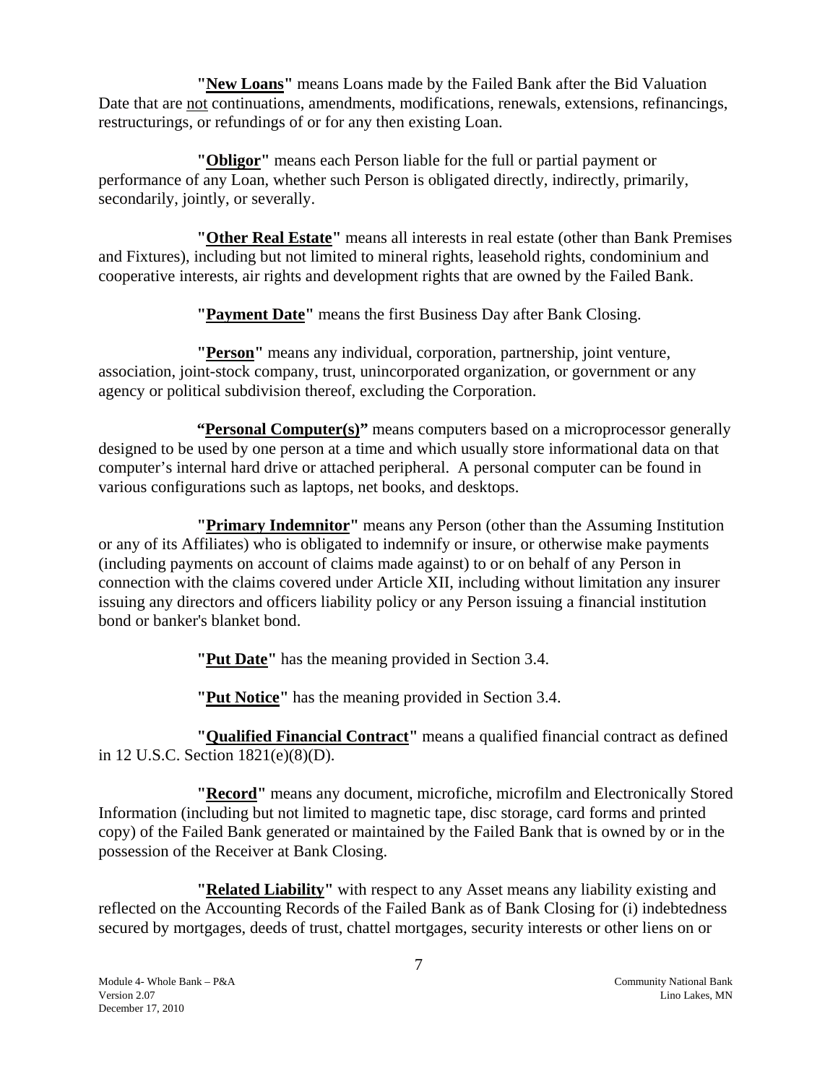**"New Loans"** means Loans made by the Failed Bank after the Bid Valuation Date that are not continuations, amendments, modifications, renewals, extensions, refinancings, restructurings, or refundings of or for any then existing Loan.

**"Obligor"** means each Person liable for the full or partial payment or performance of any Loan, whether such Person is obligated directly, indirectly, primarily, secondarily, jointly, or severally.

**"Other Real Estate"** means all interests in real estate (other than Bank Premises and Fixtures), including but not limited to mineral rights, leasehold rights, condominium and cooperative interests, air rights and development rights that are owned by the Failed Bank.

**"Payment Date"** means the first Business Day after Bank Closing.

**"Person"** means any individual, corporation, partnership, joint venture, association, joint-stock company, trust, unincorporated organization, or government or any agency or political subdivision thereof, excluding the Corporation.

**"Personal Computer(s)"** means computers based on a microprocessor generally designed to be used by one person at a time and which usually store informational data on that computer's internal hard drive or attached peripheral. A personal computer can be found in various configurations such as laptops, net books, and desktops.

**"Primary Indemnitor"** means any Person (other than the Assuming Institution or any of its Affiliates) who is obligated to indemnify or insure, or otherwise make payments (including payments on account of claims made against) to or on behalf of any Person in connection with the claims covered under Article XII, including without limitation any insurer issuing any directors and officers liability policy or any Person issuing a financial institution bond or banker's blanket bond.

**"Put Date"** has the meaning provided in Section 3.4.

**"Put Notice"** has the meaning provided in Section 3.4.

**"Qualified Financial Contract"** means a qualified financial contract as defined in 12 U.S.C. Section 1821(e)(8)(D).

**"Record"** means any document, microfiche, microfilm and Electronically Stored Information (including but not limited to magnetic tape, disc storage, card forms and printed copy) of the Failed Bank generated or maintained by the Failed Bank that is owned by or in the possession of the Receiver at Bank Closing.

**"Related Liability"** with respect to any Asset means any liability existing and reflected on the Accounting Records of the Failed Bank as of Bank Closing for (i) indebtedness secured by mortgages, deeds of trust, chattel mortgages, security interests or other liens on or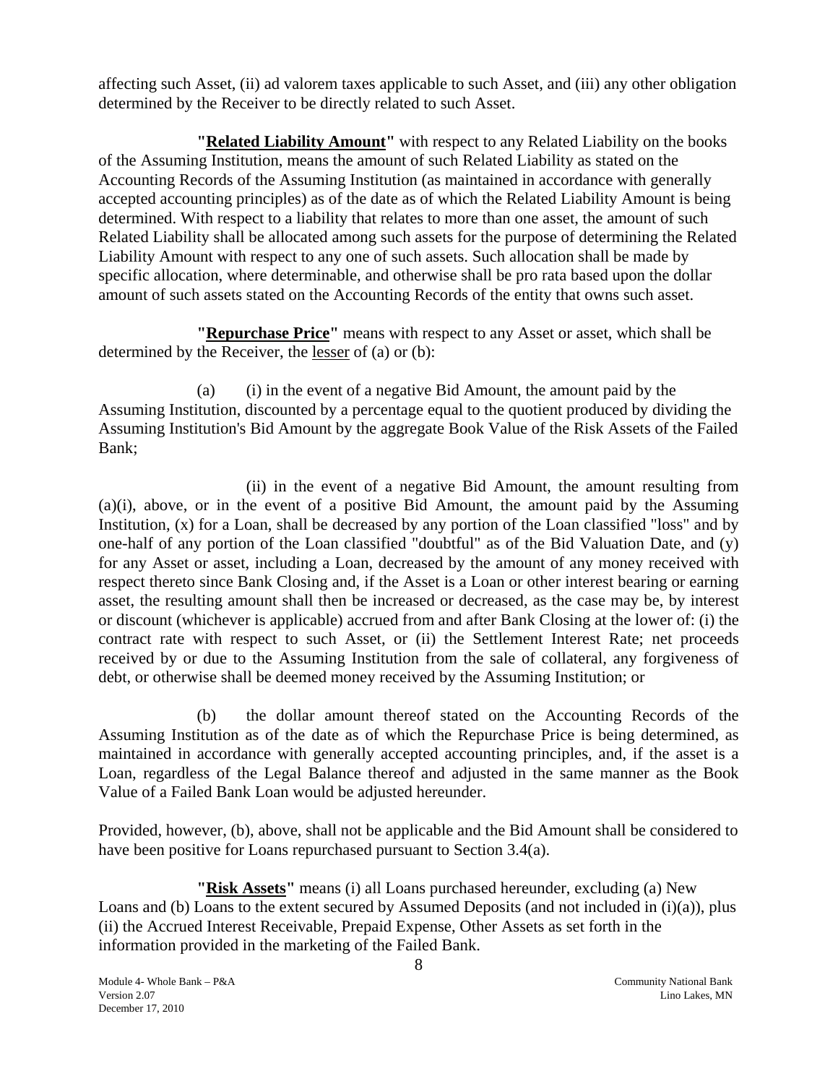affecting such Asset, (ii) ad valorem taxes applicable to such Asset, and (iii) any other obligation determined by the Receiver to be directly related to such Asset.

**"Related Liability Amount"** with respect to any Related Liability on the books of the Assuming Institution, means the amount of such Related Liability as stated on the Accounting Records of the Assuming Institution (as maintained in accordance with generally accepted accounting principles) as of the date as of which the Related Liability Amount is being determined. With respect to a liability that relates to more than one asset, the amount of such Related Liability shall be allocated among such assets for the purpose of determining the Related Liability Amount with respect to any one of such assets. Such allocation shall be made by specific allocation, where determinable, and otherwise shall be pro rata based upon the dollar amount of such assets stated on the Accounting Records of the entity that owns such asset.

**"Repurchase Price"** means with respect to any Asset or asset, which shall be determined by the Receiver, the lesser of (a) or (b):

(a) (i) in the event of a negative Bid Amount, the amount paid by the Assuming Institution, discounted by a percentage equal to the quotient produced by dividing the Assuming Institution's Bid Amount by the aggregate Book Value of the Risk Assets of the Failed Bank;

(ii) in the event of a negative Bid Amount, the amount resulting from (a)(i), above, or in the event of a positive Bid Amount, the amount paid by the Assuming Institution, (x) for a Loan, shall be decreased by any portion of the Loan classified "loss" and by one-half of any portion of the Loan classified "doubtful" as of the Bid Valuation Date, and (y) for any Asset or asset, including a Loan, decreased by the amount of any money received with respect thereto since Bank Closing and, if the Asset is a Loan or other interest bearing or earning asset, the resulting amount shall then be increased or decreased, as the case may be, by interest or discount (whichever is applicable) accrued from and after Bank Closing at the lower of: (i) the contract rate with respect to such Asset, or (ii) the Settlement Interest Rate; net proceeds received by or due to the Assuming Institution from the sale of collateral, any forgiveness of debt, or otherwise shall be deemed money received by the Assuming Institution; or

(b) the dollar amount thereof stated on the Accounting Records of the Assuming Institution as of the date as of which the Repurchase Price is being determined, as maintained in accordance with generally accepted accounting principles, and, if the asset is a Loan, regardless of the Legal Balance thereof and adjusted in the same manner as the Book Value of a Failed Bank Loan would be adjusted hereunder.

Provided, however, (b), above, shall not be applicable and the Bid Amount shall be considered to have been positive for Loans repurchased pursuant to Section 3.4(a).

**"Risk Assets"** means (i) all Loans purchased hereunder, excluding (a) New Loans and (b) Loans to the extent secured by Assumed Deposits (and not included in (i)(a)), plus (ii) the Accrued Interest Receivable, Prepaid Expense, Other Assets as set forth in the information provided in the marketing of the Failed Bank.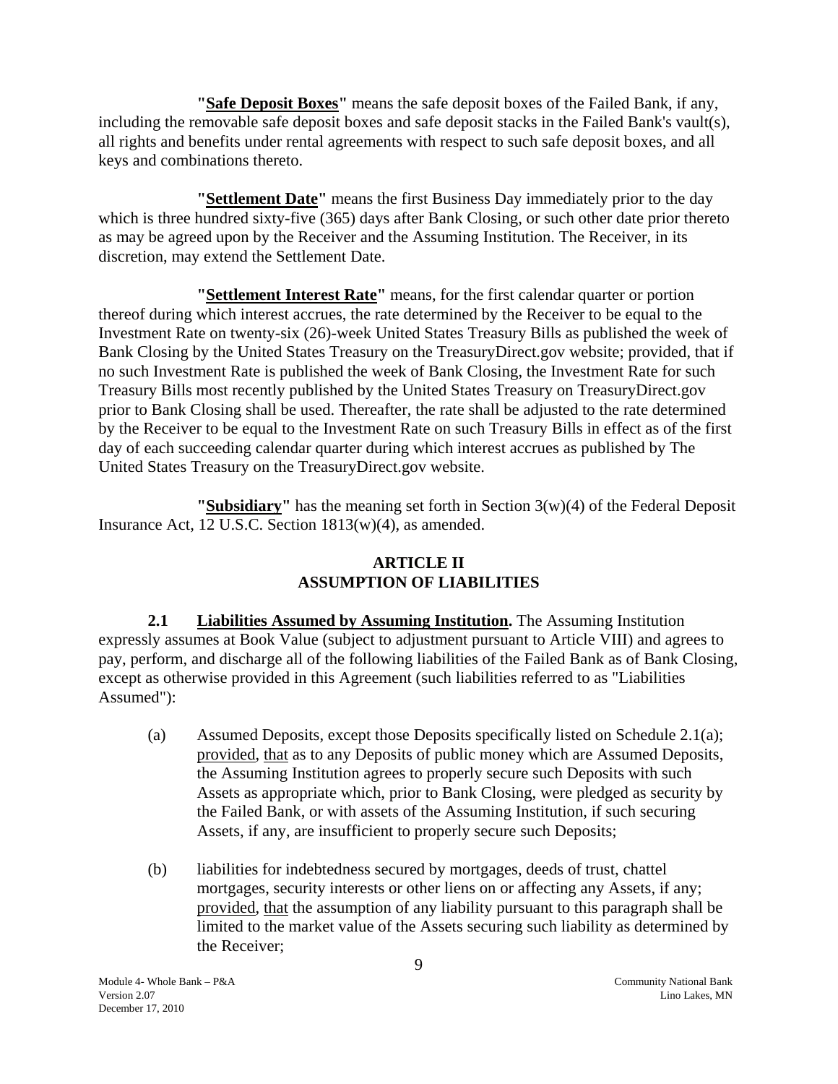<span id="page-12-0"></span> **"Safe Deposit Boxes"** means the safe deposit boxes of the Failed Bank, if any, including the removable safe deposit boxes and safe deposit stacks in the Failed Bank's vault(s), all rights and benefits under rental agreements with respect to such safe deposit boxes, and all keys and combinations thereto.

**"Settlement Date"** means the first Business Day immediately prior to the day which is three hundred sixty-five (365) days after Bank Closing, or such other date prior thereto as may be agreed upon by the Receiver and the Assuming Institution. The Receiver, in its discretion, may extend the Settlement Date.

**"Settlement Interest Rate"** means, for the first calendar quarter or portion thereof during which interest accrues, the rate determined by the Receiver to be equal to the Investment Rate on twenty-six (26)-week United States Treasury Bills as published the week of Bank Closing by the United States Treasury on the TreasuryDirect.gov website; provided, that if no such Investment Rate is published the week of Bank Closing, the Investment Rate for such Treasury Bills most recently published by the United States Treasury on TreasuryDirect.gov prior to Bank Closing shall be used. Thereafter, the rate shall be adjusted to the rate determined by the Receiver to be equal to the Investment Rate on such Treasury Bills in effect as of the first day of each succeeding calendar quarter during which interest accrues as published by The United States Treasury on the TreasuryDirect.gov website.

**"Subsidiary"** has the meaning set forth in Section 3(w)(4) of the Federal Deposit Insurance Act, 12 U.S.C. Section 1813(w)(4), as amended.

#### **ARTICLE II ASSUMPTION OF LIABILITIES**

 **2.1 Liabilities Assumed by Assuming Institution.** The Assuming Institution expressly assumes at Book Value (subject to adjustment pursuant to Article VIII) and agrees to pay, perform, and discharge all of the following liabilities of the Failed Bank as of Bank Closing, except as otherwise provided in this Agreement (such liabilities referred to as "Liabilities Assumed"):

- (a) Assumed Deposits, except those Deposits specifically listed on Schedule 2.1(a); provided, that as to any Deposits of public money which are Assumed Deposits, the Assuming Institution agrees to properly secure such Deposits with such Assets as appropriate which, prior to Bank Closing, were pledged as security by the Failed Bank, or with assets of the Assuming Institution, if such securing Assets, if any, are insufficient to properly secure such Deposits;
- (b) liabilities for indebtedness secured by mortgages, deeds of trust, chattel mortgages, security interests or other liens on or affecting any Assets, if any; provided, that the assumption of any liability pursuant to this paragraph shall be limited to the market value of the Assets securing such liability as determined by the Receiver;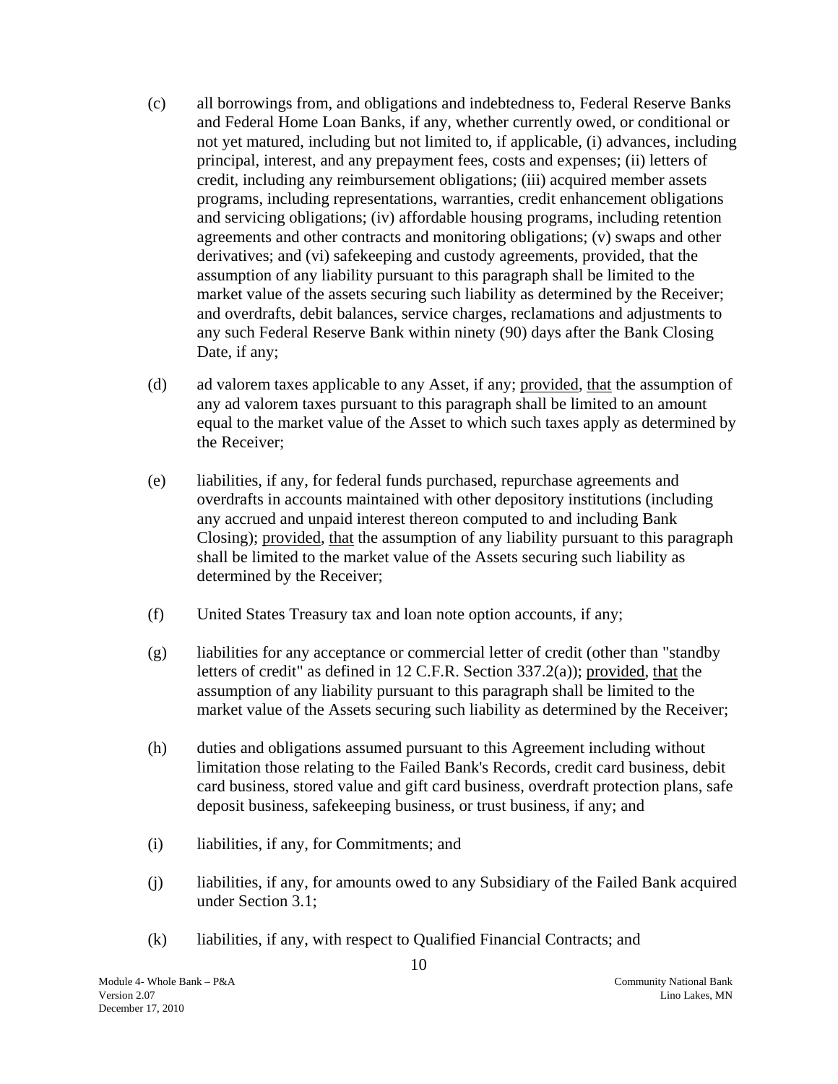- (c) all borrowings from, and obligations and indebtedness to, Federal Reserve Banks and Federal Home Loan Banks, if any, whether currently owed, or conditional or not yet matured, including but not limited to, if applicable, (i) advances, including principal, interest, and any prepayment fees, costs and expenses; (ii) letters of credit, including any reimbursement obligations; (iii) acquired member assets programs, including representations, warranties, credit enhancement obligations and servicing obligations; (iv) affordable housing programs, including retention agreements and other contracts and monitoring obligations; (v) swaps and other derivatives; and (vi) safekeeping and custody agreements, provided, that the assumption of any liability pursuant to this paragraph shall be limited to the market value of the assets securing such liability as determined by the Receiver; and overdrafts, debit balances, service charges, reclamations and adjustments to any such Federal Reserve Bank within ninety (90) days after the Bank Closing Date, if any;
- (d) ad valorem taxes applicable to any Asset, if any; provided, that the assumption of any ad valorem taxes pursuant to this paragraph shall be limited to an amount equal to the market value of the Asset to which such taxes apply as determined by the Receiver;
- (e) liabilities, if any, for federal funds purchased, repurchase agreements and overdrafts in accounts maintained with other depository institutions (including any accrued and unpaid interest thereon computed to and including Bank Closing); provided, that the assumption of any liability pursuant to this paragraph shall be limited to the market value of the Assets securing such liability as determined by the Receiver;
- (f) United States Treasury tax and loan note option accounts, if any;
- (g) liabilities for any acceptance or commercial letter of credit (other than "standby letters of credit" as defined in 12 C.F.R. Section 337.2(a)); provided, that the assumption of any liability pursuant to this paragraph shall be limited to the market value of the Assets securing such liability as determined by the Receiver;
- (h) duties and obligations assumed pursuant to this Agreement including without limitation those relating to the Failed Bank's Records, credit card business, debit card business, stored value and gift card business, overdraft protection plans, safe deposit business, safekeeping business, or trust business, if any; and
- (i) liabilities, if any, for Commitments; and
- (j) liabilities, if any, for amounts owed to any Subsidiary of the Failed Bank acquired under Section 3.1;
- (k) liabilities, if any, with respect to Qualified Financial Contracts; and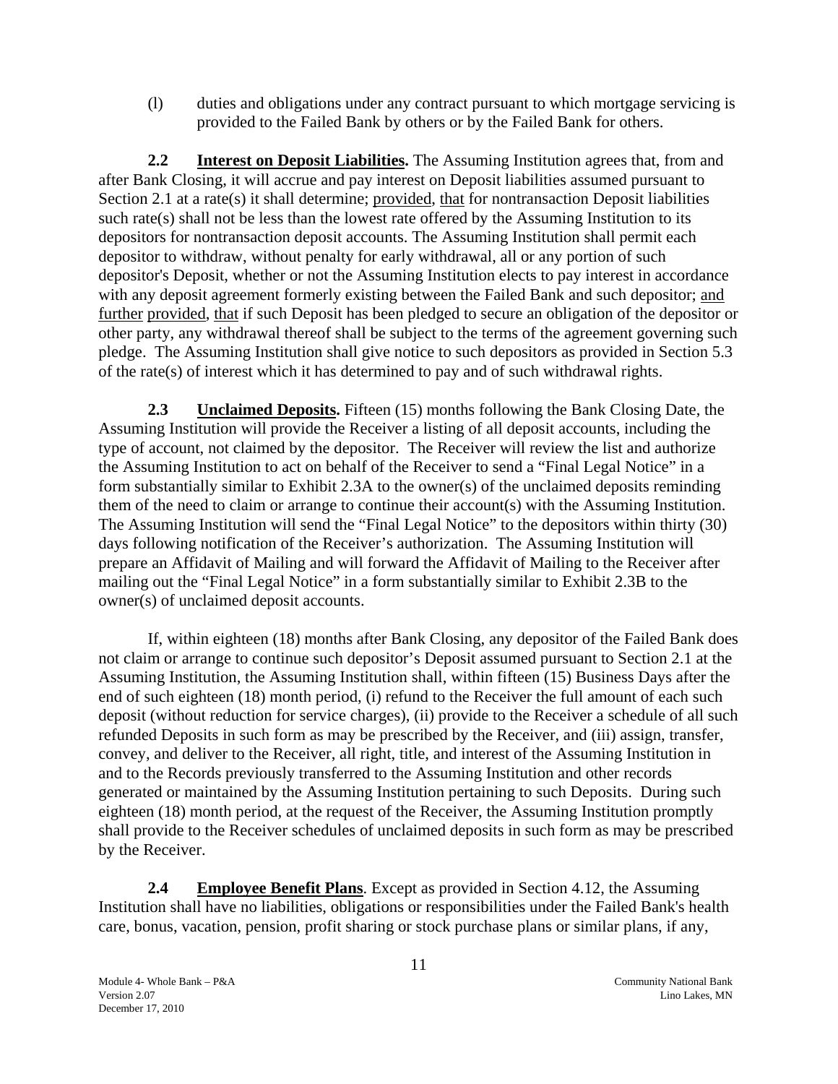<span id="page-14-0"></span>(l) duties and obligations under any contract pursuant to which mortgage servicing is provided to the Failed Bank by others or by the Failed Bank for others.

**2.2 Interest on Deposit Liabilities.** The Assuming Institution agrees that, from and after Bank Closing, it will accrue and pay interest on Deposit liabilities assumed pursuant to Section 2.1 at a rate(s) it shall determine; provided, that for nontransaction Deposit liabilities such rate(s) shall not be less than the lowest rate offered by the Assuming Institution to its depositors for nontransaction deposit accounts. The Assuming Institution shall permit each depositor to withdraw, without penalty for early withdrawal, all or any portion of such depositor's Deposit, whether or not the Assuming Institution elects to pay interest in accordance with any deposit agreement formerly existing between the Failed Bank and such depositor; and further provided, that if such Deposit has been pledged to secure an obligation of the depositor or other party, any withdrawal thereof shall be subject to the terms of the agreement governing such pledge. The Assuming Institution shall give notice to such depositors as provided in Section 5.3 of the rate(s) of interest which it has determined to pay and of such withdrawal rights.

**2.3 Unclaimed Deposits.** Fifteen (15) months following the Bank Closing Date, the Assuming Institution will provide the Receiver a listing of all deposit accounts, including the type of account, not claimed by the depositor. The Receiver will review the list and authorize the Assuming Institution to act on behalf of the Receiver to send a "Final Legal Notice" in a form substantially similar to Exhibit 2.3A to the owner(s) of the unclaimed deposits reminding them of the need to claim or arrange to continue their account(s) with the Assuming Institution. The Assuming Institution will send the "Final Legal Notice" to the depositors within thirty (30) days following notification of the Receiver's authorization. The Assuming Institution will prepare an Affidavit of Mailing and will forward the Affidavit of Mailing to the Receiver after mailing out the "Final Legal Notice" in a form substantially similar to Exhibit 2.3B to the owner(s) of unclaimed deposit accounts.

If, within eighteen (18) months after Bank Closing, any depositor of the Failed Bank does not claim or arrange to continue such depositor's Deposit assumed pursuant to Section 2.1 at the Assuming Institution, the Assuming Institution shall, within fifteen (15) Business Days after the end of such eighteen (18) month period, (i) refund to the Receiver the full amount of each such deposit (without reduction for service charges), (ii) provide to the Receiver a schedule of all such refunded Deposits in such form as may be prescribed by the Receiver, and (iii) assign, transfer, convey, and deliver to the Receiver, all right, title, and interest of the Assuming Institution in and to the Records previously transferred to the Assuming Institution and other records generated or maintained by the Assuming Institution pertaining to such Deposits. During such eighteen (18) month period, at the request of the Receiver, the Assuming Institution promptly shall provide to the Receiver schedules of unclaimed deposits in such form as may be prescribed by the Receiver.

**2.4 Employee Benefit Plans**. Except as provided in Section 4.12, the Assuming Institution shall have no liabilities, obligations or responsibilities under the Failed Bank's health care, bonus, vacation, pension, profit sharing or stock purchase plans or similar plans, if any,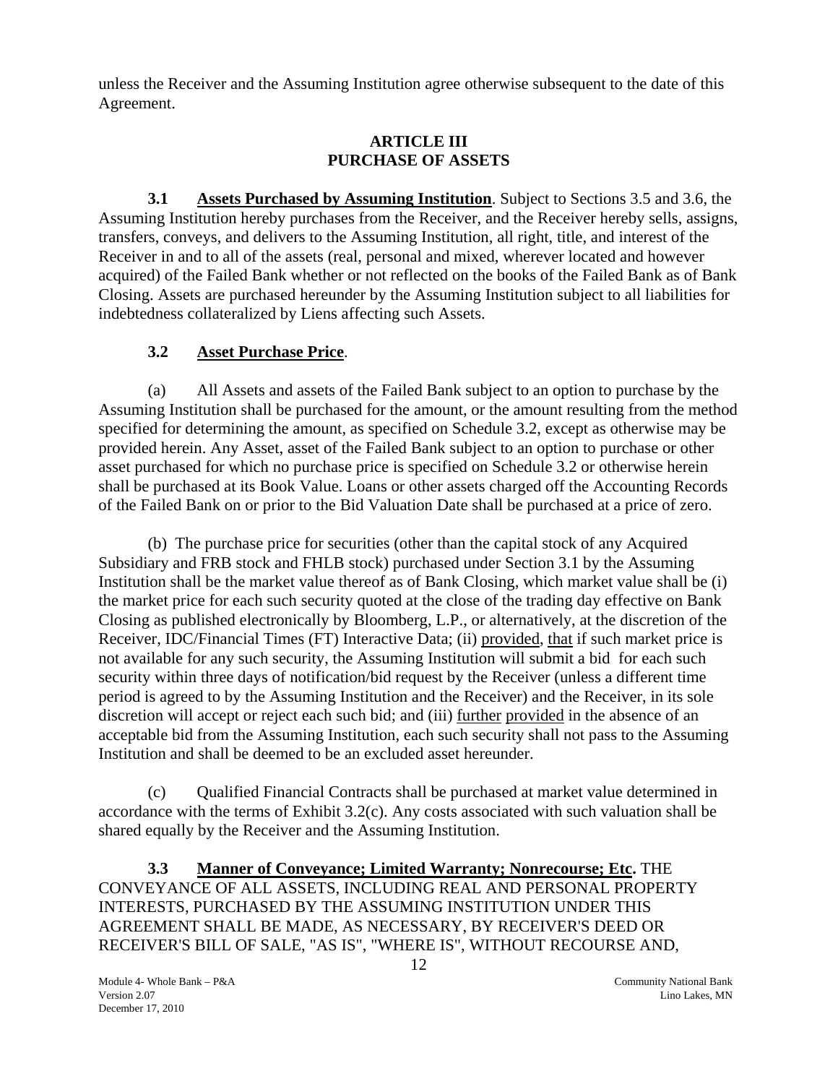<span id="page-15-0"></span>unless the Receiver and the Assuming Institution agree otherwise subsequent to the date of this Agreement.

## **ARTICLE III PURCHASE OF ASSETS**

 **3.1 Assets Purchased by Assuming Institution**. Subject to Sections 3.5 and 3.6, the Assuming Institution hereby purchases from the Receiver, and the Receiver hereby sells, assigns, transfers, conveys, and delivers to the Assuming Institution, all right, title, and interest of the Receiver in and to all of the assets (real, personal and mixed, wherever located and however acquired) of the Failed Bank whether or not reflected on the books of the Failed Bank as of Bank Closing. Assets are purchased hereunder by the Assuming Institution subject to all liabilities for indebtedness collateralized by Liens affecting such Assets.

## **3.2 Asset Purchase Price**.

(a) All Assets and assets of the Failed Bank subject to an option to purchase by the Assuming Institution shall be purchased for the amount, or the amount resulting from the method specified for determining the amount, as specified on Schedule 3.2, except as otherwise may be provided herein. Any Asset, asset of the Failed Bank subject to an option to purchase or other asset purchased for which no purchase price is specified on Schedule 3.2 or otherwise herein shall be purchased at its Book Value. Loans or other assets charged off the Accounting Records of the Failed Bank on or prior to the Bid Valuation Date shall be purchased at a price of zero.

(b) The purchase price for securities (other than the capital stock of any Acquired Subsidiary and FRB stock and FHLB stock) purchased under Section 3.1 by the Assuming Institution shall be the market value thereof as of Bank Closing, which market value shall be (i) the market price for each such security quoted at the close of the trading day effective on Bank Closing as published electronically by Bloomberg, L.P., or alternatively, at the discretion of the Receiver, IDC/Financial Times (FT) Interactive Data; (ii) provided, that if such market price is not available for any such security, the Assuming Institution will submit a bid for each such security within three days of notification/bid request by the Receiver (unless a different time period is agreed to by the Assuming Institution and the Receiver) and the Receiver, in its sole discretion will accept or reject each such bid; and (iii) further provided in the absence of an acceptable bid from the Assuming Institution, each such security shall not pass to the Assuming Institution and shall be deemed to be an excluded asset hereunder.

(c) Qualified Financial Contracts shall be purchased at market value determined in accordance with the terms of Exhibit 3.2(c). Any costs associated with such valuation shall be shared equally by the Receiver and the Assuming Institution.

**3.3 Manner of Conveyance; Limited Warranty; Nonrecourse; Etc.** THE CONVEYANCE OF ALL ASSETS, INCLUDING REAL AND PERSONAL PROPERTY INTERESTS, PURCHASED BY THE ASSUMING INSTITUTION UNDER THIS AGREEMENT SHALL BE MADE, AS NECESSARY, BY RECEIVER'S DEED OR RECEIVER'S BILL OF SALE, "AS IS", "WHERE IS", WITHOUT RECOURSE AND,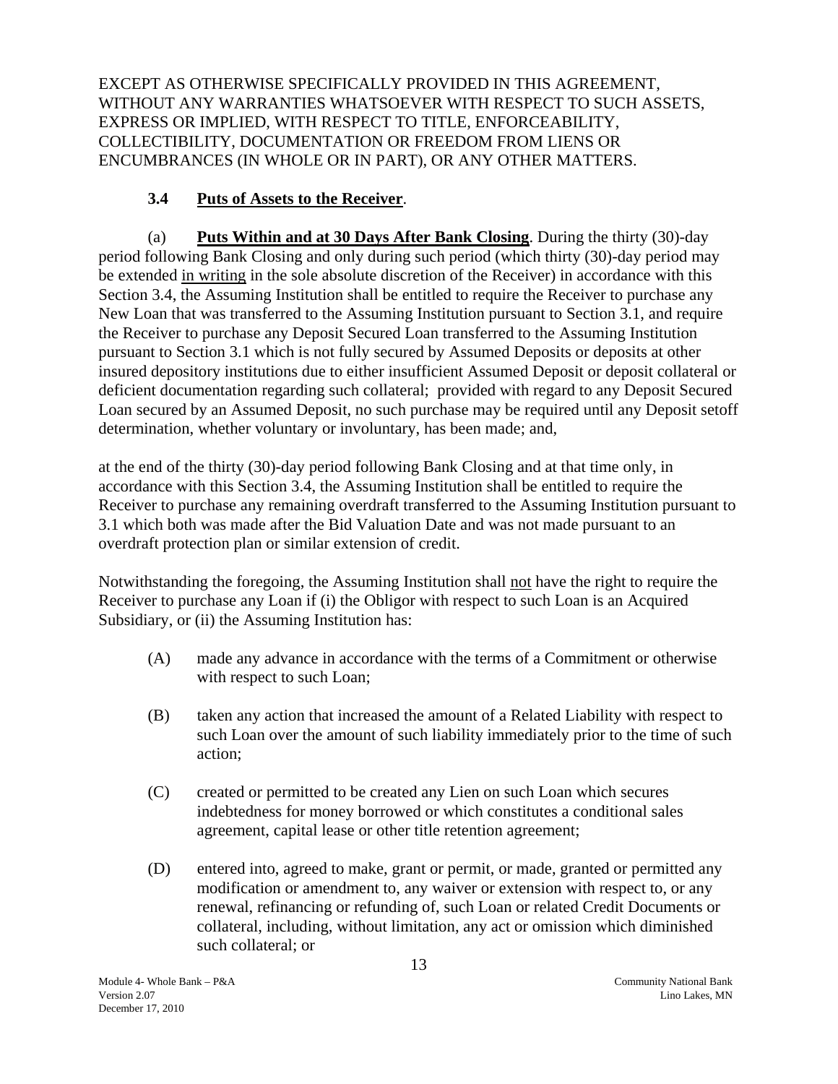<span id="page-16-0"></span>EXCEPT AS OTHERWISE SPECIFICALLY PROVIDED IN THIS AGREEMENT, WITHOUT ANY WARRANTIES WHATSOEVER WITH RESPECT TO SUCH ASSETS, EXPRESS OR IMPLIED, WITH RESPECT TO TITLE, ENFORCEABILITY, COLLECTIBILITY, DOCUMENTATION OR FREEDOM FROM LIENS OR ENCUMBRANCES (IN WHOLE OR IN PART), OR ANY OTHER MATTERS.

# **3.4 Puts of Assets to the Receiver**.

(a) **Puts Within and at 30 Days After Bank Closing**. During the thirty (30)-day period following Bank Closing and only during such period (which thirty (30)-day period may be extended in writing in the sole absolute discretion of the Receiver) in accordance with this Section 3.4, the Assuming Institution shall be entitled to require the Receiver to purchase any New Loan that was transferred to the Assuming Institution pursuant to Section 3.1, and require the Receiver to purchase any Deposit Secured Loan transferred to the Assuming Institution pursuant to Section 3.1 which is not fully secured by Assumed Deposits or deposits at other insured depository institutions due to either insufficient Assumed Deposit or deposit collateral or deficient documentation regarding such collateral; provided with regard to any Deposit Secured Loan secured by an Assumed Deposit, no such purchase may be required until any Deposit setoff determination, whether voluntary or involuntary, has been made; and,

at the end of the thirty (30)-day period following Bank Closing and at that time only, in accordance with this Section 3.4, the Assuming Institution shall be entitled to require the Receiver to purchase any remaining overdraft transferred to the Assuming Institution pursuant to 3.1 which both was made after the Bid Valuation Date and was not made pursuant to an overdraft protection plan or similar extension of credit.

Notwithstanding the foregoing, the Assuming Institution shall not have the right to require the Receiver to purchase any Loan if (i) the Obligor with respect to such Loan is an Acquired Subsidiary, or (ii) the Assuming Institution has:

- (A) made any advance in accordance with the terms of a Commitment or otherwise with respect to such Loan;
- (B) taken any action that increased the amount of a Related Liability with respect to such Loan over the amount of such liability immediately prior to the time of such action;
- (C) created or permitted to be created any Lien on such Loan which secures indebtedness for money borrowed or which constitutes a conditional sales agreement, capital lease or other title retention agreement;
- (D) entered into, agreed to make, grant or permit, or made, granted or permitted any modification or amendment to, any waiver or extension with respect to, or any renewal, refinancing or refunding of, such Loan or related Credit Documents or collateral, including, without limitation, any act or omission which diminished such collateral; or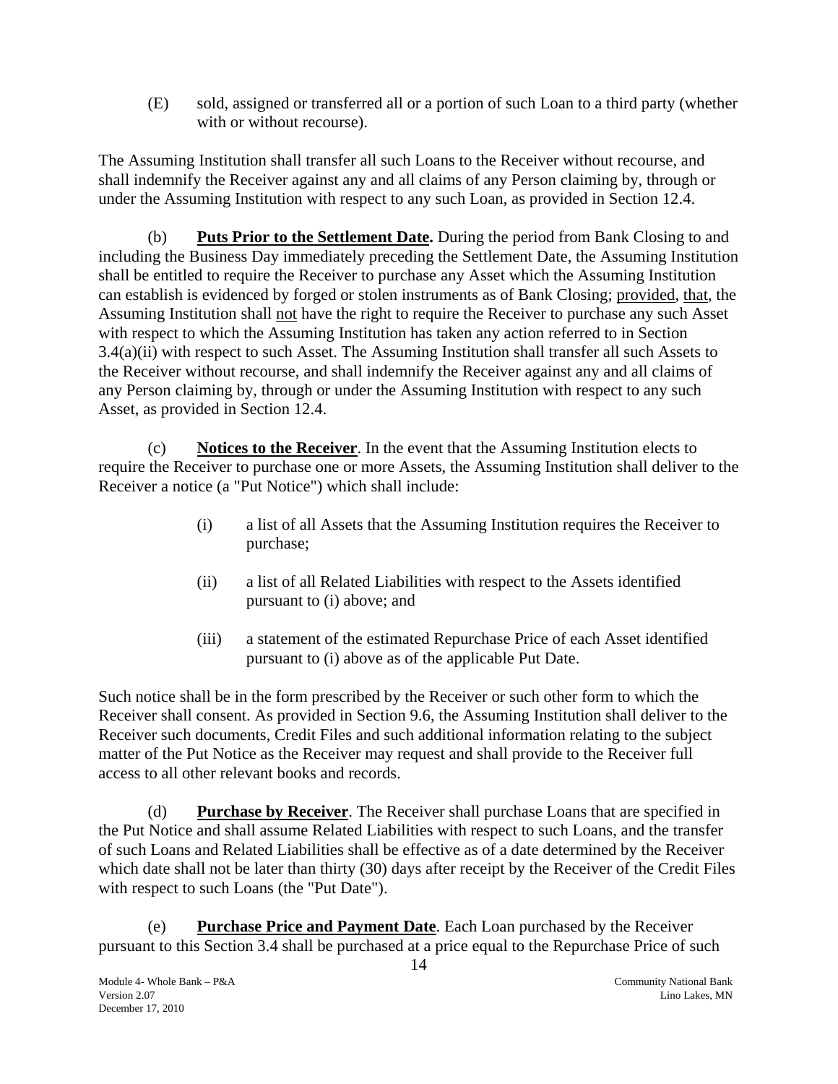(E) sold, assigned or transferred all or a portion of such Loan to a third party (whether with or without recourse).

The Assuming Institution shall transfer all such Loans to the Receiver without recourse, and shall indemnify the Receiver against any and all claims of any Person claiming by, through or under the Assuming Institution with respect to any such Loan, as provided in Section 12.4.

(b) **Puts Prior to the Settlement Date.** During the period from Bank Closing to and including the Business Day immediately preceding the Settlement Date, the Assuming Institution shall be entitled to require the Receiver to purchase any Asset which the Assuming Institution can establish is evidenced by forged or stolen instruments as of Bank Closing; provided, that, the Assuming Institution shall not have the right to require the Receiver to purchase any such Asset with respect to which the Assuming Institution has taken any action referred to in Section 3.4(a)(ii) with respect to such Asset. The Assuming Institution shall transfer all such Assets to the Receiver without recourse, and shall indemnify the Receiver against any and all claims of any Person claiming by, through or under the Assuming Institution with respect to any such Asset, as provided in Section 12.4.

(c) **Notices to the Receiver**. In the event that the Assuming Institution elects to require the Receiver to purchase one or more Assets, the Assuming Institution shall deliver to the Receiver a notice (a "Put Notice") which shall include:

- (i) a list of all Assets that the Assuming Institution requires the Receiver to purchase;
- (ii) a list of all Related Liabilities with respect to the Assets identified pursuant to (i) above; and
- (iii) a statement of the estimated Repurchase Price of each Asset identified pursuant to (i) above as of the applicable Put Date.

Such notice shall be in the form prescribed by the Receiver or such other form to which the Receiver shall consent. As provided in Section 9.6, the Assuming Institution shall deliver to the Receiver such documents, Credit Files and such additional information relating to the subject matter of the Put Notice as the Receiver may request and shall provide to the Receiver full access to all other relevant books and records.

(d) **Purchase by Receiver**. The Receiver shall purchase Loans that are specified in the Put Notice and shall assume Related Liabilities with respect to such Loans, and the transfer of such Loans and Related Liabilities shall be effective as of a date determined by the Receiver which date shall not be later than thirty (30) days after receipt by the Receiver of the Credit Files with respect to such Loans (the "Put Date").

(e) **Purchase Price and Payment Date**. Each Loan purchased by the Receiver pursuant to this Section 3.4 shall be purchased at a price equal to the Repurchase Price of such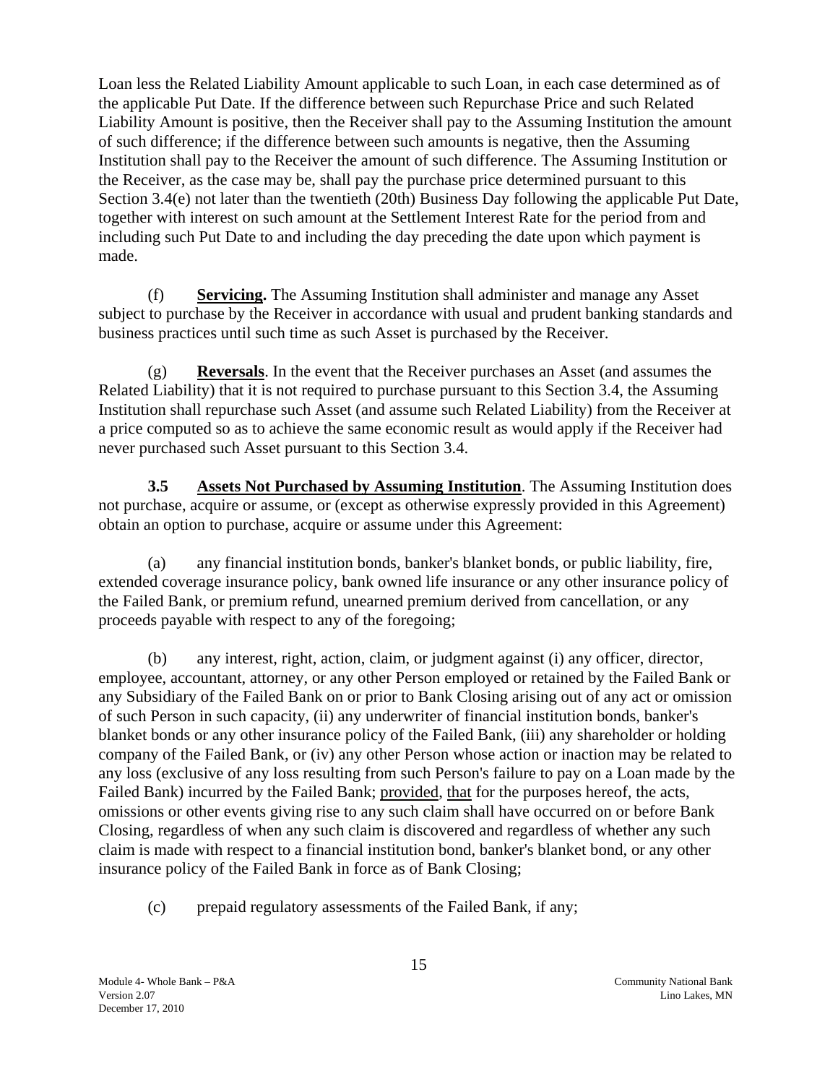<span id="page-18-0"></span>Loan less the Related Liability Amount applicable to such Loan, in each case determined as of the applicable Put Date. If the difference between such Repurchase Price and such Related Liability Amount is positive, then the Receiver shall pay to the Assuming Institution the amount of such difference; if the difference between such amounts is negative, then the Assuming Institution shall pay to the Receiver the amount of such difference. The Assuming Institution or the Receiver, as the case may be, shall pay the purchase price determined pursuant to this Section 3.4(e) not later than the twentieth (20th) Business Day following the applicable Put Date, together with interest on such amount at the Settlement Interest Rate for the period from and including such Put Date to and including the day preceding the date upon which payment is made.

(f) **Servicing.** The Assuming Institution shall administer and manage any Asset subject to purchase by the Receiver in accordance with usual and prudent banking standards and business practices until such time as such Asset is purchased by the Receiver.

(g) **Reversals**. In the event that the Receiver purchases an Asset (and assumes the Related Liability) that it is not required to purchase pursuant to this Section 3.4, the Assuming Institution shall repurchase such Asset (and assume such Related Liability) from the Receiver at a price computed so as to achieve the same economic result as would apply if the Receiver had never purchased such Asset pursuant to this Section 3.4.

**3.5 Assets Not Purchased by Assuming Institution**. The Assuming Institution does not purchase, acquire or assume, or (except as otherwise expressly provided in this Agreement) obtain an option to purchase, acquire or assume under this Agreement:

(a) any financial institution bonds, banker's blanket bonds, or public liability, fire, extended coverage insurance policy, bank owned life insurance or any other insurance policy of the Failed Bank, or premium refund, unearned premium derived from cancellation, or any proceeds payable with respect to any of the foregoing;

(b) any interest, right, action, claim, or judgment against (i) any officer, director, employee, accountant, attorney, or any other Person employed or retained by the Failed Bank or any Subsidiary of the Failed Bank on or prior to Bank Closing arising out of any act or omission of such Person in such capacity, (ii) any underwriter of financial institution bonds, banker's blanket bonds or any other insurance policy of the Failed Bank, (iii) any shareholder or holding company of the Failed Bank, or (iv) any other Person whose action or inaction may be related to any loss (exclusive of any loss resulting from such Person's failure to pay on a Loan made by the Failed Bank) incurred by the Failed Bank; provided, that for the purposes hereof, the acts, omissions or other events giving rise to any such claim shall have occurred on or before Bank Closing, regardless of when any such claim is discovered and regardless of whether any such claim is made with respect to a financial institution bond, banker's blanket bond, or any other insurance policy of the Failed Bank in force as of Bank Closing;

(c) prepaid regulatory assessments of the Failed Bank, if any;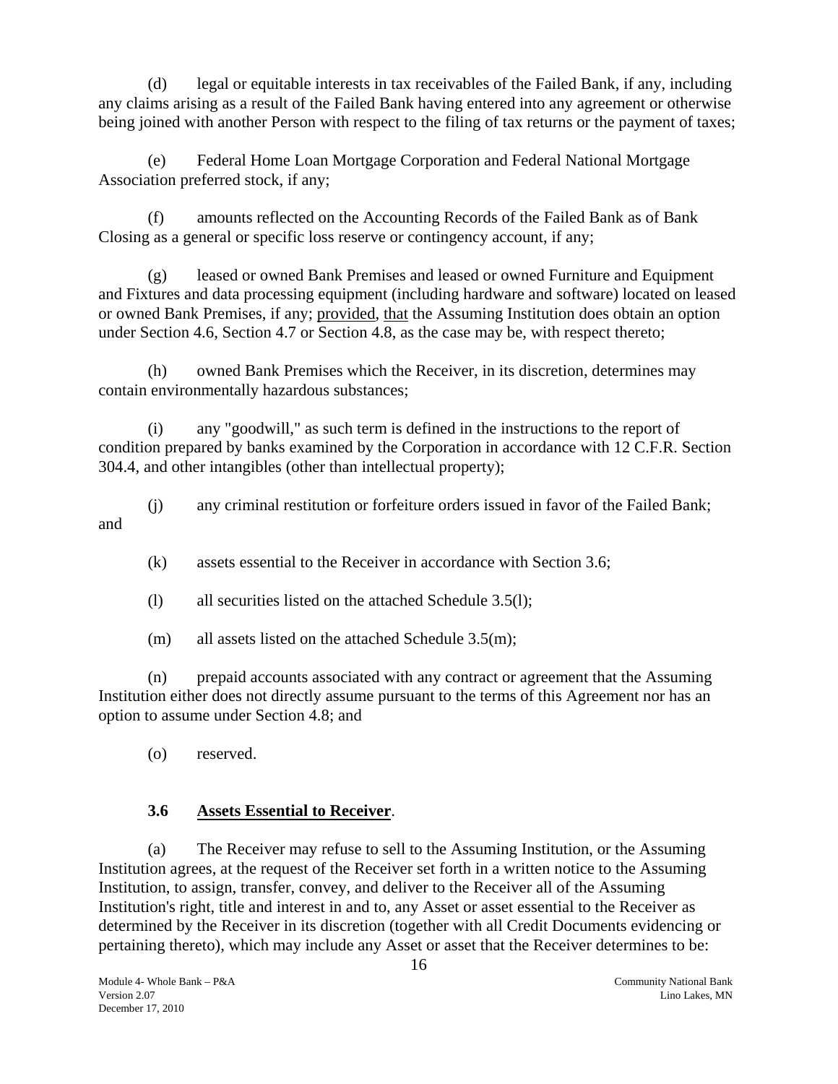(d) legal or equitable interests in tax receivables of the Failed Bank, if any, including any claims arising as a result of the Failed Bank having entered into any agreement or otherwise being joined with another Person with respect to the filing of tax returns or the payment of taxes;

(e) Federal Home Loan Mortgage Corporation and Federal National Mortgage Association preferred stock, if any;

(f) amounts reflected on the Accounting Records of the Failed Bank as of Bank Closing as a general or specific loss reserve or contingency account, if any;

(g) leased or owned Bank Premises and leased or owned Furniture and Equipment and Fixtures and data processing equipment (including hardware and software) located on leased or owned Bank Premises, if any; provided, that the Assuming Institution does obtain an option under Section 4.6, Section 4.7 or Section 4.8, as the case may be, with respect thereto;

(h) owned Bank Premises which the Receiver, in its discretion, determines may contain environmentally hazardous substances;

(i) any "goodwill," as such term is defined in the instructions to the report of condition prepared by banks examined by the Corporation in accordance with 12 C.F.R. Section 304.4, and other intangibles (other than intellectual property);

(j) any criminal restitution or forfeiture orders issued in favor of the Failed Bank; and

(k) assets essential to the Receiver in accordance with Section 3.6;

- (l) all securities listed on the attached Schedule 3.5(l);
- (m) all assets listed on the attached Schedule 3.5(m);

(n) prepaid accounts associated with any contract or agreement that the Assuming Institution either does not directly assume pursuant to the terms of this Agreement nor has an option to assume under Section 4.8; and

(o) reserved.

## **3.6 Assets Essential to Receiver**.

(a) The Receiver may refuse to sell to the Assuming Institution, or the Assuming Institution agrees, at the request of the Receiver set forth in a written notice to the Assuming Institution, to assign, transfer, convey, and deliver to the Receiver all of the Assuming Institution's right, title and interest in and to, any Asset or asset essential to the Receiver as determined by the Receiver in its discretion (together with all Credit Documents evidencing or pertaining thereto), which may include any Asset or asset that the Receiver determines to be: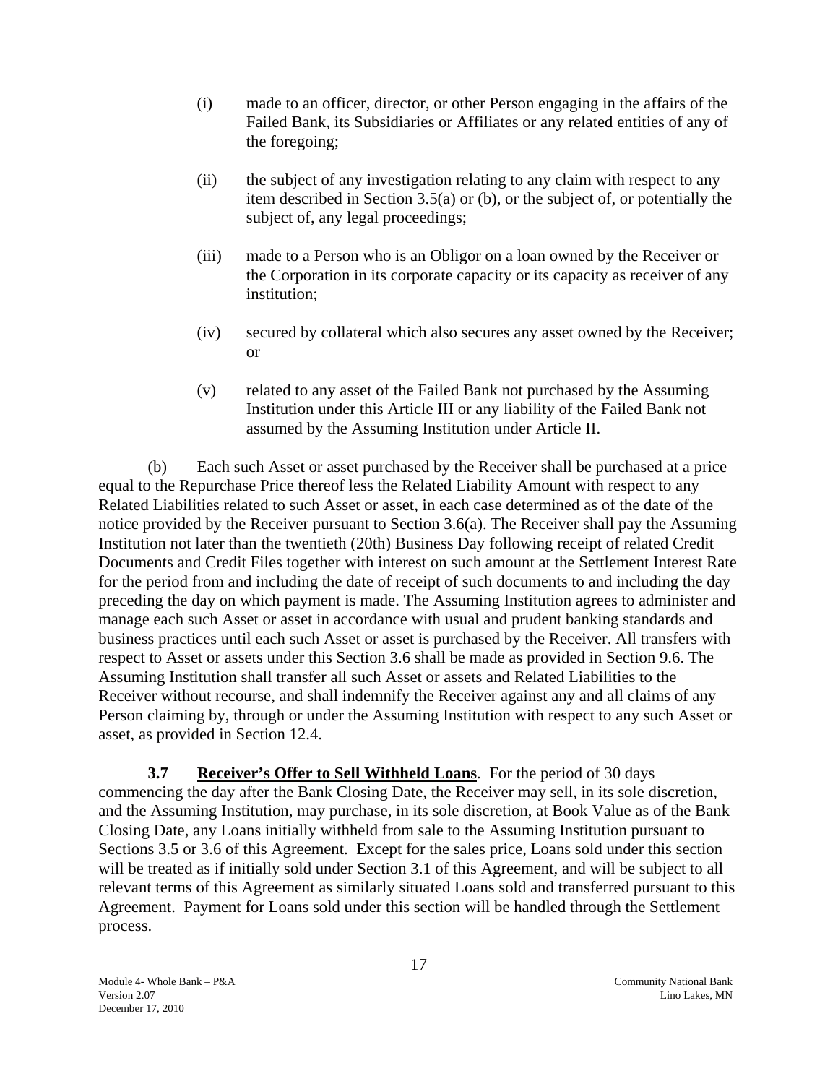- <span id="page-20-0"></span>(i) made to an officer, director, or other Person engaging in the affairs of the Failed Bank, its Subsidiaries or Affiliates or any related entities of any of the foregoing;
- (ii) the subject of any investigation relating to any claim with respect to any item described in Section 3.5(a) or (b), or the subject of, or potentially the subject of, any legal proceedings;
- (iii) made to a Person who is an Obligor on a loan owned by the Receiver or the Corporation in its corporate capacity or its capacity as receiver of any institution;
- (iv) secured by collateral which also secures any asset owned by the Receiver; or
- (v) related to any asset of the Failed Bank not purchased by the Assuming Institution under this Article III or any liability of the Failed Bank not assumed by the Assuming Institution under Article II.

(b) Each such Asset or asset purchased by the Receiver shall be purchased at a price equal to the Repurchase Price thereof less the Related Liability Amount with respect to any Related Liabilities related to such Asset or asset, in each case determined as of the date of the notice provided by the Receiver pursuant to Section 3.6(a). The Receiver shall pay the Assuming Institution not later than the twentieth (20th) Business Day following receipt of related Credit Documents and Credit Files together with interest on such amount at the Settlement Interest Rate for the period from and including the date of receipt of such documents to and including the day preceding the day on which payment is made. The Assuming Institution agrees to administer and manage each such Asset or asset in accordance with usual and prudent banking standards and business practices until each such Asset or asset is purchased by the Receiver. All transfers with respect to Asset or assets under this Section 3.6 shall be made as provided in Section 9.6. The Assuming Institution shall transfer all such Asset or assets and Related Liabilities to the Receiver without recourse, and shall indemnify the Receiver against any and all claims of any Person claiming by, through or under the Assuming Institution with respect to any such Asset or asset, as provided in Section 12.4.

**3.7 Receiver's Offer to Sell Withheld Loans**. For the period of 30 days commencing the day after the Bank Closing Date, the Receiver may sell, in its sole discretion, and the Assuming Institution, may purchase, in its sole discretion, at Book Value as of the Bank Closing Date, any Loans initially withheld from sale to the Assuming Institution pursuant to Sections 3.5 or 3.6 of this Agreement. Except for the sales price, Loans sold under this section will be treated as if initially sold under Section 3.1 of this Agreement, and will be subject to all relevant terms of this Agreement as similarly situated Loans sold and transferred pursuant to this Agreement. Payment for Loans sold under this section will be handled through the Settlement process.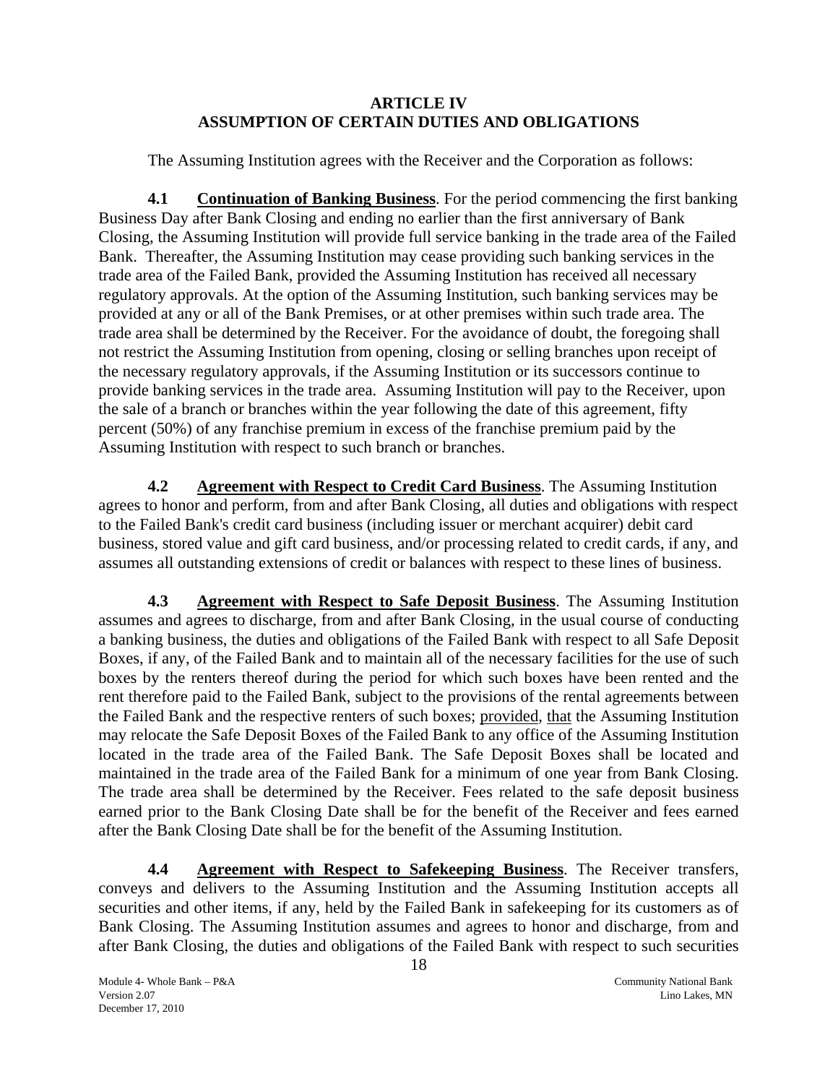#### **ARTICLE IV ASSUMPTION OF CERTAIN DUTIES AND OBLIGATIONS**

<span id="page-21-0"></span>The Assuming Institution agrees with the Receiver and the Corporation as follows:

**4.1** Continuation of Banking Business. For the period commencing the first banking Business Day after Bank Closing and ending no earlier than the first anniversary of Bank Closing, the Assuming Institution will provide full service banking in the trade area of the Failed Bank. Thereafter, the Assuming Institution may cease providing such banking services in the trade area of the Failed Bank, provided the Assuming Institution has received all necessary regulatory approvals. At the option of the Assuming Institution, such banking services may be provided at any or all of the Bank Premises, or at other premises within such trade area. The trade area shall be determined by the Receiver. For the avoidance of doubt, the foregoing shall not restrict the Assuming Institution from opening, closing or selling branches upon receipt of the necessary regulatory approvals, if the Assuming Institution or its successors continue to provide banking services in the trade area. Assuming Institution will pay to the Receiver, upon the sale of a branch or branches within the year following the date of this agreement, fifty percent (50%) of any franchise premium in excess of the franchise premium paid by the Assuming Institution with respect to such branch or branches.

**4.2 Agreement with Respect to Credit Card Business**. The Assuming Institution agrees to honor and perform, from and after Bank Closing, all duties and obligations with respect to the Failed Bank's credit card business (including issuer or merchant acquirer) debit card business, stored value and gift card business, and/or processing related to credit cards, if any, and assumes all outstanding extensions of credit or balances with respect to these lines of business.

**4.3 Agreement with Respect to Safe Deposit Business**. The Assuming Institution assumes and agrees to discharge, from and after Bank Closing, in the usual course of conducting a banking business, the duties and obligations of the Failed Bank with respect to all Safe Deposit Boxes, if any, of the Failed Bank and to maintain all of the necessary facilities for the use of such boxes by the renters thereof during the period for which such boxes have been rented and the rent therefore paid to the Failed Bank, subject to the provisions of the rental agreements between the Failed Bank and the respective renters of such boxes; provided, that the Assuming Institution may relocate the Safe Deposit Boxes of the Failed Bank to any office of the Assuming Institution located in the trade area of the Failed Bank. The Safe Deposit Boxes shall be located and maintained in the trade area of the Failed Bank for a minimum of one year from Bank Closing. The trade area shall be determined by the Receiver. Fees related to the safe deposit business earned prior to the Bank Closing Date shall be for the benefit of the Receiver and fees earned after the Bank Closing Date shall be for the benefit of the Assuming Institution.

**4.4 Agreement with Respect to Safekeeping Business**. The Receiver transfers, conveys and delivers to the Assuming Institution and the Assuming Institution accepts all securities and other items, if any, held by the Failed Bank in safekeeping for its customers as of Bank Closing. The Assuming Institution assumes and agrees to honor and discharge, from and after Bank Closing, the duties and obligations of the Failed Bank with respect to such securities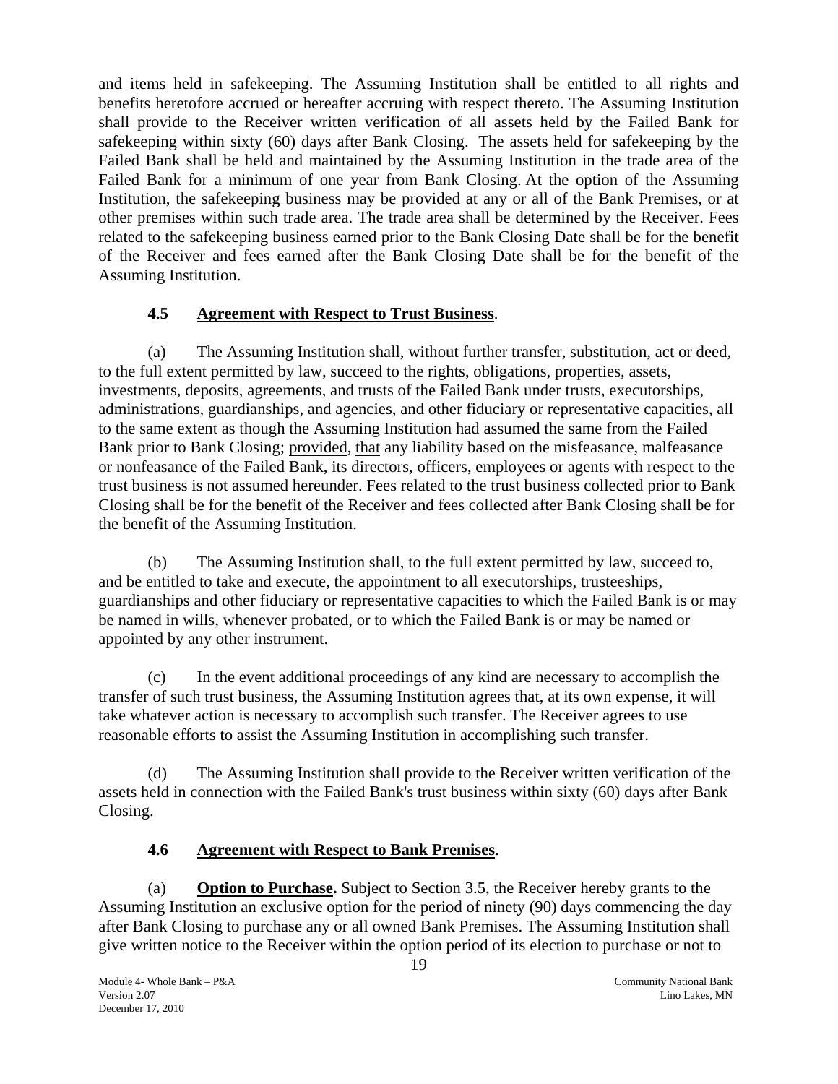<span id="page-22-0"></span>and items held in safekeeping. The Assuming Institution shall be entitled to all rights and benefits heretofore accrued or hereafter accruing with respect thereto. The Assuming Institution shall provide to the Receiver written verification of all assets held by the Failed Bank for safekeeping within sixty (60) days after Bank Closing. The assets held for safekeeping by the Failed Bank shall be held and maintained by the Assuming Institution in the trade area of the Failed Bank for a minimum of one year from Bank Closing. At the option of the Assuming Institution, the safekeeping business may be provided at any or all of the Bank Premises, or at other premises within such trade area. The trade area shall be determined by the Receiver. Fees related to the safekeeping business earned prior to the Bank Closing Date shall be for the benefit of the Receiver and fees earned after the Bank Closing Date shall be for the benefit of the Assuming Institution.

# **4.5 Agreement with Respect to Trust Business**.

(a) The Assuming Institution shall, without further transfer, substitution, act or deed, to the full extent permitted by law, succeed to the rights, obligations, properties, assets, investments, deposits, agreements, and trusts of the Failed Bank under trusts, executorships, administrations, guardianships, and agencies, and other fiduciary or representative capacities, all to the same extent as though the Assuming Institution had assumed the same from the Failed Bank prior to Bank Closing; provided, that any liability based on the misfeasance, malfeasance or nonfeasance of the Failed Bank, its directors, officers, employees or agents with respect to the trust business is not assumed hereunder. Fees related to the trust business collected prior to Bank Closing shall be for the benefit of the Receiver and fees collected after Bank Closing shall be for the benefit of the Assuming Institution.

(b) The Assuming Institution shall, to the full extent permitted by law, succeed to, and be entitled to take and execute, the appointment to all executorships, trusteeships, guardianships and other fiduciary or representative capacities to which the Failed Bank is or may be named in wills, whenever probated, or to which the Failed Bank is or may be named or appointed by any other instrument.

(c) In the event additional proceedings of any kind are necessary to accomplish the transfer of such trust business, the Assuming Institution agrees that, at its own expense, it will take whatever action is necessary to accomplish such transfer. The Receiver agrees to use reasonable efforts to assist the Assuming Institution in accomplishing such transfer.

(d) The Assuming Institution shall provide to the Receiver written verification of the assets held in connection with the Failed Bank's trust business within sixty (60) days after Bank Closing.

# **4.6 Agreement with Respect to Bank Premises**.

(a) **Option to Purchase.** Subject to Section 3.5, the Receiver hereby grants to the Assuming Institution an exclusive option for the period of ninety (90) days commencing the day after Bank Closing to purchase any or all owned Bank Premises. The Assuming Institution shall give written notice to the Receiver within the option period of its election to purchase or not to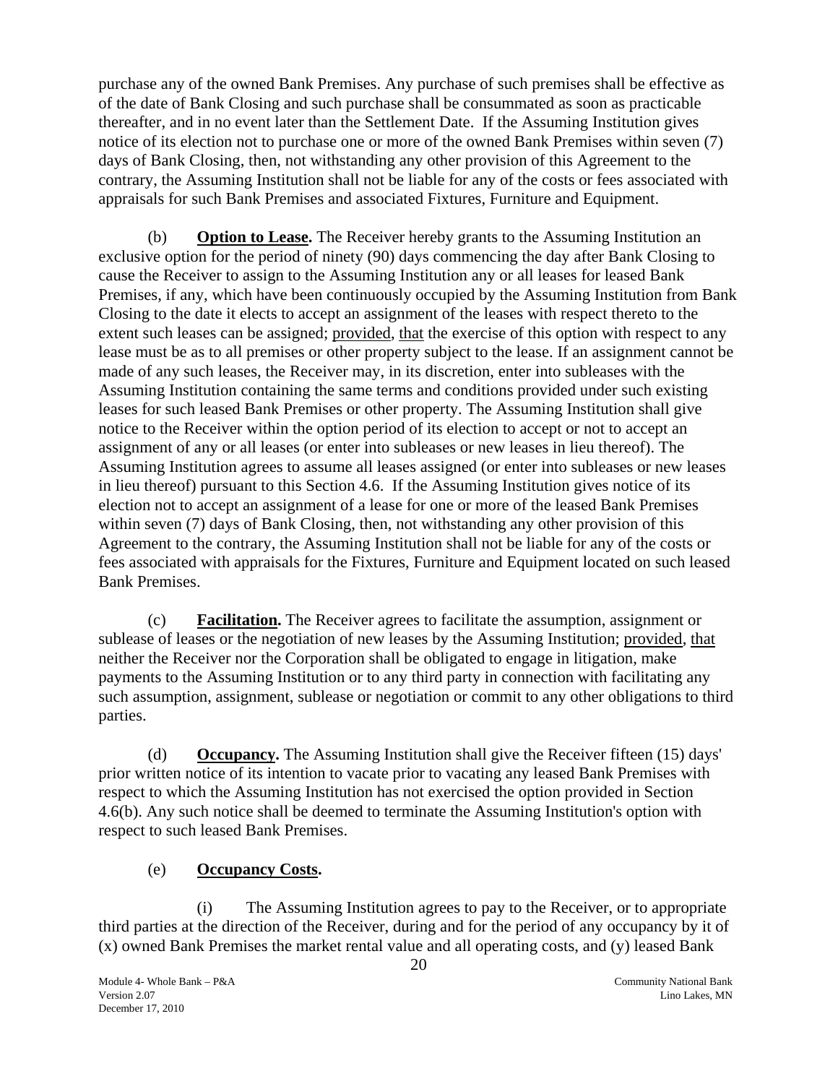purchase any of the owned Bank Premises. Any purchase of such premises shall be effective as of the date of Bank Closing and such purchase shall be consummated as soon as practicable thereafter, and in no event later than the Settlement Date. If the Assuming Institution gives notice of its election not to purchase one or more of the owned Bank Premises within seven (7) days of Bank Closing, then, not withstanding any other provision of this Agreement to the contrary, the Assuming Institution shall not be liable for any of the costs or fees associated with appraisals for such Bank Premises and associated Fixtures, Furniture and Equipment.

(b) **Option to Lease.** The Receiver hereby grants to the Assuming Institution an exclusive option for the period of ninety (90) days commencing the day after Bank Closing to cause the Receiver to assign to the Assuming Institution any or all leases for leased Bank Premises, if any, which have been continuously occupied by the Assuming Institution from Bank Closing to the date it elects to accept an assignment of the leases with respect thereto to the extent such leases can be assigned; provided, that the exercise of this option with respect to any lease must be as to all premises or other property subject to the lease. If an assignment cannot be made of any such leases, the Receiver may, in its discretion, enter into subleases with the Assuming Institution containing the same terms and conditions provided under such existing leases for such leased Bank Premises or other property. The Assuming Institution shall give notice to the Receiver within the option period of its election to accept or not to accept an assignment of any or all leases (or enter into subleases or new leases in lieu thereof). The Assuming Institution agrees to assume all leases assigned (or enter into subleases or new leases in lieu thereof) pursuant to this Section 4.6. If the Assuming Institution gives notice of its election not to accept an assignment of a lease for one or more of the leased Bank Premises within seven (7) days of Bank Closing, then, not withstanding any other provision of this Agreement to the contrary, the Assuming Institution shall not be liable for any of the costs or fees associated with appraisals for the Fixtures, Furniture and Equipment located on such leased Bank Premises.

(c) **Facilitation.** The Receiver agrees to facilitate the assumption, assignment or sublease of leases or the negotiation of new leases by the Assuming Institution; provided, that neither the Receiver nor the Corporation shall be obligated to engage in litigation, make payments to the Assuming Institution or to any third party in connection with facilitating any such assumption, assignment, sublease or negotiation or commit to any other obligations to third parties.

(d) **Occupancy.** The Assuming Institution shall give the Receiver fifteen (15) days' prior written notice of its intention to vacate prior to vacating any leased Bank Premises with respect to which the Assuming Institution has not exercised the option provided in Section 4.6(b). Any such notice shall be deemed to terminate the Assuming Institution's option with respect to such leased Bank Premises.

## (e) **Occupancy Costs.**

(i) The Assuming Institution agrees to pay to the Receiver, or to appropriate third parties at the direction of the Receiver, during and for the period of any occupancy by it of (x) owned Bank Premises the market rental value and all operating costs, and (y) leased Bank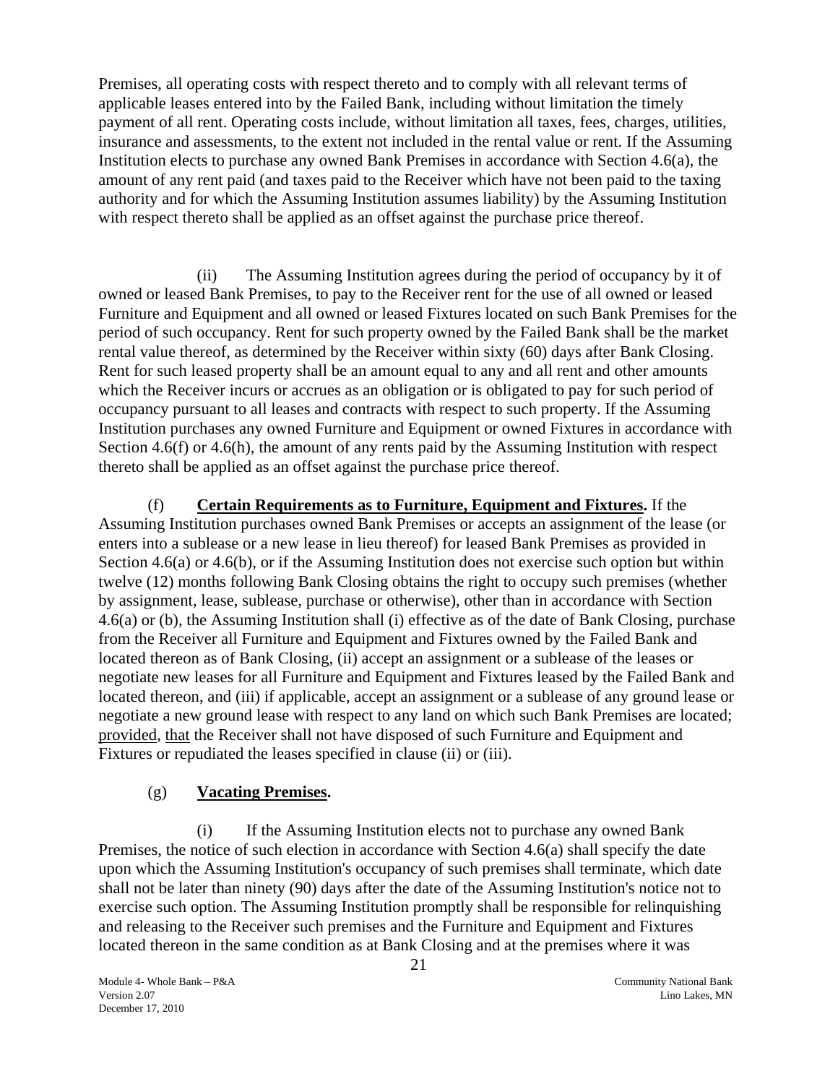Premises, all operating costs with respect thereto and to comply with all relevant terms of applicable leases entered into by the Failed Bank, including without limitation the timely payment of all rent. Operating costs include, without limitation all taxes, fees, charges, utilities, insurance and assessments, to the extent not included in the rental value or rent. If the Assuming Institution elects to purchase any owned Bank Premises in accordance with Section 4.6(a), the amount of any rent paid (and taxes paid to the Receiver which have not been paid to the taxing authority and for which the Assuming Institution assumes liability) by the Assuming Institution with respect thereto shall be applied as an offset against the purchase price thereof.

(ii) The Assuming Institution agrees during the period of occupancy by it of owned or leased Bank Premises, to pay to the Receiver rent for the use of all owned or leased Furniture and Equipment and all owned or leased Fixtures located on such Bank Premises for the period of such occupancy. Rent for such property owned by the Failed Bank shall be the market rental value thereof, as determined by the Receiver within sixty (60) days after Bank Closing. Rent for such leased property shall be an amount equal to any and all rent and other amounts which the Receiver incurs or accrues as an obligation or is obligated to pay for such period of occupancy pursuant to all leases and contracts with respect to such property. If the Assuming Institution purchases any owned Furniture and Equipment or owned Fixtures in accordance with Section 4.6(f) or 4.6(h), the amount of any rents paid by the Assuming Institution with respect thereto shall be applied as an offset against the purchase price thereof.

(f) **Certain Requirements as to Furniture, Equipment and Fixtures.** If the Assuming Institution purchases owned Bank Premises or accepts an assignment of the lease (or enters into a sublease or a new lease in lieu thereof) for leased Bank Premises as provided in Section 4.6(a) or 4.6(b), or if the Assuming Institution does not exercise such option but within twelve (12) months following Bank Closing obtains the right to occupy such premises (whether by assignment, lease, sublease, purchase or otherwise), other than in accordance with Section 4.6(a) or (b), the Assuming Institution shall (i) effective as of the date of Bank Closing, purchase from the Receiver all Furniture and Equipment and Fixtures owned by the Failed Bank and located thereon as of Bank Closing, (ii) accept an assignment or a sublease of the leases or negotiate new leases for all Furniture and Equipment and Fixtures leased by the Failed Bank and located thereon, and (iii) if applicable, accept an assignment or a sublease of any ground lease or negotiate a new ground lease with respect to any land on which such Bank Premises are located; provided, that the Receiver shall not have disposed of such Furniture and Equipment and Fixtures or repudiated the leases specified in clause (ii) or (iii).

## (g) **Vacating Premises.**

(i) If the Assuming Institution elects not to purchase any owned Bank Premises, the notice of such election in accordance with Section 4.6(a) shall specify the date upon which the Assuming Institution's occupancy of such premises shall terminate, which date shall not be later than ninety (90) days after the date of the Assuming Institution's notice not to exercise such option. The Assuming Institution promptly shall be responsible for relinquishing and releasing to the Receiver such premises and the Furniture and Equipment and Fixtures located thereon in the same condition as at Bank Closing and at the premises where it was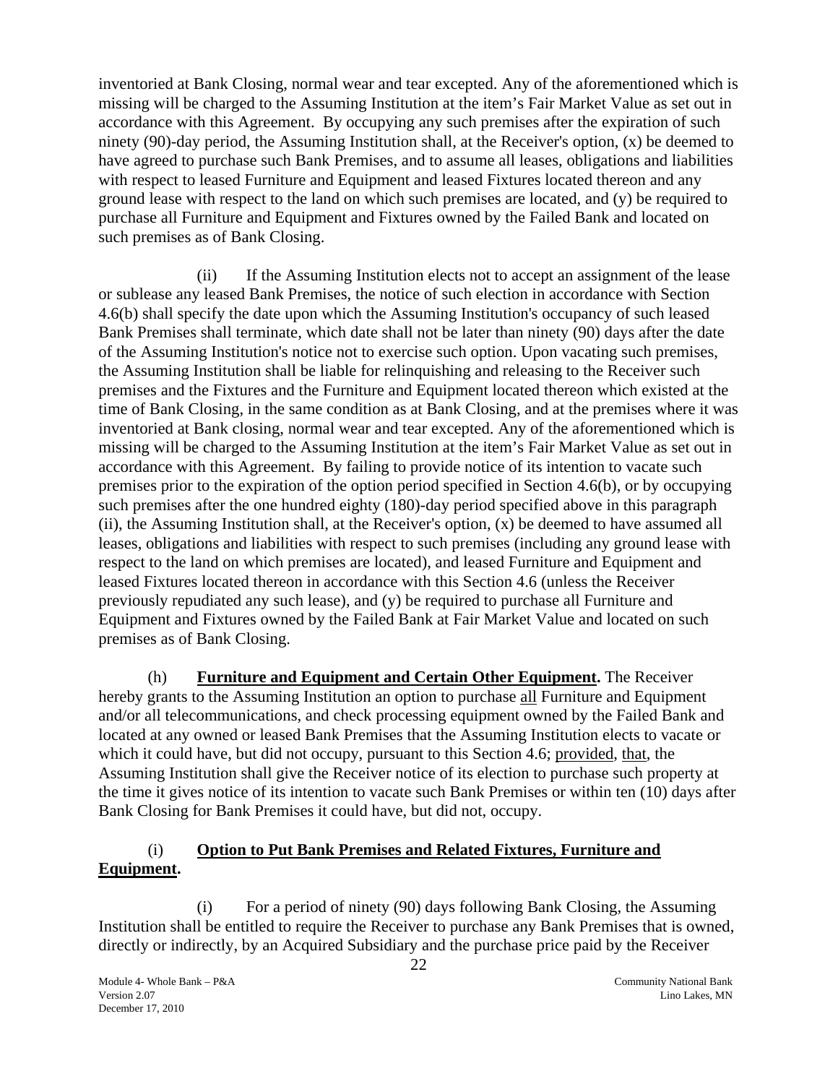inventoried at Bank Closing, normal wear and tear excepted. Any of the aforementioned which is missing will be charged to the Assuming Institution at the item's Fair Market Value as set out in accordance with this Agreement. By occupying any such premises after the expiration of such ninety (90)-day period, the Assuming Institution shall, at the Receiver's option, (x) be deemed to have agreed to purchase such Bank Premises, and to assume all leases, obligations and liabilities with respect to leased Furniture and Equipment and leased Fixtures located thereon and any ground lease with respect to the land on which such premises are located, and (y) be required to purchase all Furniture and Equipment and Fixtures owned by the Failed Bank and located on such premises as of Bank Closing.

(ii) If the Assuming Institution elects not to accept an assignment of the lease or sublease any leased Bank Premises, the notice of such election in accordance with Section 4.6(b) shall specify the date upon which the Assuming Institution's occupancy of such leased Bank Premises shall terminate, which date shall not be later than ninety (90) days after the date of the Assuming Institution's notice not to exercise such option. Upon vacating such premises, the Assuming Institution shall be liable for relinquishing and releasing to the Receiver such premises and the Fixtures and the Furniture and Equipment located thereon which existed at the time of Bank Closing, in the same condition as at Bank Closing, and at the premises where it was inventoried at Bank closing, normal wear and tear excepted. Any of the aforementioned which is missing will be charged to the Assuming Institution at the item's Fair Market Value as set out in accordance with this Agreement. By failing to provide notice of its intention to vacate such premises prior to the expiration of the option period specified in Section 4.6(b), or by occupying such premises after the one hundred eighty (180)-day period specified above in this paragraph  $(ii)$ , the Assuming Institution shall, at the Receiver's option,  $(x)$  be deemed to have assumed all leases, obligations and liabilities with respect to such premises (including any ground lease with respect to the land on which premises are located), and leased Furniture and Equipment and leased Fixtures located thereon in accordance with this Section 4.6 (unless the Receiver previously repudiated any such lease), and (y) be required to purchase all Furniture and Equipment and Fixtures owned by the Failed Bank at Fair Market Value and located on such premises as of Bank Closing.

(h) **Furniture and Equipment and Certain Other Equipment.** The Receiver hereby grants to the Assuming Institution an option to purchase all Furniture and Equipment and/or all telecommunications, and check processing equipment owned by the Failed Bank and located at any owned or leased Bank Premises that the Assuming Institution elects to vacate or which it could have, but did not occupy, pursuant to this Section 4.6; provided, that, the Assuming Institution shall give the Receiver notice of its election to purchase such property at the time it gives notice of its intention to vacate such Bank Premises or within ten (10) days after Bank Closing for Bank Premises it could have, but did not, occupy.

## (i) **Option to Put Bank Premises and Related Fixtures, Furniture and Equipment.**

(i) For a period of ninety (90) days following Bank Closing, the Assuming Institution shall be entitled to require the Receiver to purchase any Bank Premises that is owned, directly or indirectly, by an Acquired Subsidiary and the purchase price paid by the Receiver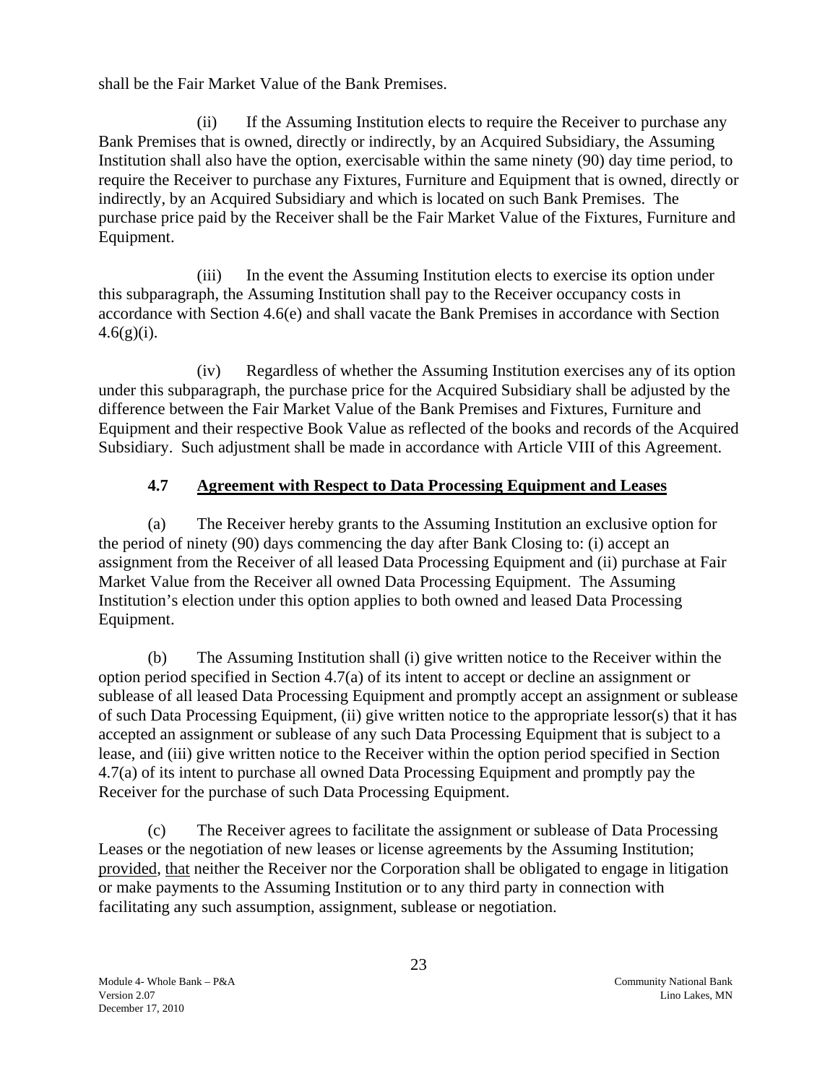<span id="page-26-0"></span>shall be the Fair Market Value of the Bank Premises.

(ii) If the Assuming Institution elects to require the Receiver to purchase any Bank Premises that is owned, directly or indirectly, by an Acquired Subsidiary, the Assuming Institution shall also have the option, exercisable within the same ninety (90) day time period, to require the Receiver to purchase any Fixtures, Furniture and Equipment that is owned, directly or indirectly, by an Acquired Subsidiary and which is located on such Bank Premises. The purchase price paid by the Receiver shall be the Fair Market Value of the Fixtures, Furniture and Equipment.

(iii) In the event the Assuming Institution elects to exercise its option under this subparagraph, the Assuming Institution shall pay to the Receiver occupancy costs in accordance with Section 4.6(e) and shall vacate the Bank Premises in accordance with Section  $4.6(g)(i)$ .

(iv) Regardless of whether the Assuming Institution exercises any of its option under this subparagraph, the purchase price for the Acquired Subsidiary shall be adjusted by the difference between the Fair Market Value of the Bank Premises and Fixtures, Furniture and Equipment and their respective Book Value as reflected of the books and records of the Acquired Subsidiary. Such adjustment shall be made in accordance with Article VIII of this Agreement.

# **4.7 Agreement with Respect to Data Processing Equipment and Leases**

(a) The Receiver hereby grants to the Assuming Institution an exclusive option for the period of ninety (90) days commencing the day after Bank Closing to: (i) accept an assignment from the Receiver of all leased Data Processing Equipment and (ii) purchase at Fair Market Value from the Receiver all owned Data Processing Equipment. The Assuming Institution's election under this option applies to both owned and leased Data Processing Equipment.

(b) The Assuming Institution shall (i) give written notice to the Receiver within the option period specified in Section 4.7(a) of its intent to accept or decline an assignment or sublease of all leased Data Processing Equipment and promptly accept an assignment or sublease of such Data Processing Equipment, (ii) give written notice to the appropriate lessor(s) that it has accepted an assignment or sublease of any such Data Processing Equipment that is subject to a lease, and (iii) give written notice to the Receiver within the option period specified in Section 4.7(a) of its intent to purchase all owned Data Processing Equipment and promptly pay the Receiver for the purchase of such Data Processing Equipment.

(c) The Receiver agrees to facilitate the assignment or sublease of Data Processing Leases or the negotiation of new leases or license agreements by the Assuming Institution; provided, that neither the Receiver nor the Corporation shall be obligated to engage in litigation or make payments to the Assuming Institution or to any third party in connection with facilitating any such assumption, assignment, sublease or negotiation.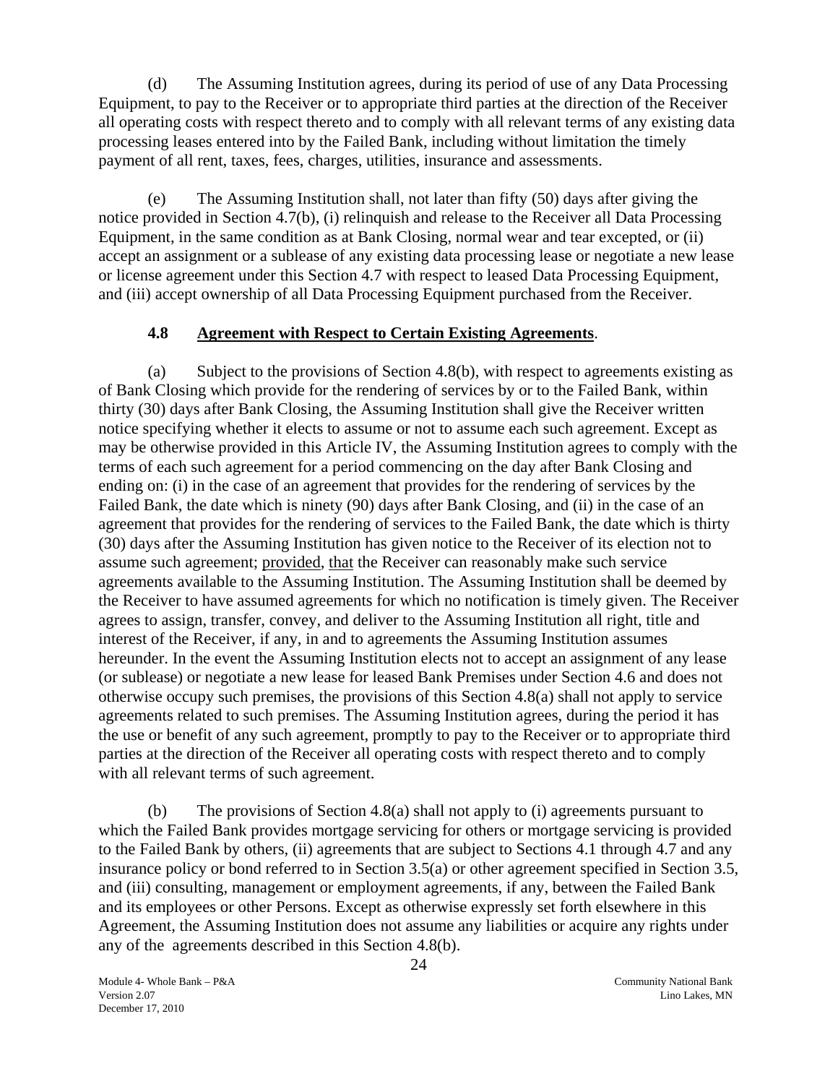(d) The Assuming Institution agrees, during its period of use of any Data Processing Equipment, to pay to the Receiver or to appropriate third parties at the direction of the Receiver all operating costs with respect thereto and to comply with all relevant terms of any existing data processing leases entered into by the Failed Bank, including without limitation the timely payment of all rent, taxes, fees, charges, utilities, insurance and assessments.

(e) The Assuming Institution shall, not later than fifty (50) days after giving the notice provided in Section 4.7(b), (i) relinquish and release to the Receiver all Data Processing Equipment, in the same condition as at Bank Closing, normal wear and tear excepted, or (ii) accept an assignment or a sublease of any existing data processing lease or negotiate a new lease or license agreement under this Section 4.7 with respect to leased Data Processing Equipment, and (iii) accept ownership of all Data Processing Equipment purchased from the Receiver.

#### **4.8 Agreement with Respect to Certain Existing Agreements**.

(a) Subject to the provisions of Section 4.8(b), with respect to agreements existing as of Bank Closing which provide for the rendering of services by or to the Failed Bank, within thirty (30) days after Bank Closing, the Assuming Institution shall give the Receiver written notice specifying whether it elects to assume or not to assume each such agreement. Except as may be otherwise provided in this Article IV, the Assuming Institution agrees to comply with the terms of each such agreement for a period commencing on the day after Bank Closing and ending on: (i) in the case of an agreement that provides for the rendering of services by the Failed Bank, the date which is ninety (90) days after Bank Closing, and (ii) in the case of an agreement that provides for the rendering of services to the Failed Bank, the date which is thirty (30) days after the Assuming Institution has given notice to the Receiver of its election not to assume such agreement; provided, that the Receiver can reasonably make such service agreements available to the Assuming Institution. The Assuming Institution shall be deemed by the Receiver to have assumed agreements for which no notification is timely given. The Receiver agrees to assign, transfer, convey, and deliver to the Assuming Institution all right, title and interest of the Receiver, if any, in and to agreements the Assuming Institution assumes hereunder. In the event the Assuming Institution elects not to accept an assignment of any lease (or sublease) or negotiate a new lease for leased Bank Premises under Section 4.6 and does not otherwise occupy such premises, the provisions of this Section 4.8(a) shall not apply to service agreements related to such premises. The Assuming Institution agrees, during the period it has the use or benefit of any such agreement, promptly to pay to the Receiver or to appropriate third parties at the direction of the Receiver all operating costs with respect thereto and to comply with all relevant terms of such agreement.

(b) The provisions of Section 4.8(a) shall not apply to (i) agreements pursuant to which the Failed Bank provides mortgage servicing for others or mortgage servicing is provided to the Failed Bank by others, (ii) agreements that are subject to Sections 4.1 through 4.7 and any insurance policy or bond referred to in Section 3.5(a) or other agreement specified in Section 3.5, and (iii) consulting, management or employment agreements, if any, between the Failed Bank and its employees or other Persons. Except as otherwise expressly set forth elsewhere in this Agreement, the Assuming Institution does not assume any liabilities or acquire any rights under any of the agreements described in this Section 4.8(b).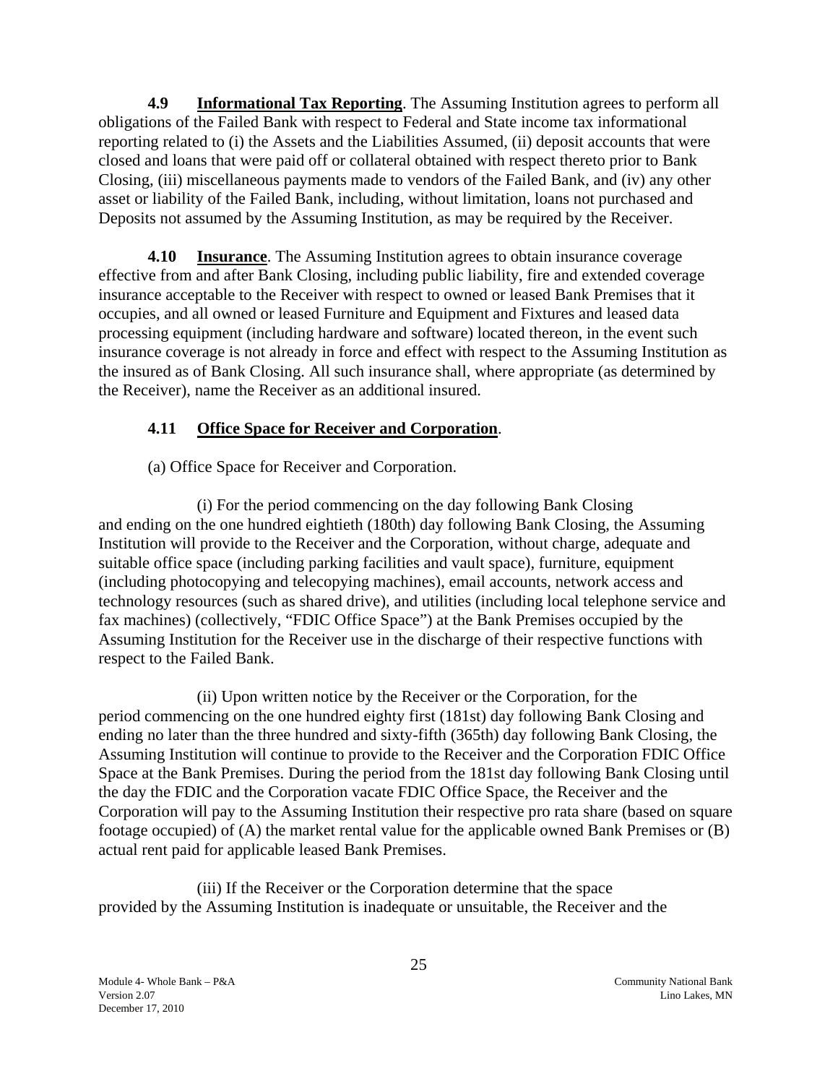<span id="page-28-0"></span> **4.9 Informational Tax Reporting**. The Assuming Institution agrees to perform all obligations of the Failed Bank with respect to Federal and State income tax informational reporting related to (i) the Assets and the Liabilities Assumed, (ii) deposit accounts that were closed and loans that were paid off or collateral obtained with respect thereto prior to Bank Closing, (iii) miscellaneous payments made to vendors of the Failed Bank, and (iv) any other asset or liability of the Failed Bank, including, without limitation, loans not purchased and Deposits not assumed by the Assuming Institution, as may be required by the Receiver.

**4.10 Insurance**. The Assuming Institution agrees to obtain insurance coverage effective from and after Bank Closing, including public liability, fire and extended coverage insurance acceptable to the Receiver with respect to owned or leased Bank Premises that it occupies, and all owned or leased Furniture and Equipment and Fixtures and leased data processing equipment (including hardware and software) located thereon, in the event such insurance coverage is not already in force and effect with respect to the Assuming Institution as the insured as of Bank Closing. All such insurance shall, where appropriate (as determined by the Receiver), name the Receiver as an additional insured.

## **4.11 Office Space for Receiver and Corporation**.

(a) Office Space for Receiver and Corporation.

(i) For the period commencing on the day following Bank Closing and ending on the one hundred eightieth (180th) day following Bank Closing, the Assuming Institution will provide to the Receiver and the Corporation, without charge, adequate and suitable office space (including parking facilities and vault space), furniture, equipment (including photocopying and telecopying machines), email accounts, network access and technology resources (such as shared drive), and utilities (including local telephone service and fax machines) (collectively, "FDIC Office Space") at the Bank Premises occupied by the Assuming Institution for the Receiver use in the discharge of their respective functions with respect to the Failed Bank.

(ii) Upon written notice by the Receiver or the Corporation, for the period commencing on the one hundred eighty first (181st) day following Bank Closing and ending no later than the three hundred and sixty-fifth (365th) day following Bank Closing, the Assuming Institution will continue to provide to the Receiver and the Corporation FDIC Office Space at the Bank Premises. During the period from the 181st day following Bank Closing until the day the FDIC and the Corporation vacate FDIC Office Space, the Receiver and the Corporation will pay to the Assuming Institution their respective pro rata share (based on square footage occupied) of (A) the market rental value for the applicable owned Bank Premises or (B) actual rent paid for applicable leased Bank Premises.

(iii) If the Receiver or the Corporation determine that the space provided by the Assuming Institution is inadequate or unsuitable, the Receiver and the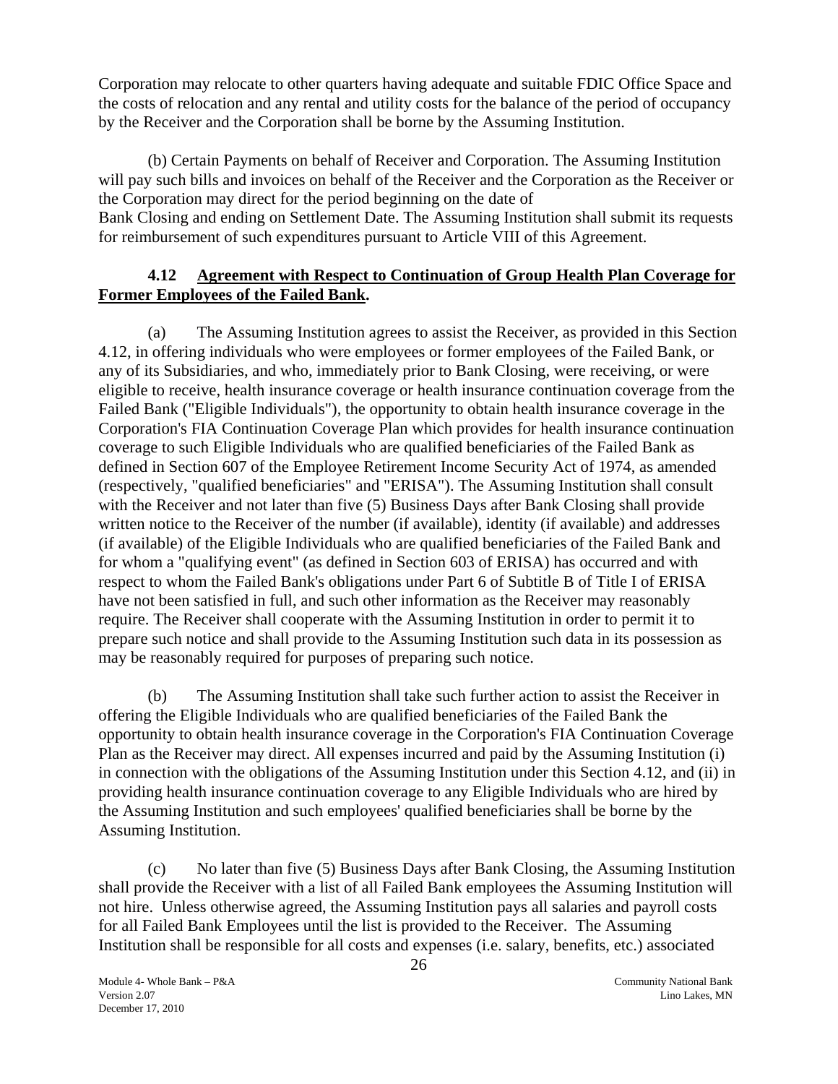<span id="page-29-0"></span>Corporation may relocate to other quarters having adequate and suitable FDIC Office Space and the costs of relocation and any rental and utility costs for the balance of the period of occupancy by the Receiver and the Corporation shall be borne by the Assuming Institution.

(b) Certain Payments on behalf of Receiver and Corporation. The Assuming Institution will pay such bills and invoices on behalf of the Receiver and the Corporation as the Receiver or the Corporation may direct for the period beginning on the date of Bank Closing and ending on Settlement Date. The Assuming Institution shall submit its requests for reimbursement of such expenditures pursuant to Article VIII of this Agreement.

## **4.12 Agreement with Respect to Continuation of Group Health Plan Coverage for Former Employees of the Failed Bank.**

(a) The Assuming Institution agrees to assist the Receiver, as provided in this Section 4.12, in offering individuals who were employees or former employees of the Failed Bank, or any of its Subsidiaries, and who, immediately prior to Bank Closing, were receiving, or were eligible to receive, health insurance coverage or health insurance continuation coverage from the Failed Bank ("Eligible Individuals"), the opportunity to obtain health insurance coverage in the Corporation's FIA Continuation Coverage Plan which provides for health insurance continuation coverage to such Eligible Individuals who are qualified beneficiaries of the Failed Bank as defined in Section 607 of the Employee Retirement Income Security Act of 1974, as amended (respectively, "qualified beneficiaries" and "ERISA"). The Assuming Institution shall consult with the Receiver and not later than five (5) Business Days after Bank Closing shall provide written notice to the Receiver of the number (if available), identity (if available) and addresses (if available) of the Eligible Individuals who are qualified beneficiaries of the Failed Bank and for whom a "qualifying event" (as defined in Section 603 of ERISA) has occurred and with respect to whom the Failed Bank's obligations under Part 6 of Subtitle B of Title I of ERISA have not been satisfied in full, and such other information as the Receiver may reasonably require. The Receiver shall cooperate with the Assuming Institution in order to permit it to prepare such notice and shall provide to the Assuming Institution such data in its possession as may be reasonably required for purposes of preparing such notice.

(b) The Assuming Institution shall take such further action to assist the Receiver in offering the Eligible Individuals who are qualified beneficiaries of the Failed Bank the opportunity to obtain health insurance coverage in the Corporation's FIA Continuation Coverage Plan as the Receiver may direct. All expenses incurred and paid by the Assuming Institution (i) in connection with the obligations of the Assuming Institution under this Section 4.12, and (ii) in providing health insurance continuation coverage to any Eligible Individuals who are hired by the Assuming Institution and such employees' qualified beneficiaries shall be borne by the Assuming Institution.

(c) No later than five (5) Business Days after Bank Closing, the Assuming Institution shall provide the Receiver with a list of all Failed Bank employees the Assuming Institution will not hire. Unless otherwise agreed, the Assuming Institution pays all salaries and payroll costs for all Failed Bank Employees until the list is provided to the Receiver. The Assuming Institution shall be responsible for all costs and expenses (i.e. salary, benefits, etc.) associated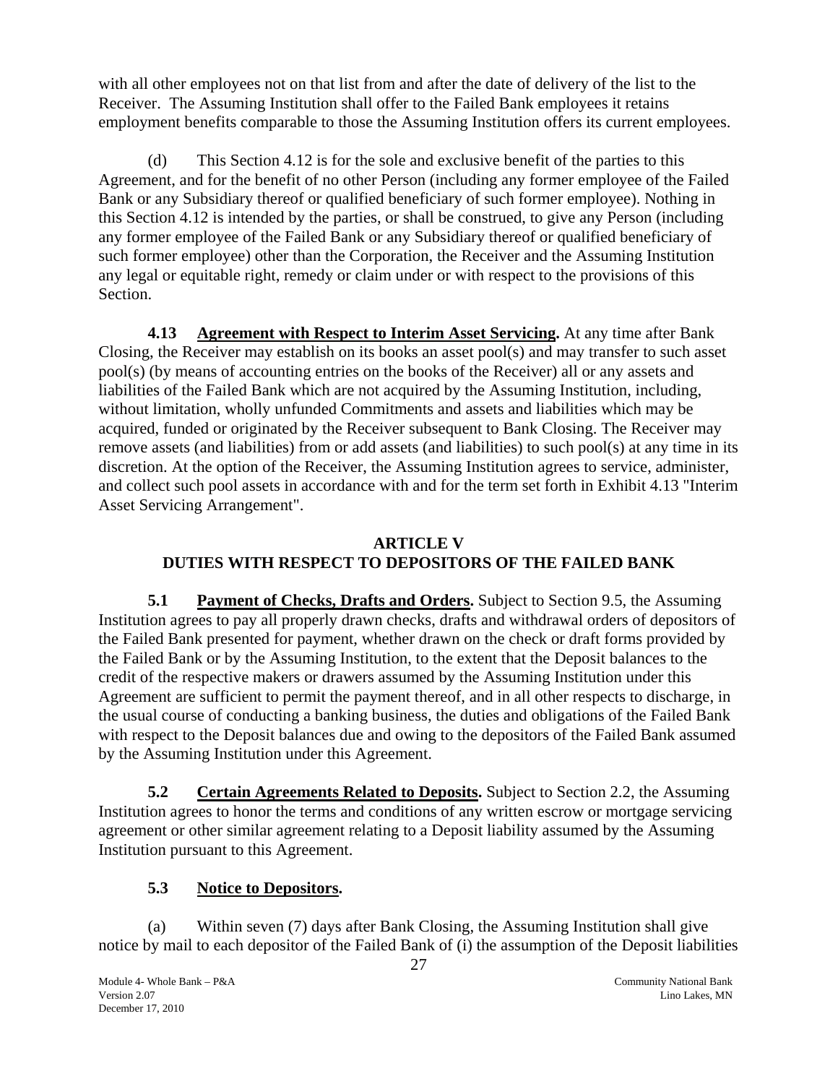<span id="page-30-0"></span>with all other employees not on that list from and after the date of delivery of the list to the Receiver. The Assuming Institution shall offer to the Failed Bank employees it retains employment benefits comparable to those the Assuming Institution offers its current employees.

(d) This Section 4.12 is for the sole and exclusive benefit of the parties to this Agreement, and for the benefit of no other Person (including any former employee of the Failed Bank or any Subsidiary thereof or qualified beneficiary of such former employee). Nothing in this Section 4.12 is intended by the parties, or shall be construed, to give any Person (including any former employee of the Failed Bank or any Subsidiary thereof or qualified beneficiary of such former employee) other than the Corporation, the Receiver and the Assuming Institution any legal or equitable right, remedy or claim under or with respect to the provisions of this Section.

**4.13 Agreement with Respect to Interim Asset Servicing.** At any time after Bank Closing, the Receiver may establish on its books an asset pool(s) and may transfer to such asset pool(s) (by means of accounting entries on the books of the Receiver) all or any assets and liabilities of the Failed Bank which are not acquired by the Assuming Institution, including, without limitation, wholly unfunded Commitments and assets and liabilities which may be acquired, funded or originated by the Receiver subsequent to Bank Closing. The Receiver may remove assets (and liabilities) from or add assets (and liabilities) to such pool(s) at any time in its discretion. At the option of the Receiver, the Assuming Institution agrees to service, administer, and collect such pool assets in accordance with and for the term set forth in Exhibit 4.13 "Interim Asset Servicing Arrangement".

## **ARTICLE V DUTIES WITH RESPECT TO DEPOSITORS OF THE FAILED BANK**

**5.1** Payment of Checks, Drafts and Orders. Subject to Section 9.5, the Assuming Institution agrees to pay all properly drawn checks, drafts and withdrawal orders of depositors of the Failed Bank presented for payment, whether drawn on the check or draft forms provided by the Failed Bank or by the Assuming Institution, to the extent that the Deposit balances to the credit of the respective makers or drawers assumed by the Assuming Institution under this Agreement are sufficient to permit the payment thereof, and in all other respects to discharge, in the usual course of conducting a banking business, the duties and obligations of the Failed Bank with respect to the Deposit balances due and owing to the depositors of the Failed Bank assumed by the Assuming Institution under this Agreement.

**5.2 Certain Agreements Related to Deposits.** Subject to Section 2.2, the Assuming Institution agrees to honor the terms and conditions of any written escrow or mortgage servicing agreement or other similar agreement relating to a Deposit liability assumed by the Assuming Institution pursuant to this Agreement.

## **5.3 Notice to Depositors.**

(a) Within seven (7) days after Bank Closing, the Assuming Institution shall give notice by mail to each depositor of the Failed Bank of (i) the assumption of the Deposit liabilities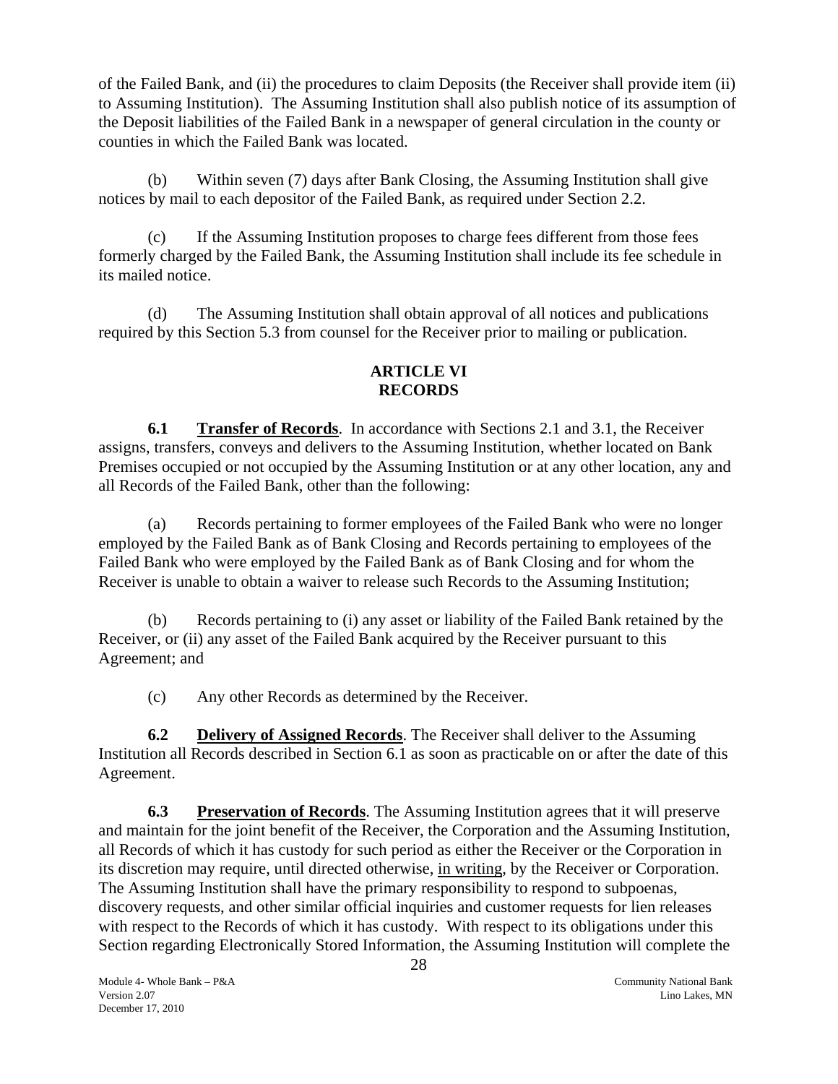<span id="page-31-0"></span>of the Failed Bank, and (ii) the procedures to claim Deposits (the Receiver shall provide item (ii) to Assuming Institution). The Assuming Institution shall also publish notice of its assumption of the Deposit liabilities of the Failed Bank in a newspaper of general circulation in the county or counties in which the Failed Bank was located.

(b) Within seven (7) days after Bank Closing, the Assuming Institution shall give notices by mail to each depositor of the Failed Bank, as required under Section 2.2.

(c) If the Assuming Institution proposes to charge fees different from those fees formerly charged by the Failed Bank, the Assuming Institution shall include its fee schedule in its mailed notice.

(d) The Assuming Institution shall obtain approval of all notices and publications required by this Section 5.3 from counsel for the Receiver prior to mailing or publication.

## **ARTICLE VI RECORDS**

 **6.1 Transfer of Records**. In accordance with Sections 2.1 and 3.1, the Receiver assigns, transfers, conveys and delivers to the Assuming Institution, whether located on Bank Premises occupied or not occupied by the Assuming Institution or at any other location, any and all Records of the Failed Bank, other than the following:

(a) Records pertaining to former employees of the Failed Bank who were no longer employed by the Failed Bank as of Bank Closing and Records pertaining to employees of the Failed Bank who were employed by the Failed Bank as of Bank Closing and for whom the Receiver is unable to obtain a waiver to release such Records to the Assuming Institution;

(b) Records pertaining to (i) any asset or liability of the Failed Bank retained by the Receiver, or (ii) any asset of the Failed Bank acquired by the Receiver pursuant to this Agreement; and

(c) Any other Records as determined by the Receiver.

**6.2** Delivery of Assigned Records. The Receiver shall deliver to the Assuming Institution all Records described in Section 6.1 as soon as practicable on or after the date of this Agreement.

**6.3 Preservation of Records**. The Assuming Institution agrees that it will preserve and maintain for the joint benefit of the Receiver, the Corporation and the Assuming Institution, all Records of which it has custody for such period as either the Receiver or the Corporation in its discretion may require, until directed otherwise, in writing, by the Receiver or Corporation. The Assuming Institution shall have the primary responsibility to respond to subpoenas, discovery requests, and other similar official inquiries and customer requests for lien releases with respect to the Records of which it has custody. With respect to its obligations under this Section regarding Electronically Stored Information, the Assuming Institution will complete the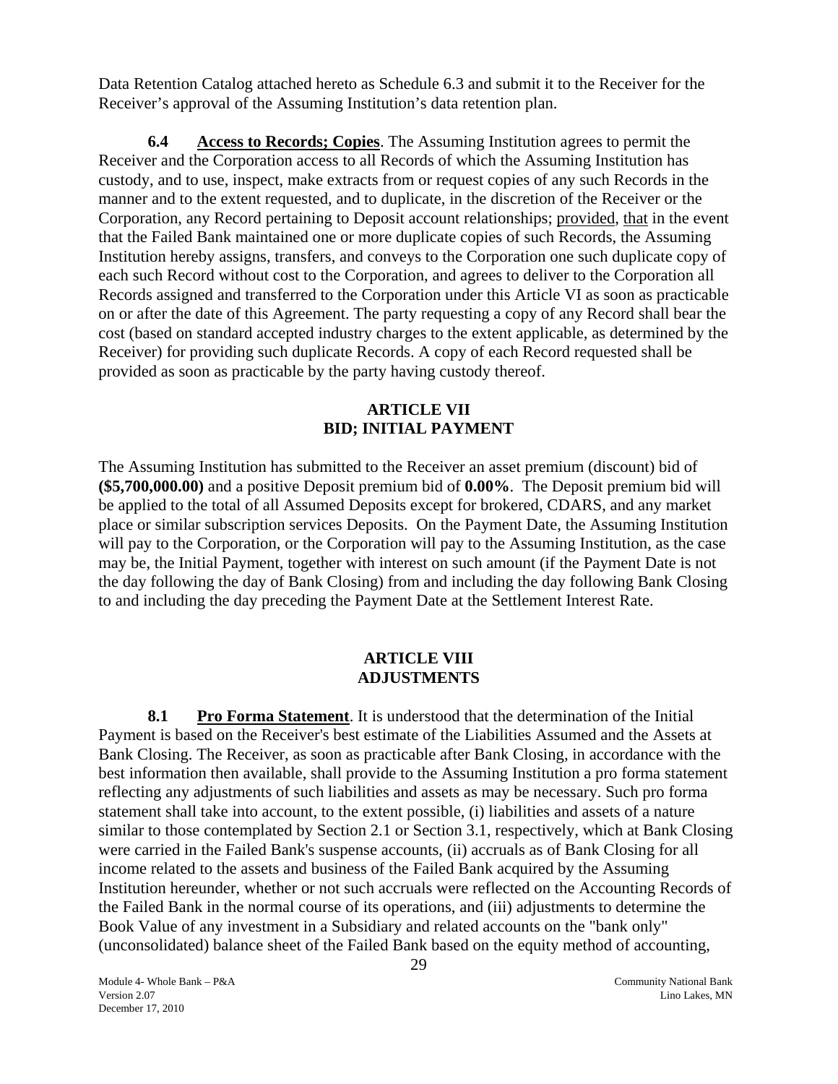<span id="page-32-0"></span>Data Retention Catalog attached hereto as Schedule 6.3 and submit it to the Receiver for the Receiver's approval of the Assuming Institution's data retention plan.

**6.4 Access to Records; Copies**. The Assuming Institution agrees to permit the Receiver and the Corporation access to all Records of which the Assuming Institution has custody, and to use, inspect, make extracts from or request copies of any such Records in the manner and to the extent requested, and to duplicate, in the discretion of the Receiver or the Corporation, any Record pertaining to Deposit account relationships; provided, that in the event that the Failed Bank maintained one or more duplicate copies of such Records, the Assuming Institution hereby assigns, transfers, and conveys to the Corporation one such duplicate copy of each such Record without cost to the Corporation, and agrees to deliver to the Corporation all Records assigned and transferred to the Corporation under this Article VI as soon as practicable on or after the date of this Agreement. The party requesting a copy of any Record shall bear the cost (based on standard accepted industry charges to the extent applicable, as determined by the Receiver) for providing such duplicate Records. A copy of each Record requested shall be provided as soon as practicable by the party having custody thereof.

## **ARTICLE VII BID; INITIAL PAYMENT**

The Assuming Institution has submitted to the Receiver an asset premium (discount) bid of **(\$5,700,000.00)** and a positive Deposit premium bid of **0.00%**. The Deposit premium bid will be applied to the total of all Assumed Deposits except for brokered, CDARS, and any market place or similar subscription services Deposits. On the Payment Date, the Assuming Institution will pay to the Corporation, or the Corporation will pay to the Assuming Institution, as the case may be, the Initial Payment, together with interest on such amount (if the Payment Date is not the day following the day of Bank Closing) from and including the day following Bank Closing to and including the day preceding the Payment Date at the Settlement Interest Rate.

#### **ARTICLE VIII ADJUSTMENTS**

**8.1 Pro Forma Statement**. It is understood that the determination of the Initial Payment is based on the Receiver's best estimate of the Liabilities Assumed and the Assets at Bank Closing. The Receiver, as soon as practicable after Bank Closing, in accordance with the best information then available, shall provide to the Assuming Institution a pro forma statement reflecting any adjustments of such liabilities and assets as may be necessary. Such pro forma statement shall take into account, to the extent possible, (i) liabilities and assets of a nature similar to those contemplated by Section 2.1 or Section 3.1, respectively, which at Bank Closing were carried in the Failed Bank's suspense accounts, (ii) accruals as of Bank Closing for all income related to the assets and business of the Failed Bank acquired by the Assuming Institution hereunder, whether or not such accruals were reflected on the Accounting Records of the Failed Bank in the normal course of its operations, and (iii) adjustments to determine the Book Value of any investment in a Subsidiary and related accounts on the "bank only" (unconsolidated) balance sheet of the Failed Bank based on the equity method of accounting,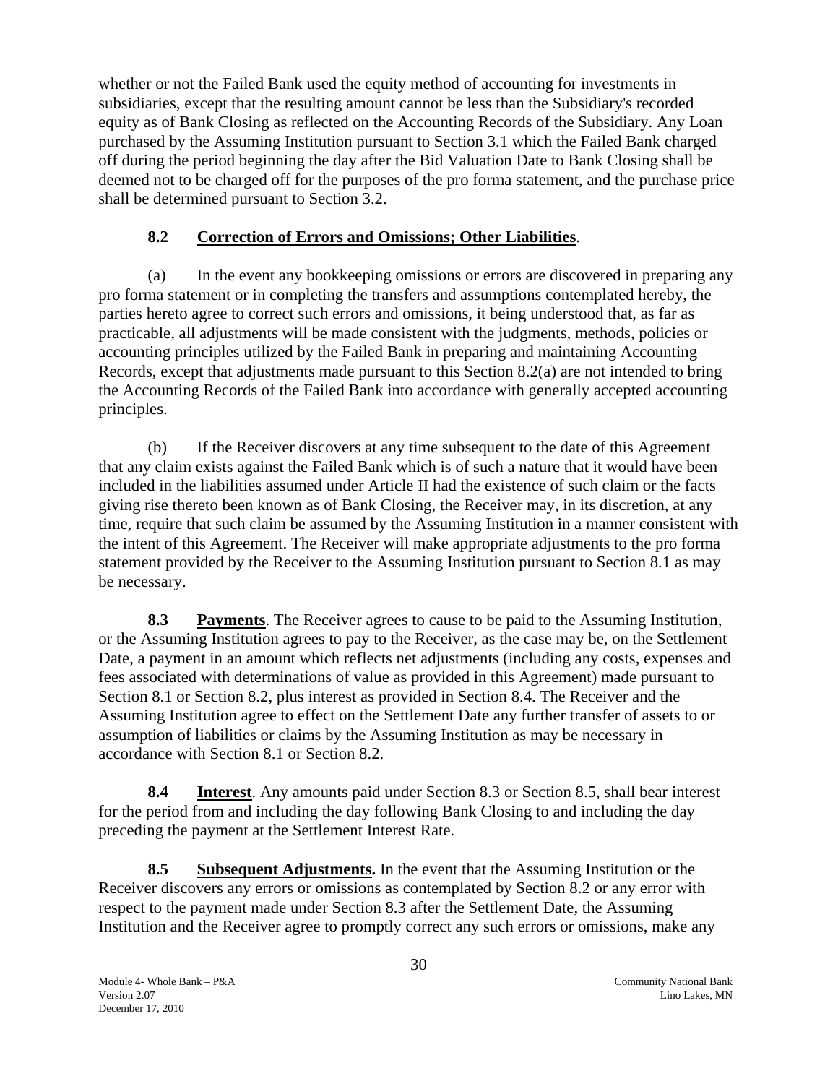<span id="page-33-0"></span>whether or not the Failed Bank used the equity method of accounting for investments in subsidiaries, except that the resulting amount cannot be less than the Subsidiary's recorded equity as of Bank Closing as reflected on the Accounting Records of the Subsidiary. Any Loan purchased by the Assuming Institution pursuant to Section 3.1 which the Failed Bank charged off during the period beginning the day after the Bid Valuation Date to Bank Closing shall be deemed not to be charged off for the purposes of the pro forma statement, and the purchase price shall be determined pursuant to Section 3.2.

# **8.2 Correction of Errors and Omissions; Other Liabilities**.

(a) In the event any bookkeeping omissions or errors are discovered in preparing any pro forma statement or in completing the transfers and assumptions contemplated hereby, the parties hereto agree to correct such errors and omissions, it being understood that, as far as practicable, all adjustments will be made consistent with the judgments, methods, policies or accounting principles utilized by the Failed Bank in preparing and maintaining Accounting Records, except that adjustments made pursuant to this Section 8.2(a) are not intended to bring the Accounting Records of the Failed Bank into accordance with generally accepted accounting principles.

(b) If the Receiver discovers at any time subsequent to the date of this Agreement that any claim exists against the Failed Bank which is of such a nature that it would have been included in the liabilities assumed under Article II had the existence of such claim or the facts giving rise thereto been known as of Bank Closing, the Receiver may, in its discretion, at any time, require that such claim be assumed by the Assuming Institution in a manner consistent with the intent of this Agreement. The Receiver will make appropriate adjustments to the pro forma statement provided by the Receiver to the Assuming Institution pursuant to Section 8.1 as may be necessary.

**8.3 Payments**. The Receiver agrees to cause to be paid to the Assuming Institution, or the Assuming Institution agrees to pay to the Receiver, as the case may be, on the Settlement Date, a payment in an amount which reflects net adjustments (including any costs, expenses and fees associated with determinations of value as provided in this Agreement) made pursuant to Section 8.1 or Section 8.2, plus interest as provided in Section 8.4. The Receiver and the Assuming Institution agree to effect on the Settlement Date any further transfer of assets to or assumption of liabilities or claims by the Assuming Institution as may be necessary in accordance with Section 8.1 or Section 8.2.

**8.4 Interest**. Any amounts paid under Section 8.3 or Section 8.5, shall bear interest for the period from and including the day following Bank Closing to and including the day preceding the payment at the Settlement Interest Rate.

**8.5 Subsequent Adjustments.** In the event that the Assuming Institution or the Receiver discovers any errors or omissions as contemplated by Section 8.2 or any error with respect to the payment made under Section 8.3 after the Settlement Date, the Assuming Institution and the Receiver agree to promptly correct any such errors or omissions, make any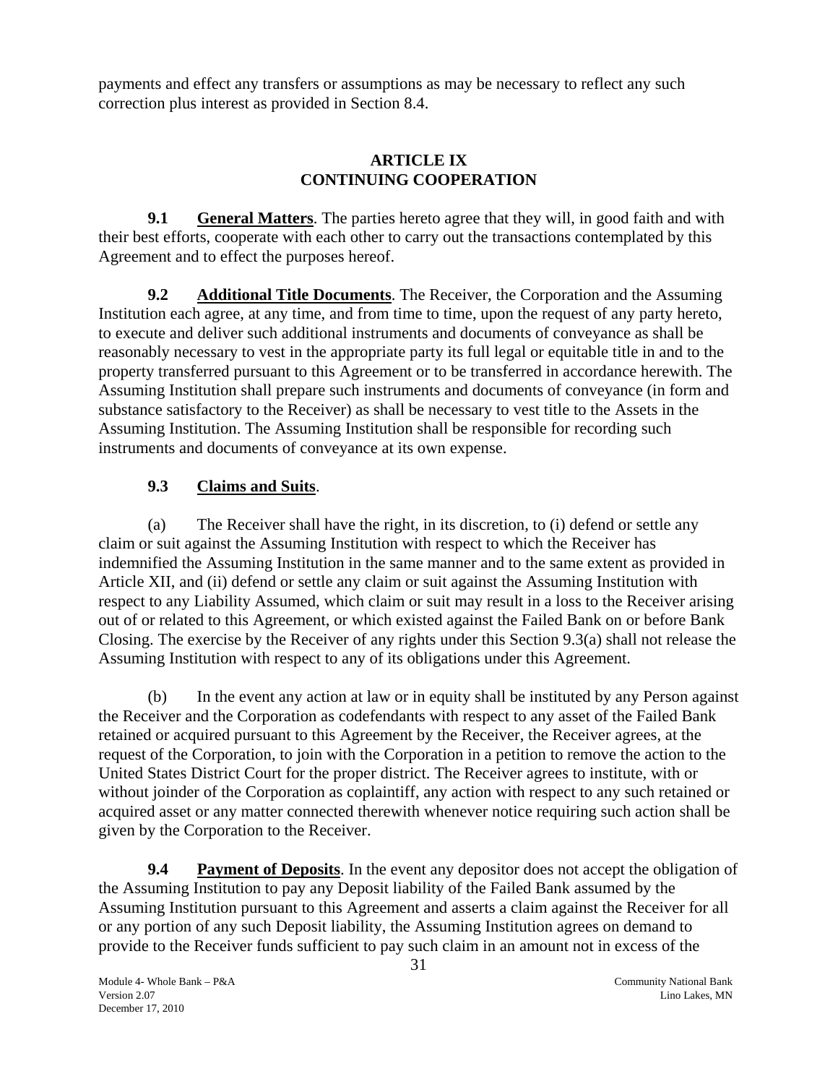<span id="page-34-0"></span>payments and effect any transfers or assumptions as may be necessary to reflect any such correction plus interest as provided in Section 8.4.

## **ARTICLE IX CONTINUING COOPERATION**

**9.1** General Matters. The parties hereto agree that they will, in good faith and with their best efforts, cooperate with each other to carry out the transactions contemplated by this Agreement and to effect the purposes hereof.

**9.2 Additional Title Documents**. The Receiver, the Corporation and the Assuming Institution each agree, at any time, and from time to time, upon the request of any party hereto, to execute and deliver such additional instruments and documents of conveyance as shall be reasonably necessary to vest in the appropriate party its full legal or equitable title in and to the property transferred pursuant to this Agreement or to be transferred in accordance herewith. The Assuming Institution shall prepare such instruments and documents of conveyance (in form and substance satisfactory to the Receiver) as shall be necessary to vest title to the Assets in the Assuming Institution. The Assuming Institution shall be responsible for recording such instruments and documents of conveyance at its own expense.

# **9.3 Claims and Suits**.

(a) The Receiver shall have the right, in its discretion, to (i) defend or settle any claim or suit against the Assuming Institution with respect to which the Receiver has indemnified the Assuming Institution in the same manner and to the same extent as provided in Article XII, and (ii) defend or settle any claim or suit against the Assuming Institution with respect to any Liability Assumed, which claim or suit may result in a loss to the Receiver arising out of or related to this Agreement, or which existed against the Failed Bank on or before Bank Closing. The exercise by the Receiver of any rights under this Section 9.3(a) shall not release the Assuming Institution with respect to any of its obligations under this Agreement.

(b) In the event any action at law or in equity shall be instituted by any Person against the Receiver and the Corporation as codefendants with respect to any asset of the Failed Bank retained or acquired pursuant to this Agreement by the Receiver, the Receiver agrees, at the request of the Corporation, to join with the Corporation in a petition to remove the action to the United States District Court for the proper district. The Receiver agrees to institute, with or without joinder of the Corporation as coplaintiff, any action with respect to any such retained or acquired asset or any matter connected therewith whenever notice requiring such action shall be given by the Corporation to the Receiver.

**9.4 Payment of Deposits**. In the event any depositor does not accept the obligation of the Assuming Institution to pay any Deposit liability of the Failed Bank assumed by the Assuming Institution pursuant to this Agreement and asserts a claim against the Receiver for all or any portion of any such Deposit liability, the Assuming Institution agrees on demand to provide to the Receiver funds sufficient to pay such claim in an amount not in excess of the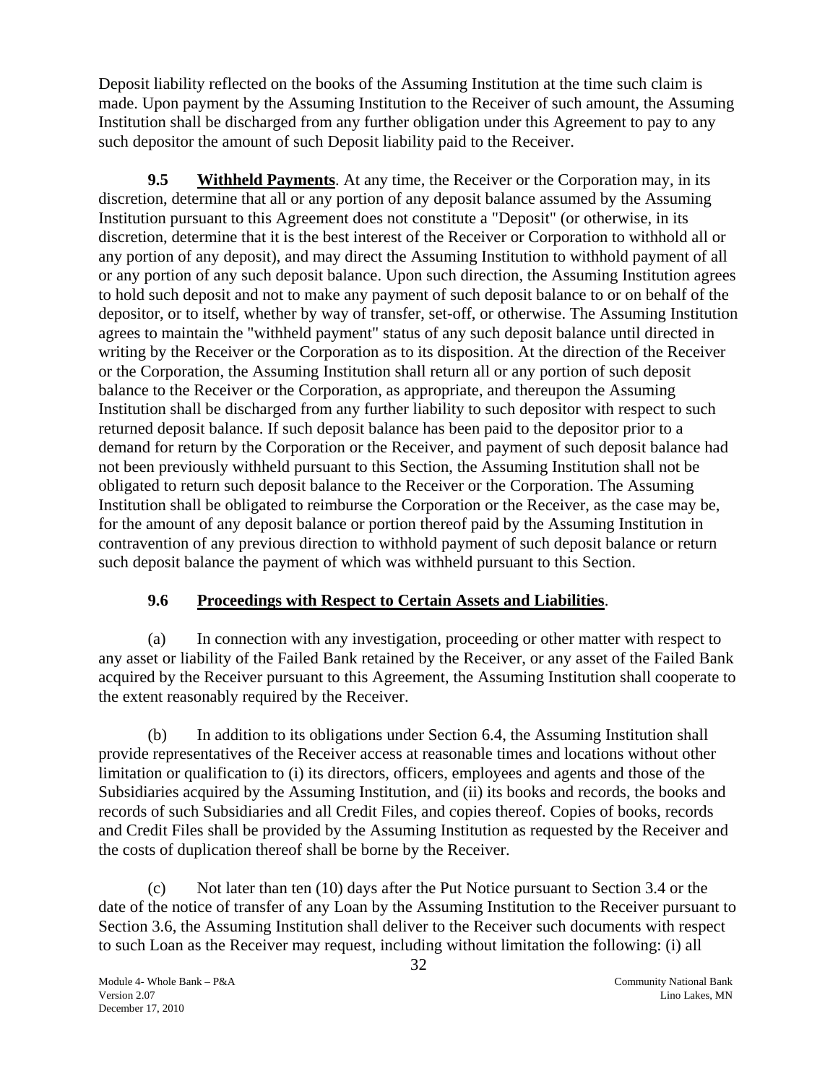<span id="page-35-0"></span>Deposit liability reflected on the books of the Assuming Institution at the time such claim is made. Upon payment by the Assuming Institution to the Receiver of such amount, the Assuming Institution shall be discharged from any further obligation under this Agreement to pay to any such depositor the amount of such Deposit liability paid to the Receiver.

**9.5 Withheld Payments**. At any time, the Receiver or the Corporation may, in its discretion, determine that all or any portion of any deposit balance assumed by the Assuming Institution pursuant to this Agreement does not constitute a "Deposit" (or otherwise, in its discretion, determine that it is the best interest of the Receiver or Corporation to withhold all or any portion of any deposit), and may direct the Assuming Institution to withhold payment of all or any portion of any such deposit balance. Upon such direction, the Assuming Institution agrees to hold such deposit and not to make any payment of such deposit balance to or on behalf of the depositor, or to itself, whether by way of transfer, set-off, or otherwise. The Assuming Institution agrees to maintain the "withheld payment" status of any such deposit balance until directed in writing by the Receiver or the Corporation as to its disposition. At the direction of the Receiver or the Corporation, the Assuming Institution shall return all or any portion of such deposit balance to the Receiver or the Corporation, as appropriate, and thereupon the Assuming Institution shall be discharged from any further liability to such depositor with respect to such returned deposit balance. If such deposit balance has been paid to the depositor prior to a demand for return by the Corporation or the Receiver, and payment of such deposit balance had not been previously withheld pursuant to this Section, the Assuming Institution shall not be obligated to return such deposit balance to the Receiver or the Corporation. The Assuming Institution shall be obligated to reimburse the Corporation or the Receiver, as the case may be, for the amount of any deposit balance or portion thereof paid by the Assuming Institution in contravention of any previous direction to withhold payment of such deposit balance or return such deposit balance the payment of which was withheld pursuant to this Section.

## **9.6 Proceedings with Respect to Certain Assets and Liabilities**.

(a) In connection with any investigation, proceeding or other matter with respect to any asset or liability of the Failed Bank retained by the Receiver, or any asset of the Failed Bank acquired by the Receiver pursuant to this Agreement, the Assuming Institution shall cooperate to the extent reasonably required by the Receiver.

(b) In addition to its obligations under Section 6.4, the Assuming Institution shall provide representatives of the Receiver access at reasonable times and locations without other limitation or qualification to (i) its directors, officers, employees and agents and those of the Subsidiaries acquired by the Assuming Institution, and (ii) its books and records, the books and records of such Subsidiaries and all Credit Files, and copies thereof. Copies of books, records and Credit Files shall be provided by the Assuming Institution as requested by the Receiver and the costs of duplication thereof shall be borne by the Receiver.

(c) Not later than ten (10) days after the Put Notice pursuant to Section 3.4 or the date of the notice of transfer of any Loan by the Assuming Institution to the Receiver pursuant to Section 3.6, the Assuming Institution shall deliver to the Receiver such documents with respect to such Loan as the Receiver may request, including without limitation the following: (i) all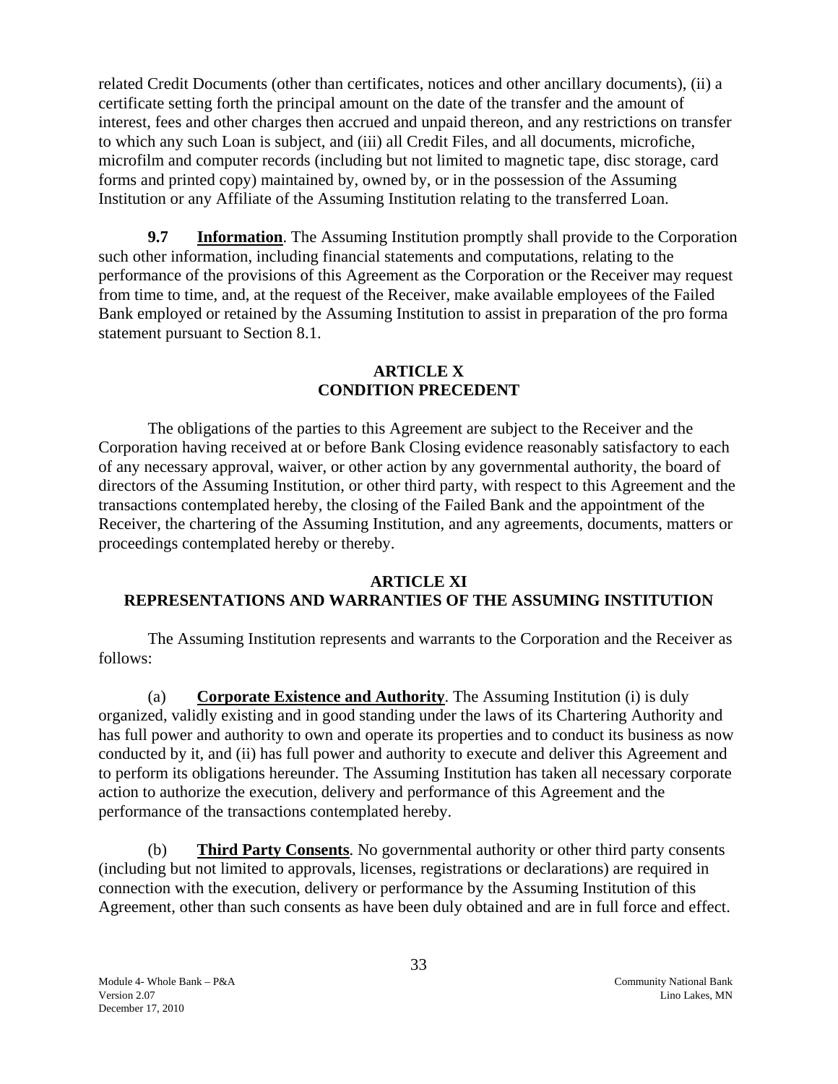<span id="page-36-0"></span>related Credit Documents (other than certificates, notices and other ancillary documents), (ii) a certificate setting forth the principal amount on the date of the transfer and the amount of interest, fees and other charges then accrued and unpaid thereon, and any restrictions on transfer to which any such Loan is subject, and (iii) all Credit Files, and all documents, microfiche, microfilm and computer records (including but not limited to magnetic tape, disc storage, card forms and printed copy) maintained by, owned by, or in the possession of the Assuming Institution or any Affiliate of the Assuming Institution relating to the transferred Loan.

**9.7** Information. The Assuming Institution promptly shall provide to the Corporation such other information, including financial statements and computations, relating to the performance of the provisions of this Agreement as the Corporation or the Receiver may request from time to time, and, at the request of the Receiver, make available employees of the Failed Bank employed or retained by the Assuming Institution to assist in preparation of the pro forma statement pursuant to Section 8.1.

#### **ARTICLE X CONDITION PRECEDENT**

The obligations of the parties to this Agreement are subject to the Receiver and the Corporation having received at or before Bank Closing evidence reasonably satisfactory to each of any necessary approval, waiver, or other action by any governmental authority, the board of directors of the Assuming Institution, or other third party, with respect to this Agreement and the transactions contemplated hereby, the closing of the Failed Bank and the appointment of the Receiver, the chartering of the Assuming Institution, and any agreements, documents, matters or proceedings contemplated hereby or thereby.

## **ARTICLE XI REPRESENTATIONS AND WARRANTIES OF THE ASSUMING INSTITUTION**

The Assuming Institution represents and warrants to the Corporation and the Receiver as follows:

(a) **Corporate Existence and Authority**. The Assuming Institution (i) is duly organized, validly existing and in good standing under the laws of its Chartering Authority and has full power and authority to own and operate its properties and to conduct its business as now conducted by it, and (ii) has full power and authority to execute and deliver this Agreement and to perform its obligations hereunder. The Assuming Institution has taken all necessary corporate action to authorize the execution, delivery and performance of this Agreement and the performance of the transactions contemplated hereby.

(b) **Third Party Consents**. No governmental authority or other third party consents (including but not limited to approvals, licenses, registrations or declarations) are required in connection with the execution, delivery or performance by the Assuming Institution of this Agreement, other than such consents as have been duly obtained and are in full force and effect.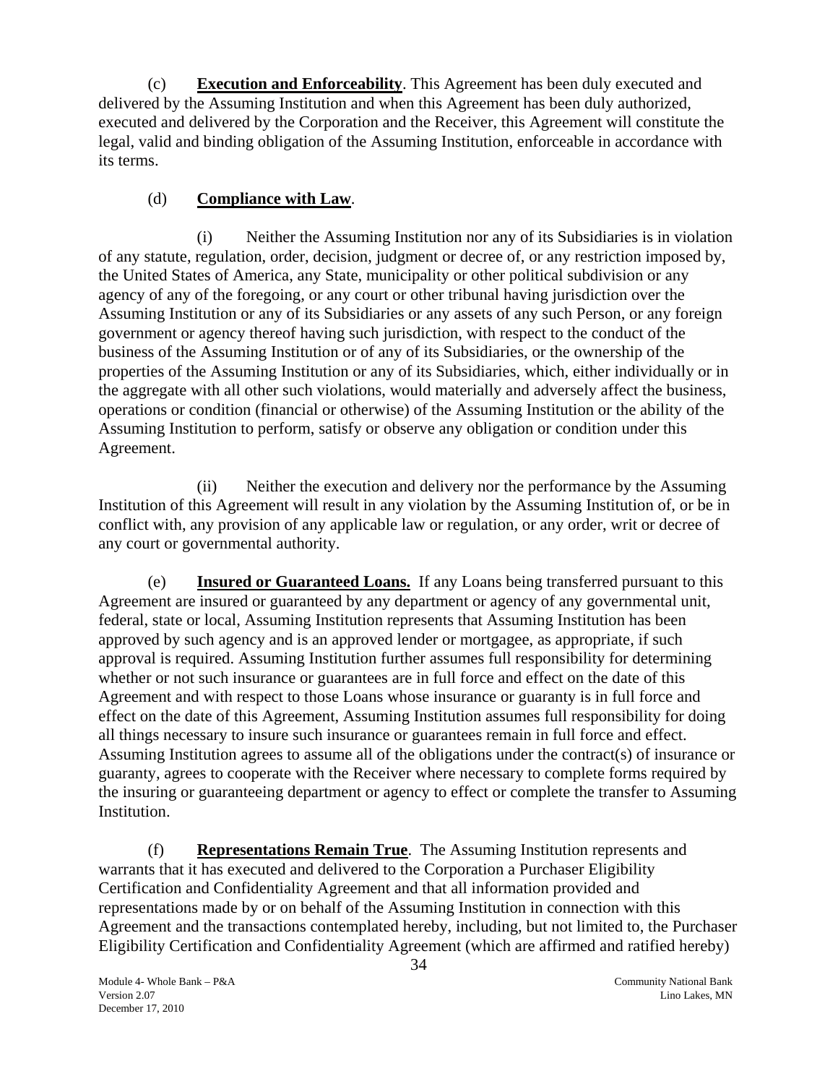(c) **Execution and Enforceability**. This Agreement has been duly executed and delivered by the Assuming Institution and when this Agreement has been duly authorized, executed and delivered by the Corporation and the Receiver, this Agreement will constitute the legal, valid and binding obligation of the Assuming Institution, enforceable in accordance with its terms.

# (d) **Compliance with Law**.

(i) Neither the Assuming Institution nor any of its Subsidiaries is in violation of any statute, regulation, order, decision, judgment or decree of, or any restriction imposed by, the United States of America, any State, municipality or other political subdivision or any agency of any of the foregoing, or any court or other tribunal having jurisdiction over the Assuming Institution or any of its Subsidiaries or any assets of any such Person, or any foreign government or agency thereof having such jurisdiction, with respect to the conduct of the business of the Assuming Institution or of any of its Subsidiaries, or the ownership of the properties of the Assuming Institution or any of its Subsidiaries, which, either individually or in the aggregate with all other such violations, would materially and adversely affect the business, operations or condition (financial or otherwise) of the Assuming Institution or the ability of the Assuming Institution to perform, satisfy or observe any obligation or condition under this Agreement.

(ii) Neither the execution and delivery nor the performance by the Assuming Institution of this Agreement will result in any violation by the Assuming Institution of, or be in conflict with, any provision of any applicable law or regulation, or any order, writ or decree of any court or governmental authority.

(e) **Insured or Guaranteed Loans.** If any Loans being transferred pursuant to this Agreement are insured or guaranteed by any department or agency of any governmental unit, federal, state or local, Assuming Institution represents that Assuming Institution has been approved by such agency and is an approved lender or mortgagee, as appropriate, if such approval is required. Assuming Institution further assumes full responsibility for determining whether or not such insurance or guarantees are in full force and effect on the date of this Agreement and with respect to those Loans whose insurance or guaranty is in full force and effect on the date of this Agreement, Assuming Institution assumes full responsibility for doing all things necessary to insure such insurance or guarantees remain in full force and effect. Assuming Institution agrees to assume all of the obligations under the contract(s) of insurance or guaranty, agrees to cooperate with the Receiver where necessary to complete forms required by the insuring or guaranteeing department or agency to effect or complete the transfer to Assuming Institution.

(f) **Representations Remain True**. The Assuming Institution represents and warrants that it has executed and delivered to the Corporation a Purchaser Eligibility Certification and Confidentiality Agreement and that all information provided and representations made by or on behalf of the Assuming Institution in connection with this Agreement and the transactions contemplated hereby, including, but not limited to, the Purchaser Eligibility Certification and Confidentiality Agreement (which are affirmed and ratified hereby)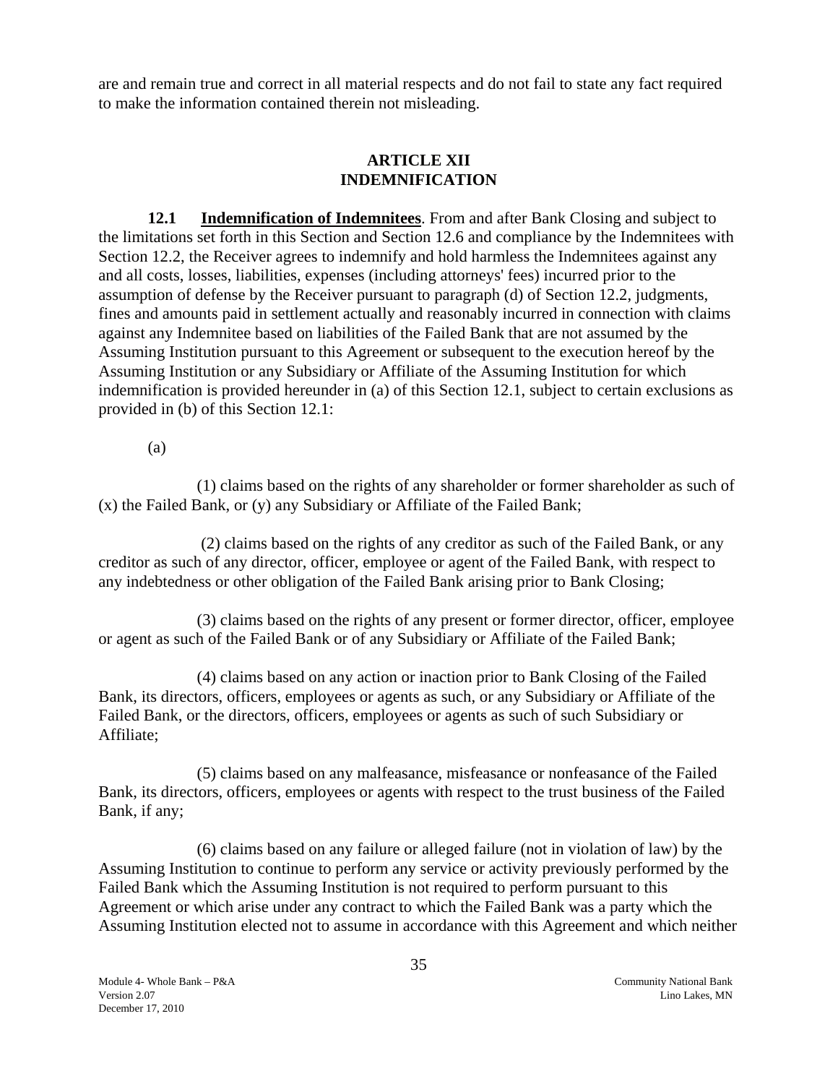<span id="page-38-0"></span>are and remain true and correct in all material respects and do not fail to state any fact required to make the information contained therein not misleading.

#### **ARTICLE XII INDEMNIFICATION**

**12.1** Indemnification of Indemnitees. From and after Bank Closing and subject to the limitations set forth in this Section and Section 12.6 and compliance by the Indemnitees with Section 12.2, the Receiver agrees to indemnify and hold harmless the Indemnitees against any and all costs, losses, liabilities, expenses (including attorneys' fees) incurred prior to the assumption of defense by the Receiver pursuant to paragraph (d) of Section 12.2, judgments, fines and amounts paid in settlement actually and reasonably incurred in connection with claims against any Indemnitee based on liabilities of the Failed Bank that are not assumed by the Assuming Institution pursuant to this Agreement or subsequent to the execution hereof by the Assuming Institution or any Subsidiary or Affiliate of the Assuming Institution for which indemnification is provided hereunder in (a) of this Section 12.1, subject to certain exclusions as provided in (b) of this Section 12.1:

(a)

(1) claims based on the rights of any shareholder or former shareholder as such of (x) the Failed Bank, or (y) any Subsidiary or Affiliate of the Failed Bank;

(2) claims based on the rights of any creditor as such of the Failed Bank, or any creditor as such of any director, officer, employee or agent of the Failed Bank, with respect to any indebtedness or other obligation of the Failed Bank arising prior to Bank Closing;

(3) claims based on the rights of any present or former director, officer, employee or agent as such of the Failed Bank or of any Subsidiary or Affiliate of the Failed Bank;

(4) claims based on any action or inaction prior to Bank Closing of the Failed Bank, its directors, officers, employees or agents as such, or any Subsidiary or Affiliate of the Failed Bank, or the directors, officers, employees or agents as such of such Subsidiary or Affiliate;

(5) claims based on any malfeasance, misfeasance or nonfeasance of the Failed Bank, its directors, officers, employees or agents with respect to the trust business of the Failed Bank, if any;

(6) claims based on any failure or alleged failure (not in violation of law) by the Assuming Institution to continue to perform any service or activity previously performed by the Failed Bank which the Assuming Institution is not required to perform pursuant to this Agreement or which arise under any contract to which the Failed Bank was a party which the Assuming Institution elected not to assume in accordance with this Agreement and which neither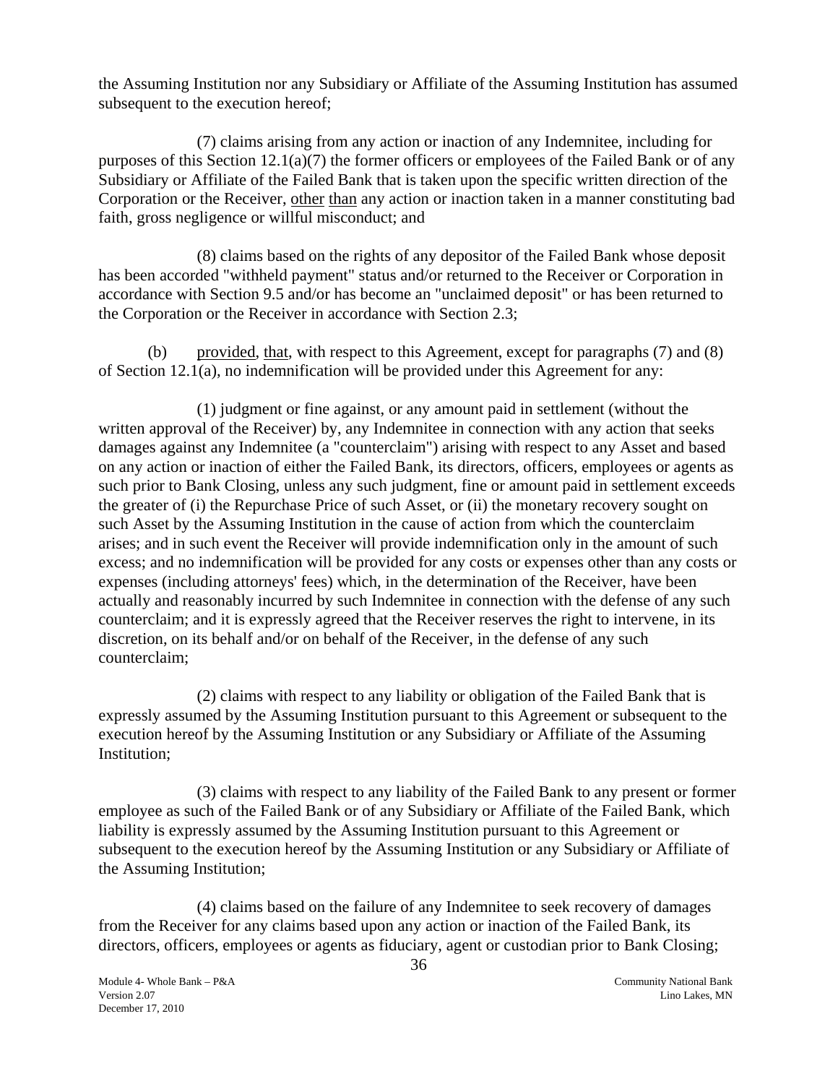the Assuming Institution nor any Subsidiary or Affiliate of the Assuming Institution has assumed subsequent to the execution hereof;

(7) claims arising from any action or inaction of any Indemnitee, including for purposes of this Section 12.1(a)(7) the former officers or employees of the Failed Bank or of any Subsidiary or Affiliate of the Failed Bank that is taken upon the specific written direction of the Corporation or the Receiver, other than any action or inaction taken in a manner constituting bad faith, gross negligence or willful misconduct; and

(8) claims based on the rights of any depositor of the Failed Bank whose deposit has been accorded "withheld payment" status and/or returned to the Receiver or Corporation in accordance with Section 9.5 and/or has become an "unclaimed deposit" or has been returned to the Corporation or the Receiver in accordance with Section 2.3;

(b) provided, that, with respect to this Agreement, except for paragraphs (7) and (8) of Section 12.1(a), no indemnification will be provided under this Agreement for any:

(1) judgment or fine against, or any amount paid in settlement (without the written approval of the Receiver) by, any Indemnitee in connection with any action that seeks damages against any Indemnitee (a "counterclaim") arising with respect to any Asset and based on any action or inaction of either the Failed Bank, its directors, officers, employees or agents as such prior to Bank Closing, unless any such judgment, fine or amount paid in settlement exceeds the greater of (i) the Repurchase Price of such Asset, or (ii) the monetary recovery sought on such Asset by the Assuming Institution in the cause of action from which the counterclaim arises; and in such event the Receiver will provide indemnification only in the amount of such excess; and no indemnification will be provided for any costs or expenses other than any costs or expenses (including attorneys' fees) which, in the determination of the Receiver, have been actually and reasonably incurred by such Indemnitee in connection with the defense of any such counterclaim; and it is expressly agreed that the Receiver reserves the right to intervene, in its discretion, on its behalf and/or on behalf of the Receiver, in the defense of any such counterclaim;

(2) claims with respect to any liability or obligation of the Failed Bank that is expressly assumed by the Assuming Institution pursuant to this Agreement or subsequent to the execution hereof by the Assuming Institution or any Subsidiary or Affiliate of the Assuming Institution;

(3) claims with respect to any liability of the Failed Bank to any present or former employee as such of the Failed Bank or of any Subsidiary or Affiliate of the Failed Bank, which liability is expressly assumed by the Assuming Institution pursuant to this Agreement or subsequent to the execution hereof by the Assuming Institution or any Subsidiary or Affiliate of the Assuming Institution;

(4) claims based on the failure of any Indemnitee to seek recovery of damages from the Receiver for any claims based upon any action or inaction of the Failed Bank, its directors, officers, employees or agents as fiduciary, agent or custodian prior to Bank Closing;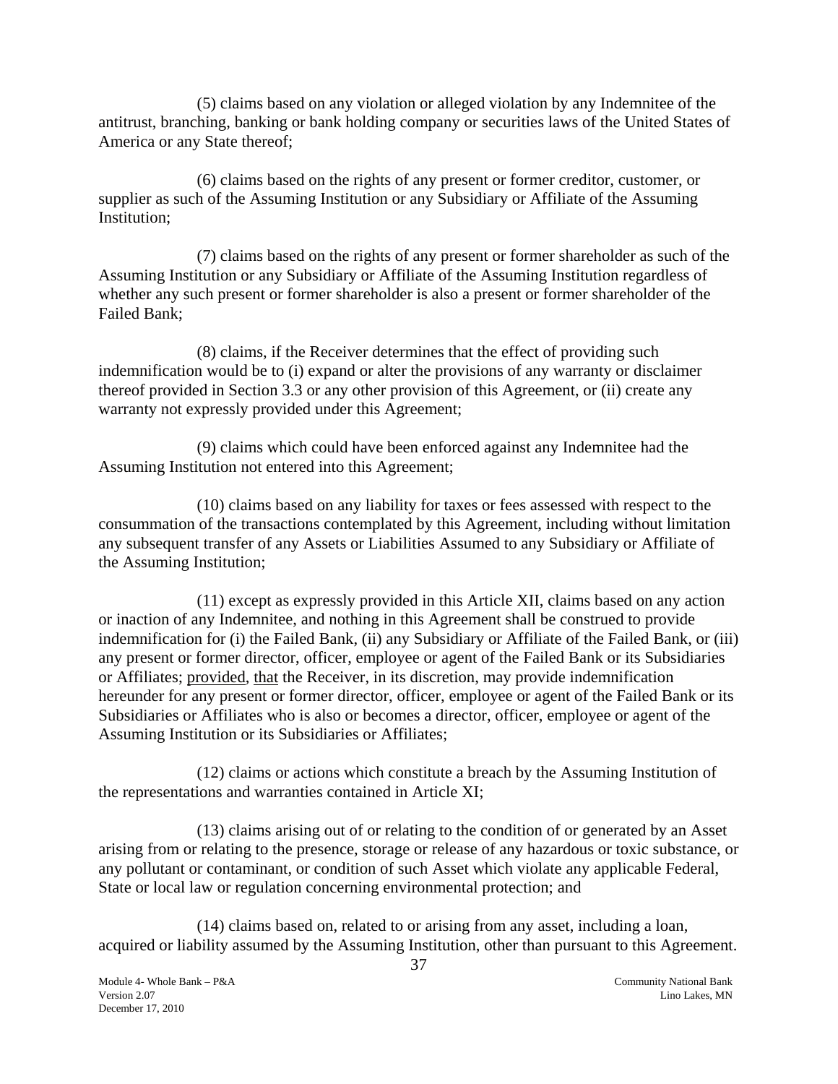(5) claims based on any violation or alleged violation by any Indemnitee of the antitrust, branching, banking or bank holding company or securities laws of the United States of America or any State thereof;

(6) claims based on the rights of any present or former creditor, customer, or supplier as such of the Assuming Institution or any Subsidiary or Affiliate of the Assuming Institution;

(7) claims based on the rights of any present or former shareholder as such of the Assuming Institution or any Subsidiary or Affiliate of the Assuming Institution regardless of whether any such present or former shareholder is also a present or former shareholder of the Failed Bank;

(8) claims, if the Receiver determines that the effect of providing such indemnification would be to (i) expand or alter the provisions of any warranty or disclaimer thereof provided in Section 3.3 or any other provision of this Agreement, or (ii) create any warranty not expressly provided under this Agreement;

(9) claims which could have been enforced against any Indemnitee had the Assuming Institution not entered into this Agreement;

(10) claims based on any liability for taxes or fees assessed with respect to the consummation of the transactions contemplated by this Agreement, including without limitation any subsequent transfer of any Assets or Liabilities Assumed to any Subsidiary or Affiliate of the Assuming Institution;

(11) except as expressly provided in this Article XII, claims based on any action or inaction of any Indemnitee, and nothing in this Agreement shall be construed to provide indemnification for (i) the Failed Bank, (ii) any Subsidiary or Affiliate of the Failed Bank, or (iii) any present or former director, officer, employee or agent of the Failed Bank or its Subsidiaries or Affiliates; provided, that the Receiver, in its discretion, may provide indemnification hereunder for any present or former director, officer, employee or agent of the Failed Bank or its Subsidiaries or Affiliates who is also or becomes a director, officer, employee or agent of the Assuming Institution or its Subsidiaries or Affiliates;

(12) claims or actions which constitute a breach by the Assuming Institution of the representations and warranties contained in Article XI;

(13) claims arising out of or relating to the condition of or generated by an Asset arising from or relating to the presence, storage or release of any hazardous or toxic substance, or any pollutant or contaminant, or condition of such Asset which violate any applicable Federal, State or local law or regulation concerning environmental protection; and

(14) claims based on, related to or arising from any asset, including a loan, acquired or liability assumed by the Assuming Institution, other than pursuant to this Agreement.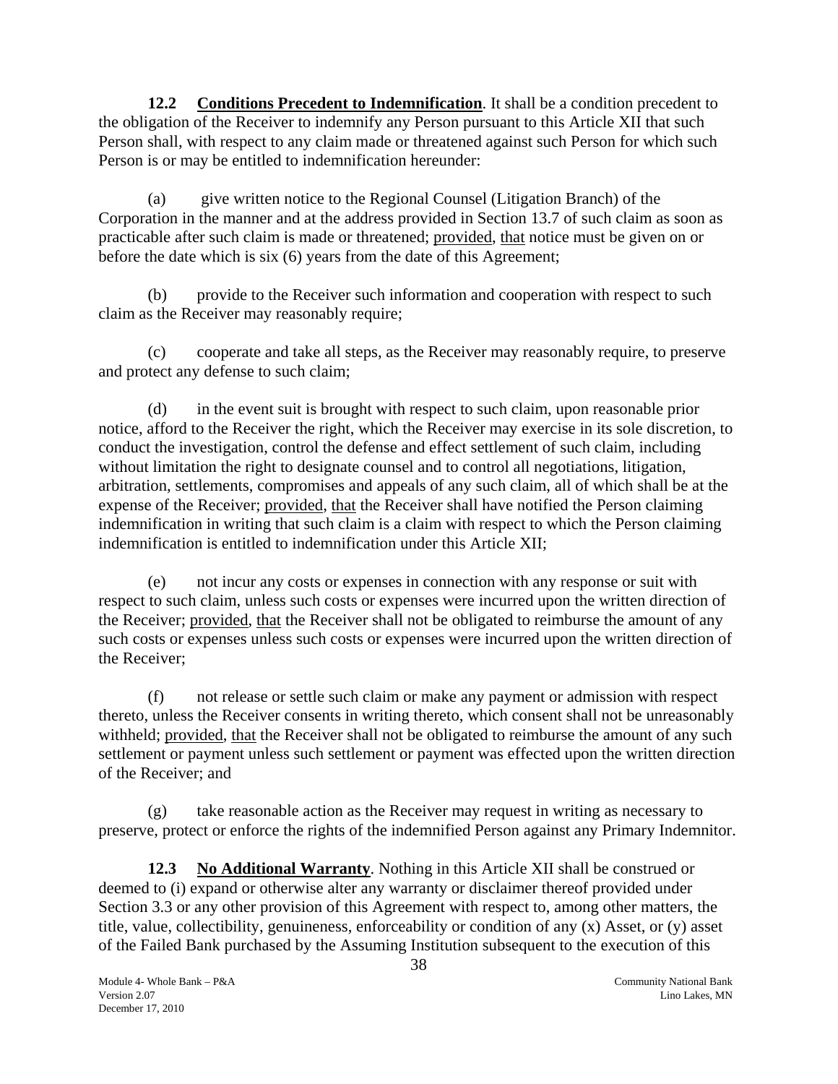<span id="page-41-0"></span> **12.2 Conditions Precedent to Indemnification**. It shall be a condition precedent to the obligation of the Receiver to indemnify any Person pursuant to this Article XII that such Person shall, with respect to any claim made or threatened against such Person for which such Person is or may be entitled to indemnification hereunder:

(a) give written notice to the Regional Counsel (Litigation Branch) of the Corporation in the manner and at the address provided in Section 13.7 of such claim as soon as practicable after such claim is made or threatened; provided, that notice must be given on or before the date which is six (6) years from the date of this Agreement;

(b) provide to the Receiver such information and cooperation with respect to such claim as the Receiver may reasonably require;

(c) cooperate and take all steps, as the Receiver may reasonably require, to preserve and protect any defense to such claim;

(d) in the event suit is brought with respect to such claim, upon reasonable prior notice, afford to the Receiver the right, which the Receiver may exercise in its sole discretion, to conduct the investigation, control the defense and effect settlement of such claim, including without limitation the right to designate counsel and to control all negotiations, litigation, arbitration, settlements, compromises and appeals of any such claim, all of which shall be at the expense of the Receiver; provided, that the Receiver shall have notified the Person claiming indemnification in writing that such claim is a claim with respect to which the Person claiming indemnification is entitled to indemnification under this Article XII;

(e) not incur any costs or expenses in connection with any response or suit with respect to such claim, unless such costs or expenses were incurred upon the written direction of the Receiver; provided, that the Receiver shall not be obligated to reimburse the amount of any such costs or expenses unless such costs or expenses were incurred upon the written direction of the Receiver;

(f) not release or settle such claim or make any payment or admission with respect thereto, unless the Receiver consents in writing thereto, which consent shall not be unreasonably withheld; provided, that the Receiver shall not be obligated to reimburse the amount of any such settlement or payment unless such settlement or payment was effected upon the written direction of the Receiver; and

(g) take reasonable action as the Receiver may request in writing as necessary to preserve, protect or enforce the rights of the indemnified Person against any Primary Indemnitor.

**12.3 No Additional Warranty**. Nothing in this Article XII shall be construed or deemed to (i) expand or otherwise alter any warranty or disclaimer thereof provided under Section 3.3 or any other provision of this Agreement with respect to, among other matters, the title, value, collectibility, genuineness, enforceability or condition of any (x) Asset, or (y) asset of the Failed Bank purchased by the Assuming Institution subsequent to the execution of this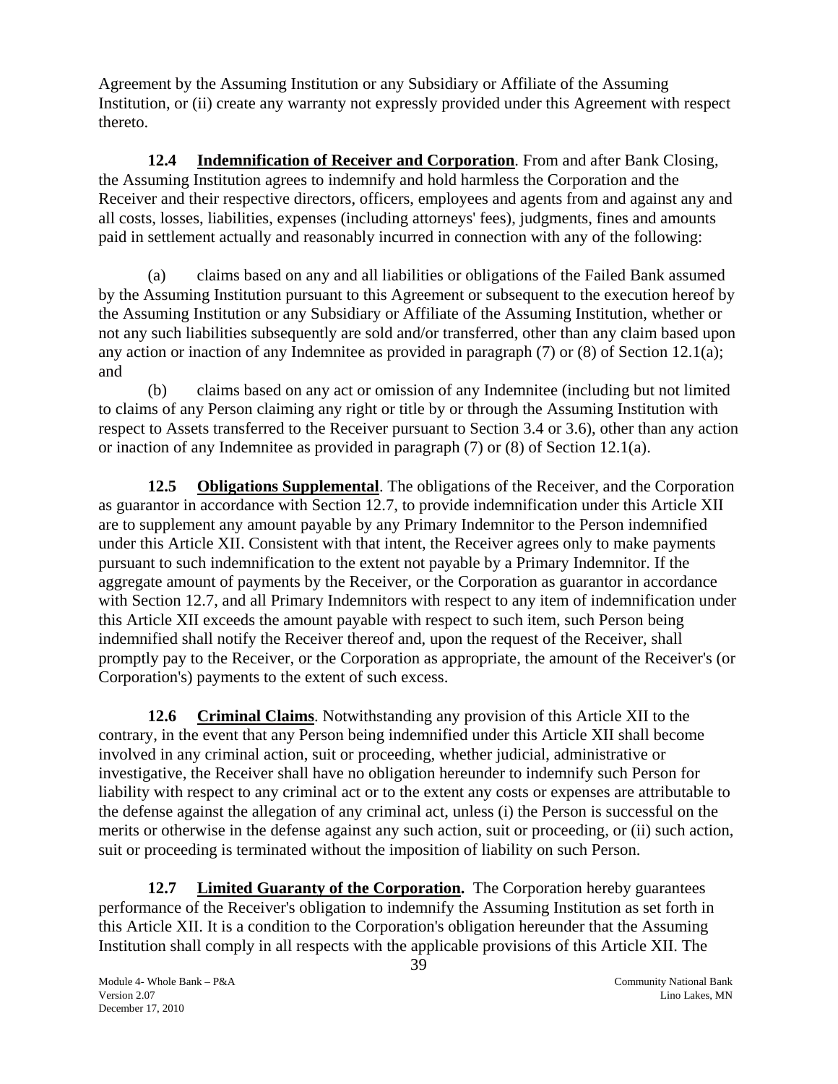<span id="page-42-0"></span>Agreement by the Assuming Institution or any Subsidiary or Affiliate of the Assuming Institution, or (ii) create any warranty not expressly provided under this Agreement with respect thereto.

**12.4 Indemnification of Receiver and Corporation**. From and after Bank Closing, the Assuming Institution agrees to indemnify and hold harmless the Corporation and the Receiver and their respective directors, officers, employees and agents from and against any and all costs, losses, liabilities, expenses (including attorneys' fees), judgments, fines and amounts paid in settlement actually and reasonably incurred in connection with any of the following:

(a) claims based on any and all liabilities or obligations of the Failed Bank assumed by the Assuming Institution pursuant to this Agreement or subsequent to the execution hereof by the Assuming Institution or any Subsidiary or Affiliate of the Assuming Institution, whether or not any such liabilities subsequently are sold and/or transferred, other than any claim based upon any action or inaction of any Indemnitee as provided in paragraph (7) or (8) of Section 12.1(a); and

(b) claims based on any act or omission of any Indemnitee (including but not limited to claims of any Person claiming any right or title by or through the Assuming Institution with respect to Assets transferred to the Receiver pursuant to Section 3.4 or 3.6), other than any action or inaction of any Indemnitee as provided in paragraph (7) or (8) of Section 12.1(a).

**12.5 Obligations Supplemental**. The obligations of the Receiver, and the Corporation as guarantor in accordance with Section 12.7, to provide indemnification under this Article XII are to supplement any amount payable by any Primary Indemnitor to the Person indemnified under this Article XII. Consistent with that intent, the Receiver agrees only to make payments pursuant to such indemnification to the extent not payable by a Primary Indemnitor. If the aggregate amount of payments by the Receiver, or the Corporation as guarantor in accordance with Section 12.7, and all Primary Indemnitors with respect to any item of indemnification under this Article XII exceeds the amount payable with respect to such item, such Person being indemnified shall notify the Receiver thereof and, upon the request of the Receiver, shall promptly pay to the Receiver, or the Corporation as appropriate, the amount of the Receiver's (or Corporation's) payments to the extent of such excess.

**12.6 Criminal Claims**. Notwithstanding any provision of this Article XII to the contrary, in the event that any Person being indemnified under this Article XII shall become involved in any criminal action, suit or proceeding, whether judicial, administrative or investigative, the Receiver shall have no obligation hereunder to indemnify such Person for liability with respect to any criminal act or to the extent any costs or expenses are attributable to the defense against the allegation of any criminal act, unless (i) the Person is successful on the merits or otherwise in the defense against any such action, suit or proceeding, or (ii) such action, suit or proceeding is terminated without the imposition of liability on such Person.

**12.7 Limited Guaranty of the Corporation.** The Corporation hereby guarantees performance of the Receiver's obligation to indemnify the Assuming Institution as set forth in this Article XII. It is a condition to the Corporation's obligation hereunder that the Assuming Institution shall comply in all respects with the applicable provisions of this Article XII. The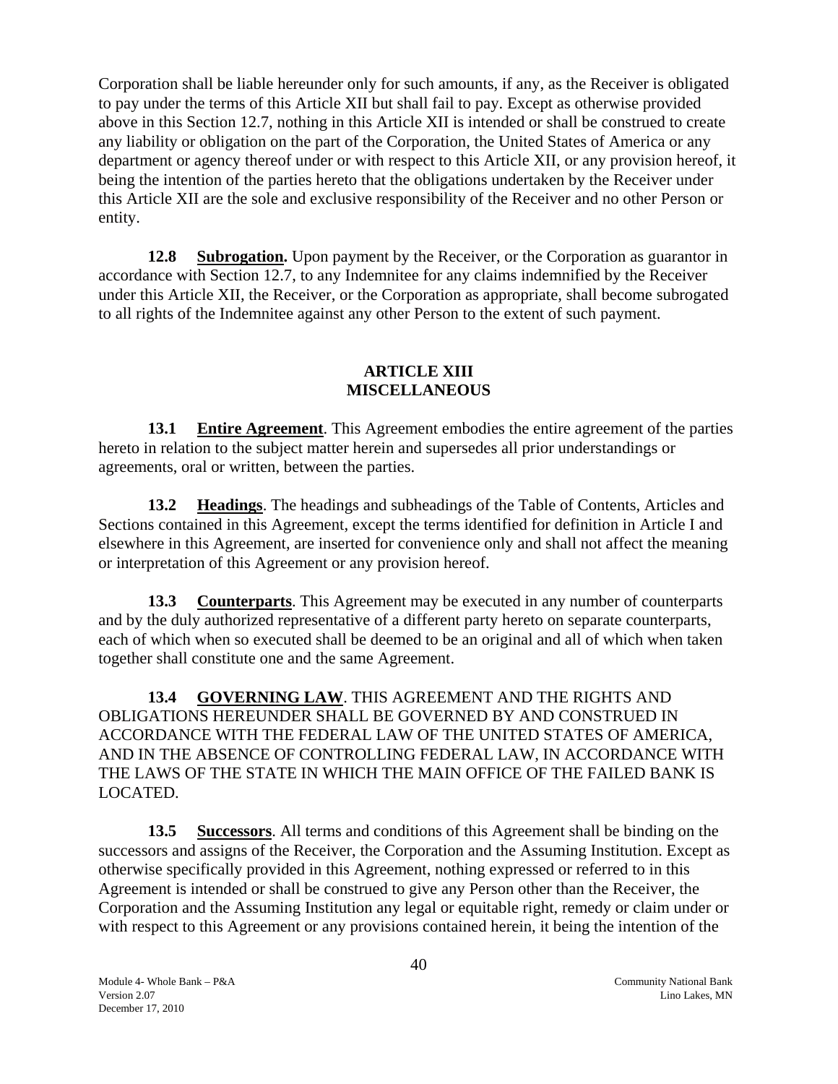<span id="page-43-0"></span>Corporation shall be liable hereunder only for such amounts, if any, as the Receiver is obligated to pay under the terms of this Article XII but shall fail to pay. Except as otherwise provided above in this Section 12.7, nothing in this Article XII is intended or shall be construed to create any liability or obligation on the part of the Corporation, the United States of America or any department or agency thereof under or with respect to this Article XII, or any provision hereof, it being the intention of the parties hereto that the obligations undertaken by the Receiver under this Article XII are the sole and exclusive responsibility of the Receiver and no other Person or entity.

**12.8 Subrogation.** Upon payment by the Receiver, or the Corporation as guarantor in accordance with Section 12.7, to any Indemnitee for any claims indemnified by the Receiver under this Article XII, the Receiver, or the Corporation as appropriate, shall become subrogated to all rights of the Indemnitee against any other Person to the extent of such payment.

## **ARTICLE XIII MISCELLANEOUS**

**13.1 Entire Agreement**. This Agreement embodies the entire agreement of the parties hereto in relation to the subject matter herein and supersedes all prior understandings or agreements, oral or written, between the parties.

**13.2 Headings**. The headings and subheadings of the Table of Contents, Articles and Sections contained in this Agreement, except the terms identified for definition in Article I and elsewhere in this Agreement, are inserted for convenience only and shall not affect the meaning or interpretation of this Agreement or any provision hereof.

**13.3 Counterparts**. This Agreement may be executed in any number of counterparts and by the duly authorized representative of a different party hereto on separate counterparts, each of which when so executed shall be deemed to be an original and all of which when taken together shall constitute one and the same Agreement.

**13.4 GOVERNING LAW**. THIS AGREEMENT AND THE RIGHTS AND OBLIGATIONS HEREUNDER SHALL BE GOVERNED BY AND CONSTRUED IN ACCORDANCE WITH THE FEDERAL LAW OF THE UNITED STATES OF AMERICA, AND IN THE ABSENCE OF CONTROLLING FEDERAL LAW, IN ACCORDANCE WITH THE LAWS OF THE STATE IN WHICH THE MAIN OFFICE OF THE FAILED BANK IS LOCATED.

**13.5 Successors**. All terms and conditions of this Agreement shall be binding on the successors and assigns of the Receiver, the Corporation and the Assuming Institution. Except as otherwise specifically provided in this Agreement, nothing expressed or referred to in this Agreement is intended or shall be construed to give any Person other than the Receiver, the Corporation and the Assuming Institution any legal or equitable right, remedy or claim under or with respect to this Agreement or any provisions contained herein, it being the intention of the

Module 4- Whole Bank – P&A Community National Bank Version 2.07 Lino Lakes, MN December 17, 2010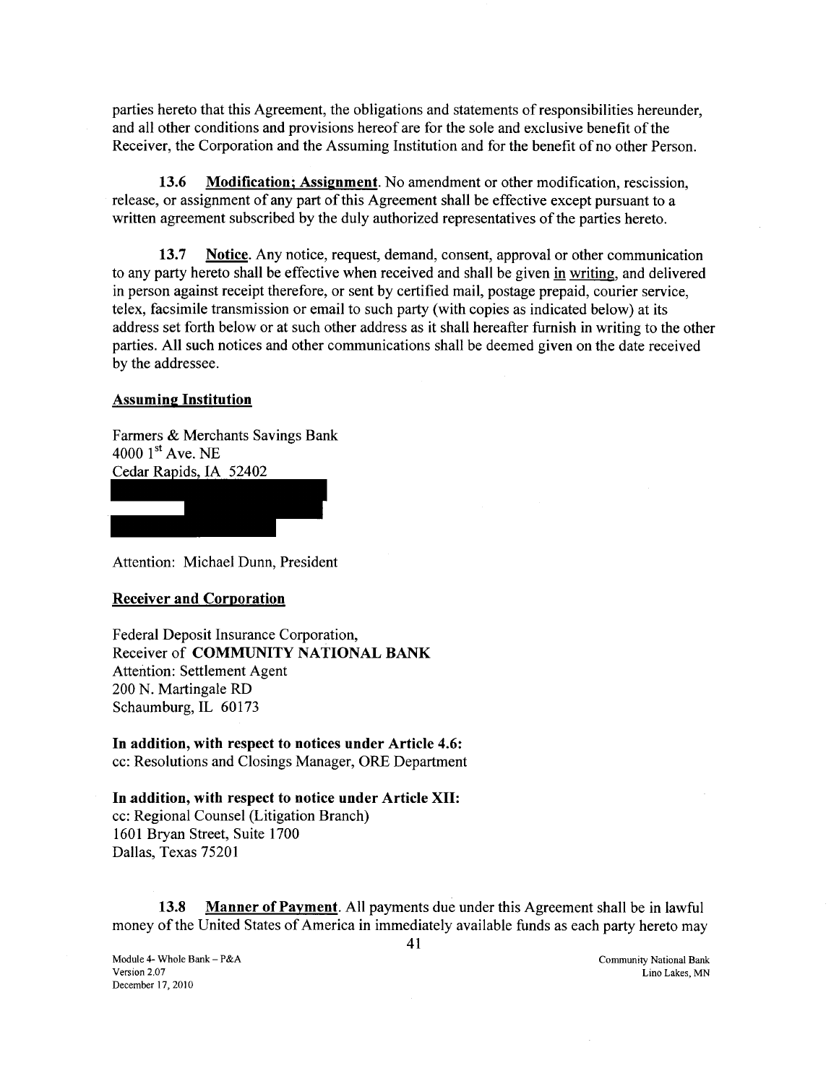parties hereto that this Agreement, the obligations and statements of responsibilities hereunder, and all other conditions and provisions hereof are for the sole and exclusive benefit of the Receiver, the Corporation and the Assuming Institution and for the benefit of no other Person.

13.6 Modification; Assignment. No amendment or other modification, rescission, release, or assignment of any part of this Agreement shall be effective except pursuant to a written agreement subscribed by the duly authorized representatives of the parties hereto.

13.7 Notice. Any notice, request, demand, consent, approval or other communication to any party hereto shall be effective when received and shall be given in writing, and delivered in person against receipt therefore, or sent by certified mail, postage prepaid, courier service, telex, facsimile transmission or email to such party (with copies as indicated below) at its address set forth below or at such other address as it shall hereafter furnish in writing to the other parties. All such notices and other communications shall be deemed given on the date received by the addressee.

#### **Assuming Institution**

Farmers & Merchants Savings Bank  $4000$   $1<sup>st</sup>$  Ave. NE Cedar Rapids, IA 52402

Attention: Michael Dunn, President

#### Receiver and Corporation

Federal Deposit Insurance Corporation, Receiver of COMMUNITY NATIONAL BANK Attention: Settlement Agent 200 N. Maringale RD Schaumburg, IL 60173

In addition, with respect to notices under Article 4.6: cc: Resolutions and Closings Manager, ORE Department

In addition, with respect to notice under Article XII: cc: Regional Counsel (Litigation Branch) 1601 Bryan Street, Suite 1700 Dallas, Texas 75201

13.8 Manner of Payment. All payments due under this Agreement shall be in lawful money of the United States of America in immediately available funds as each party hereto may

Module 4- Whole Bank – P&A Community National Bank Version 2.07 Lino Lakes, MN December 17,2010

41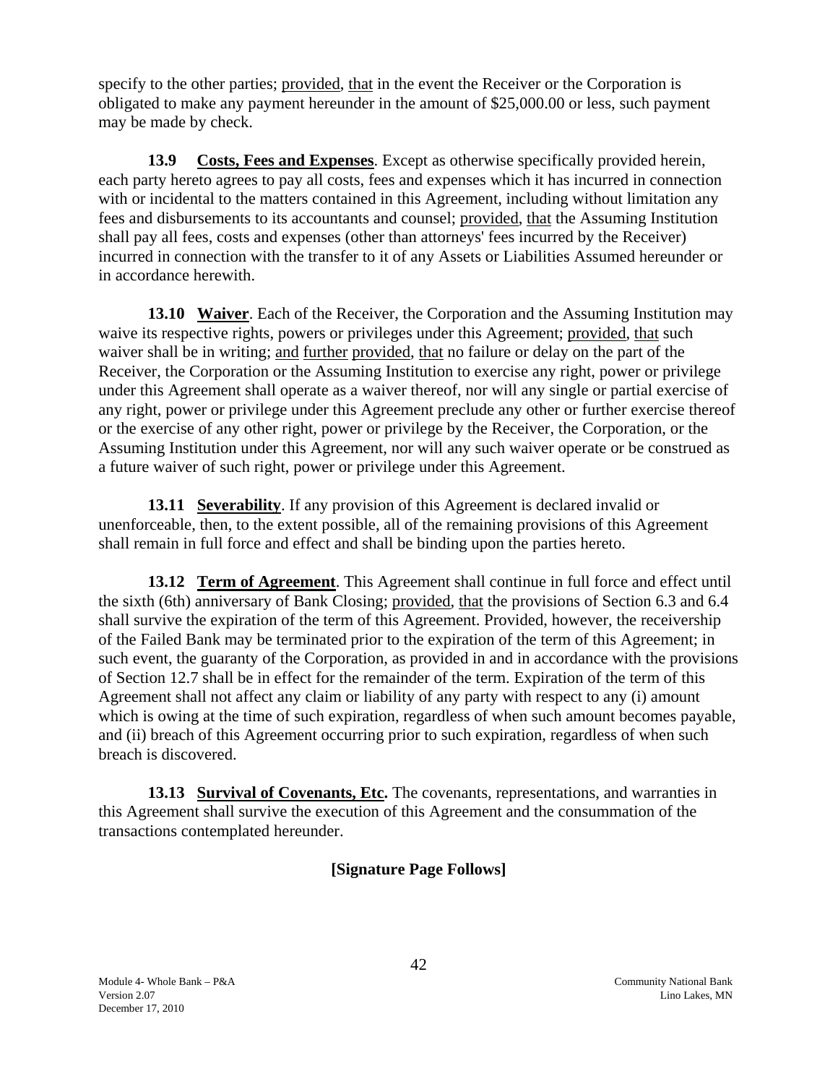<span id="page-45-0"></span>specify to the other parties; provided, that in the event the Receiver or the Corporation is obligated to make any payment hereunder in the amount of \$25,000.00 or less, such payment may be made by check.

**13.9 Costs, Fees and Expenses**. Except as otherwise specifically provided herein, each party hereto agrees to pay all costs, fees and expenses which it has incurred in connection with or incidental to the matters contained in this Agreement, including without limitation any fees and disbursements to its accountants and counsel; provided, that the Assuming Institution shall pay all fees, costs and expenses (other than attorneys' fees incurred by the Receiver) incurred in connection with the transfer to it of any Assets or Liabilities Assumed hereunder or in accordance herewith.

**13.10 Waiver**. Each of the Receiver, the Corporation and the Assuming Institution may waive its respective rights, powers or privileges under this Agreement; provided, that such waiver shall be in writing; and further provided, that no failure or delay on the part of the Receiver, the Corporation or the Assuming Institution to exercise any right, power or privilege under this Agreement shall operate as a waiver thereof, nor will any single or partial exercise of any right, power or privilege under this Agreement preclude any other or further exercise thereof or the exercise of any other right, power or privilege by the Receiver, the Corporation, or the Assuming Institution under this Agreement, nor will any such waiver operate or be construed as a future waiver of such right, power or privilege under this Agreement.

**13.11 Severability**. If any provision of this Agreement is declared invalid or unenforceable, then, to the extent possible, all of the remaining provisions of this Agreement shall remain in full force and effect and shall be binding upon the parties hereto.

**13.12 Term of Agreement**. This Agreement shall continue in full force and effect until the sixth (6th) anniversary of Bank Closing; provided, that the provisions of Section 6.3 and 6.4 shall survive the expiration of the term of this Agreement. Provided, however, the receivership of the Failed Bank may be terminated prior to the expiration of the term of this Agreement; in such event, the guaranty of the Corporation, as provided in and in accordance with the provisions of Section 12.7 shall be in effect for the remainder of the term. Expiration of the term of this Agreement shall not affect any claim or liability of any party with respect to any (i) amount which is owing at the time of such expiration, regardless of when such amount becomes payable, and (ii) breach of this Agreement occurring prior to such expiration, regardless of when such breach is discovered.

**13.13 Survival of Covenants, Etc.** The covenants, representations, and warranties in this Agreement shall survive the execution of this Agreement and the consummation of the transactions contemplated hereunder.

## **[Signature Page Follows]**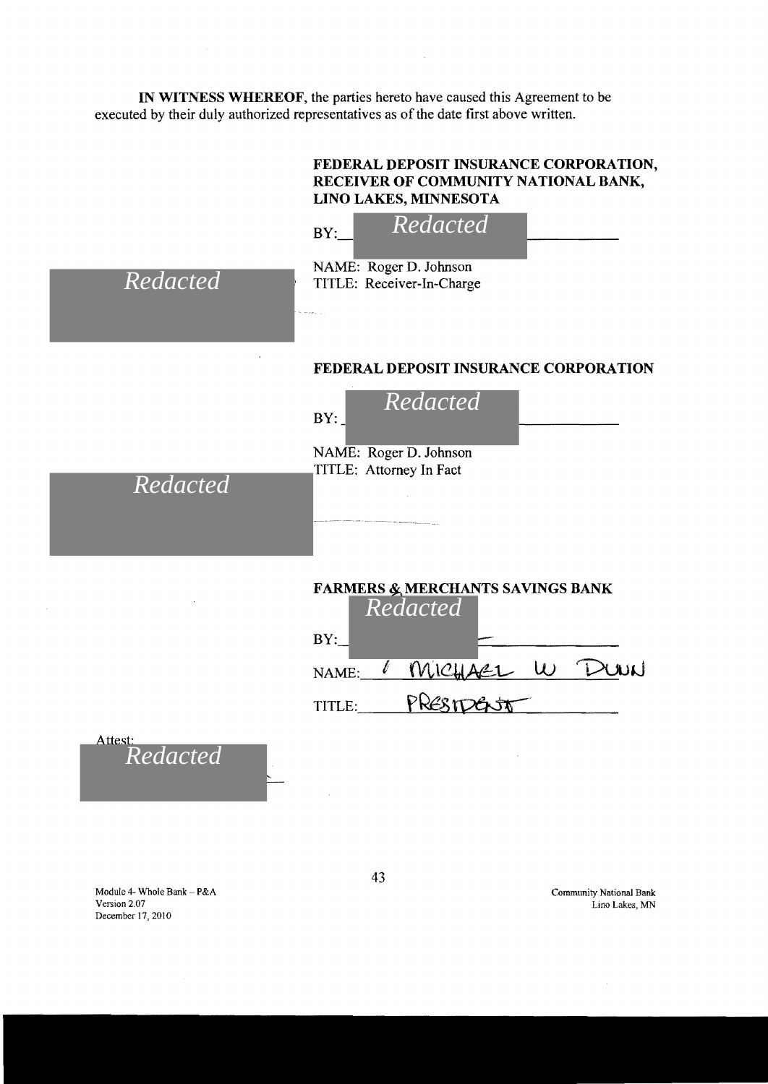IN WITNESS WHEREOF, the parties hereto have caused this Agreement to be executed by their duly authorized representatives as of the date first above written.

| Redacted            | FEDERAL DEPOSIT INSURANCE CORPORATION,<br>RECEIVER OF COMMUNITY NATIONAL BANK,<br>LINO LAKES, MINNESOTA<br>Redacted<br>BY:<br>NAME: Roger D. Johnson<br>TITLE: Receiver-In-Charge |
|---------------------|-----------------------------------------------------------------------------------------------------------------------------------------------------------------------------------|
| Redacted            | FEDERAL DEPOSIT INSURANCE CORPORATION<br>Redacted<br>BY:<br>NAME: Roger D. Johnson<br>TITLE: Attorney In Fact                                                                     |
| Attest:<br>Redacted | <b>FARMERS &amp; MERCHANTS SAVINGS BANK</b><br>Redacted<br>BY:<br>MICHAEL<br>PRESIDENT<br>NAME:<br>PRESIT<br>TITLE:                                                               |

Module 4- Whole Bank – P&A Community National Bank<br>
Version 2.07 Line Lakes, MN Line Lakes, MN Line Lakes, MN Line Lakes, MN Line Lakes, MN Line Lakes, MN Line Lakes, MN Line Lakes, MN Line Lakes, MN Line Lakes, MN Line La December 17, 2010

Lino Lakes, MN

43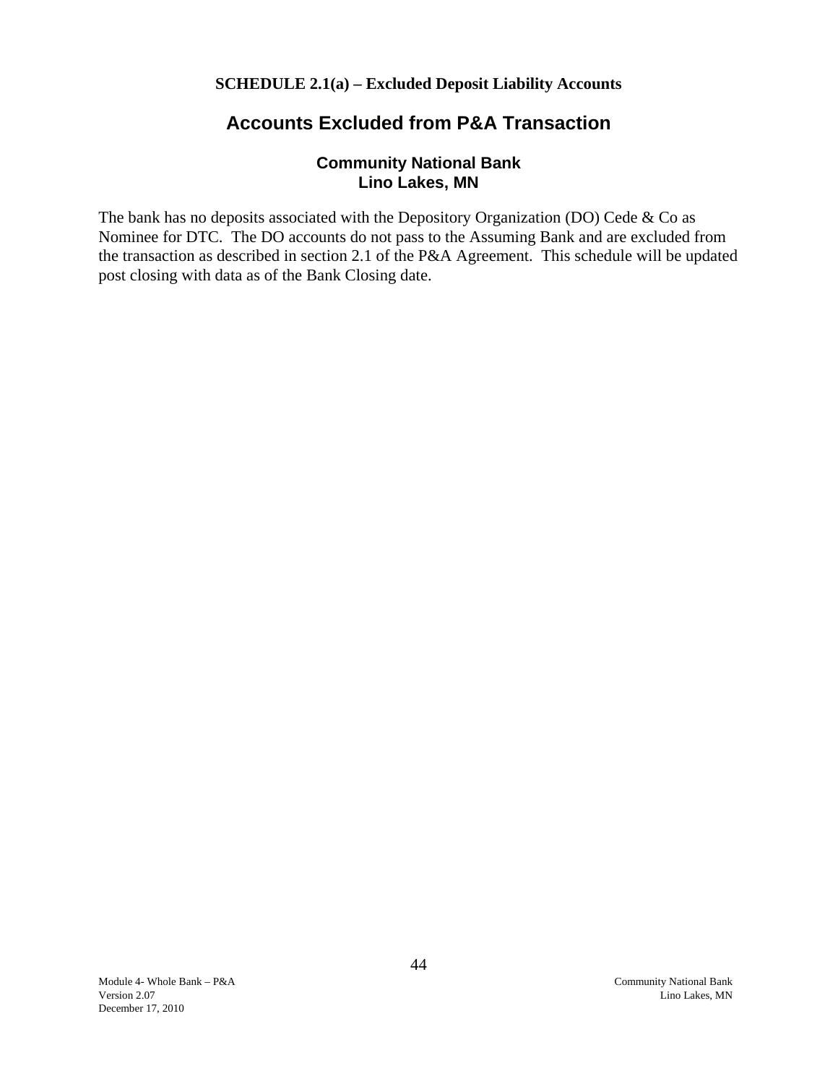## <span id="page-47-0"></span>**SCHEDULE 2.1(a) – Excluded Deposit Liability Accounts**

# **Accounts Excluded from P&A Transaction**

## **Community National Bank Lino Lakes, MN**

The bank has no deposits associated with the Depository Organization (DO) Cede & Co as Nominee for DTC. The DO accounts do not pass to the Assuming Bank and are excluded from the transaction as described in section 2.1 of the P&A Agreement. This schedule will be updated post closing with data as of the Bank Closing date.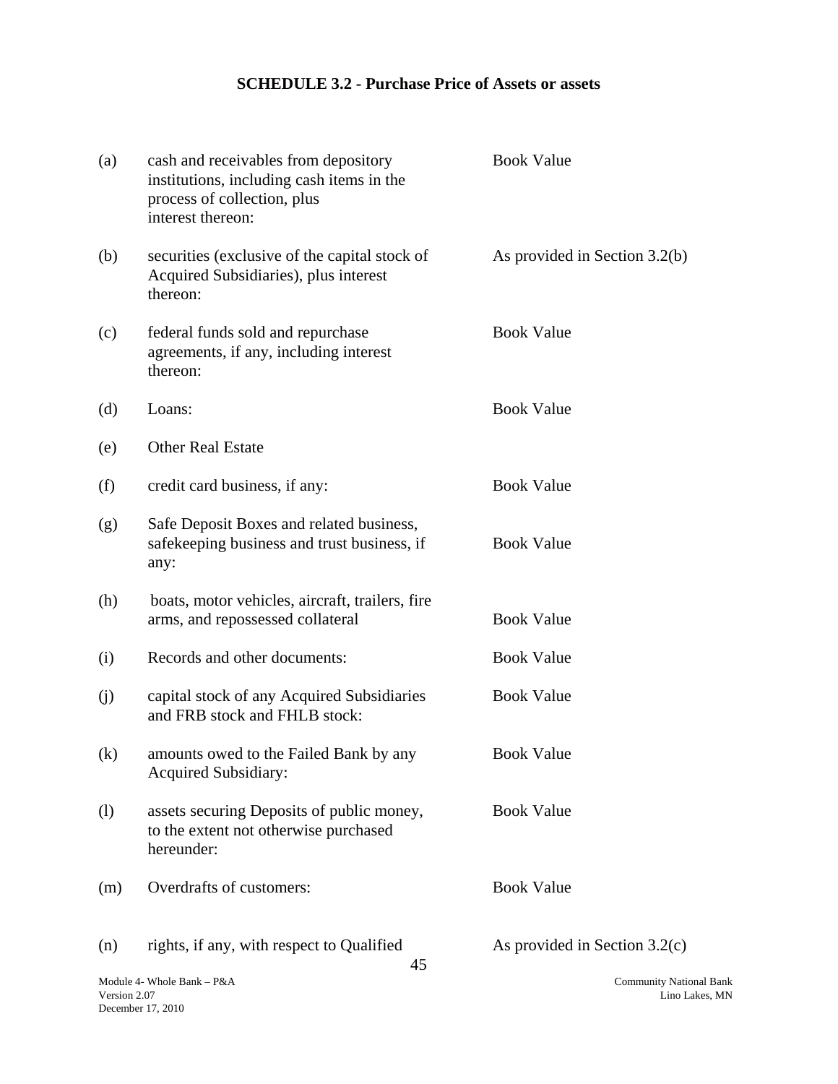# **SCHEDULE 3.2 - Purchase Price of Assets or assets**

| (a)               | cash and receivables from depository<br>institutions, including cash items in the<br>process of collection, plus<br>interest thereon: | <b>Book Value</b>               |
|-------------------|---------------------------------------------------------------------------------------------------------------------------------------|---------------------------------|
| (b)               | securities (exclusive of the capital stock of<br>Acquired Subsidiaries), plus interest<br>thereon:                                    | As provided in Section 3.2(b)   |
| (c)               | federal funds sold and repurchase<br>agreements, if any, including interest<br>thereon:                                               | <b>Book Value</b>               |
| (d)               | Loans:                                                                                                                                | <b>Book Value</b>               |
| (e)               | <b>Other Real Estate</b>                                                                                                              |                                 |
| (f)               | credit card business, if any:                                                                                                         | <b>Book Value</b>               |
| (g)               | Safe Deposit Boxes and related business,<br>safekeeping business and trust business, if<br>any:                                       | <b>Book Value</b>               |
| (h)               | boats, motor vehicles, aircraft, trailers, fire<br>arms, and repossessed collateral                                                   | <b>Book Value</b>               |
| (i)               | Records and other documents:                                                                                                          | <b>Book Value</b>               |
| (j)               | capital stock of any Acquired Subsidiaries<br>and FRB stock and FHLB stock:                                                           | <b>Book Value</b>               |
| $\left( k\right)$ | amounts owed to the Failed Bank by any<br><b>Acquired Subsidiary:</b>                                                                 | <b>Book Value</b>               |
| (1)               | assets securing Deposits of public money,<br>to the extent not otherwise purchased<br>hereunder:                                      | <b>Book Value</b>               |
| (m)               | Overdrafts of customers:                                                                                                              | <b>Book Value</b>               |
| (n)               | rights, if any, with respect to Qualified<br>45                                                                                       | As provided in Section $3.2(c)$ |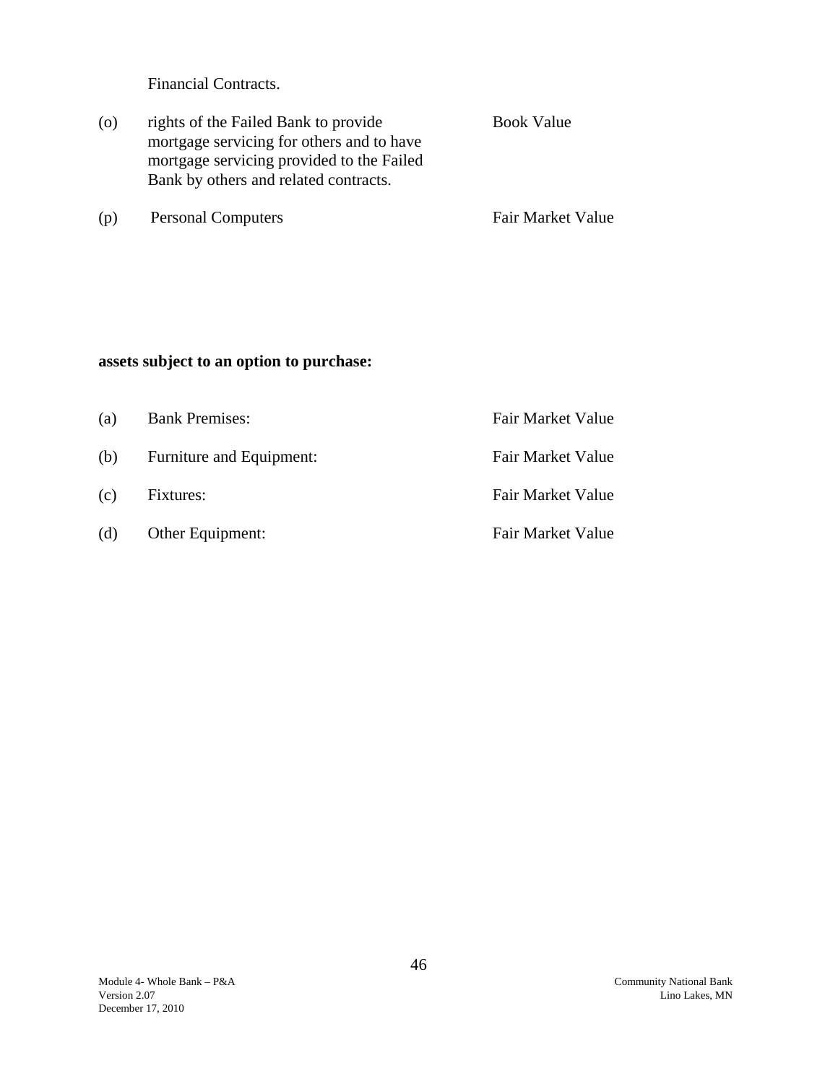Financial Contracts.

| (0) | rights of the Failed Bank to provide<br>mortgage servicing for others and to have<br>mortgage servicing provided to the Failed<br>Bank by others and related contracts. | <b>Book Value</b> |
|-----|-------------------------------------------------------------------------------------------------------------------------------------------------------------------------|-------------------|
| (p) | <b>Personal Computers</b>                                                                                                                                               | Fair Market Value |

## **assets subject to an option to purchase:**

| (a) | <b>Bank Premises:</b>    | Fair Market Value |
|-----|--------------------------|-------------------|
| (b) | Furniture and Equipment: | Fair Market Value |
| (c) | Fixtures:                | Fair Market Value |
| (d) | Other Equipment:         | Fair Market Value |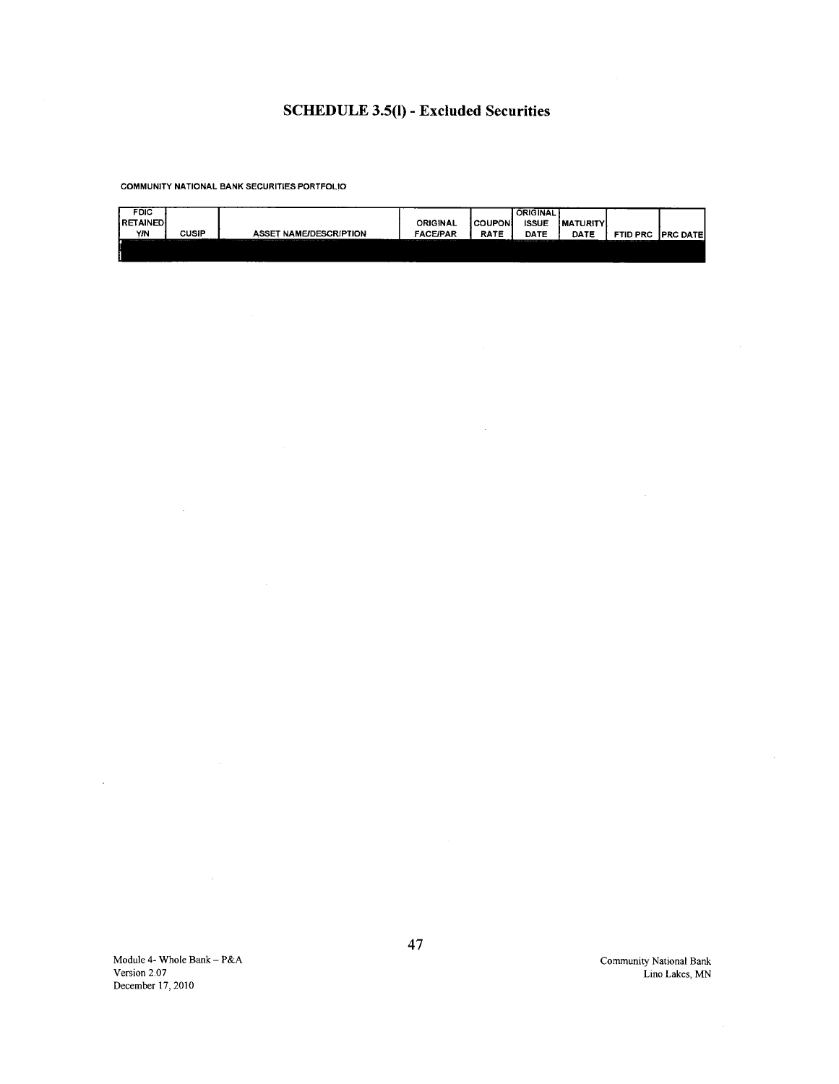## SCHEDULE 3.5(1) - Excluded Securities

COMMUNITY NATIONAL BANK SECURITES PORTFOLtO

| <b>FDIC</b>     |              |                        |          |               | <b>ORIGINAL</b> |                   |                 |                  |
|-----------------|--------------|------------------------|----------|---------------|-----------------|-------------------|-----------------|------------------|
| <b>RETAINED</b> |              |                        | ORIGINAL | <b>COUPON</b> | <b>ISSUE</b>    | <b>MATURITY</b>   |                 |                  |
| Y/N             | <b>CUSIP</b> | ASSET NAME/DESCRIPTION | FACEJPAR | <b>RATE</b>   | <b>DATE</b>     | DATE              | <b>FTID PRC</b> | <b>IPRC DATE</b> |
|                 | ------------ | --------               |          |               |                 | <b>STATISTICS</b> |                 |                  |
|                 |              |                        |          |               |                 |                   |                 |                  |

 $\sim 10^7$ 

 $\mathcal{L}$ 

 $\sim$ 

Community National Bank<br>Lino Lakes, MN

 $\sim$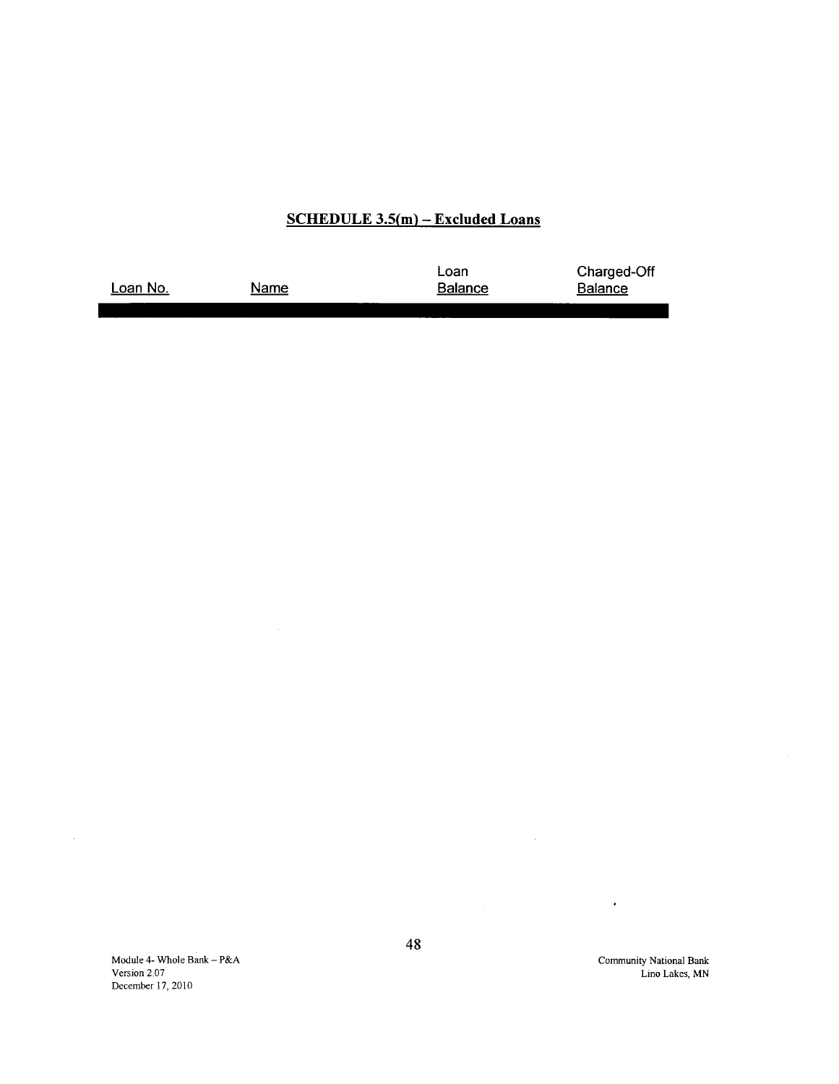# $SCHEDULE 3.5(m) - Excluded$  Loans

|          |                                             | ∟oan           | Charged-Off |
|----------|---------------------------------------------|----------------|-------------|
| Loan No. | Name<br>the contract of the contract of the | <b>Balance</b> | Balance     |

Module 4- Whole Bank - P&A<br>Version 2.07 Version 2.07 Lino Lakes, MN December 17, 2010

 $\hat{\mathcal{A}}$ 

 $\epsilon$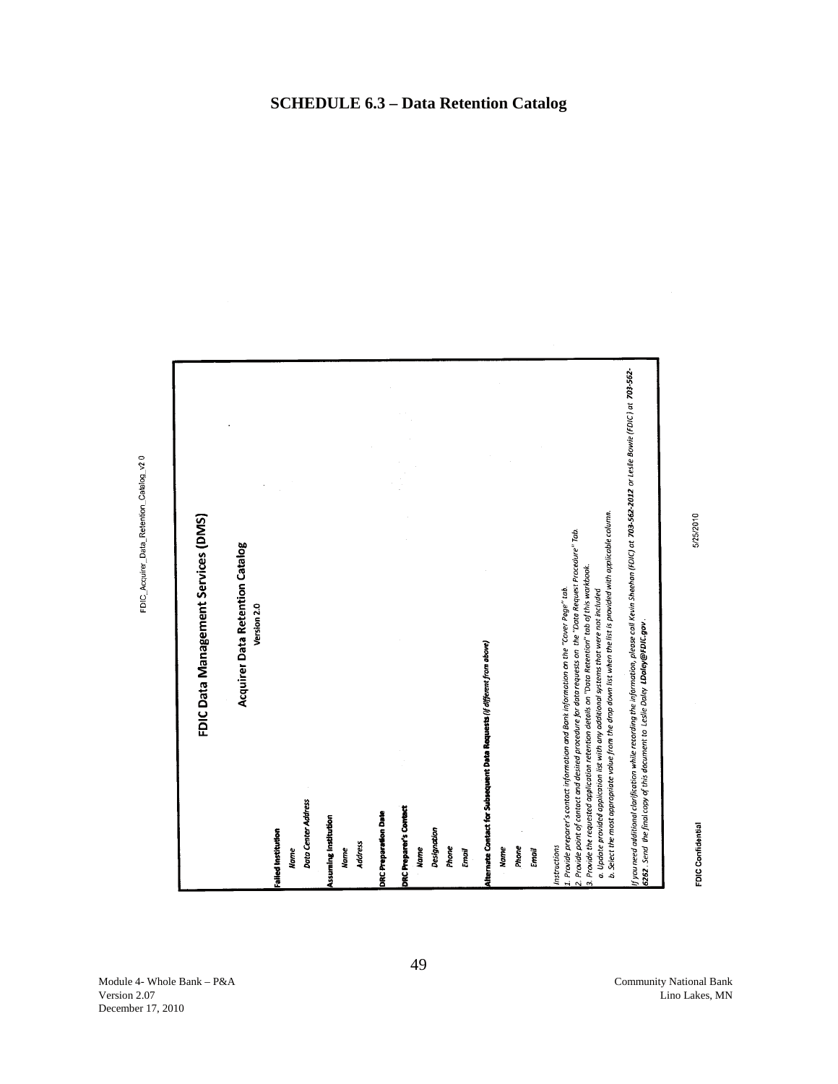<span id="page-52-0"></span>

FDIC\_Acquirer\_Data\_Retention\_Catalog\_v20

Module 4- Whole Bank – P&A Community National Bank Version 2.07 Lino Lakes, MN December 17, 2010

49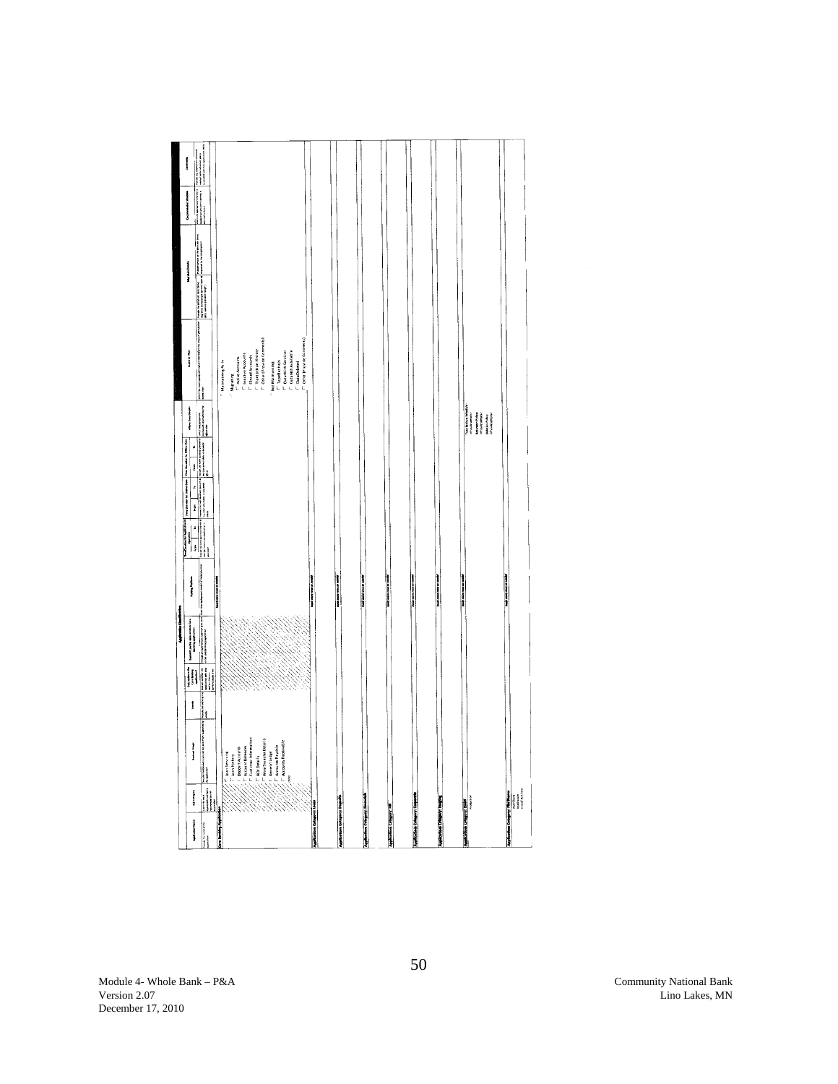

Module 4- Whole Bank – P&A Community National Bank December 17, 2010

Lino Lakes, MN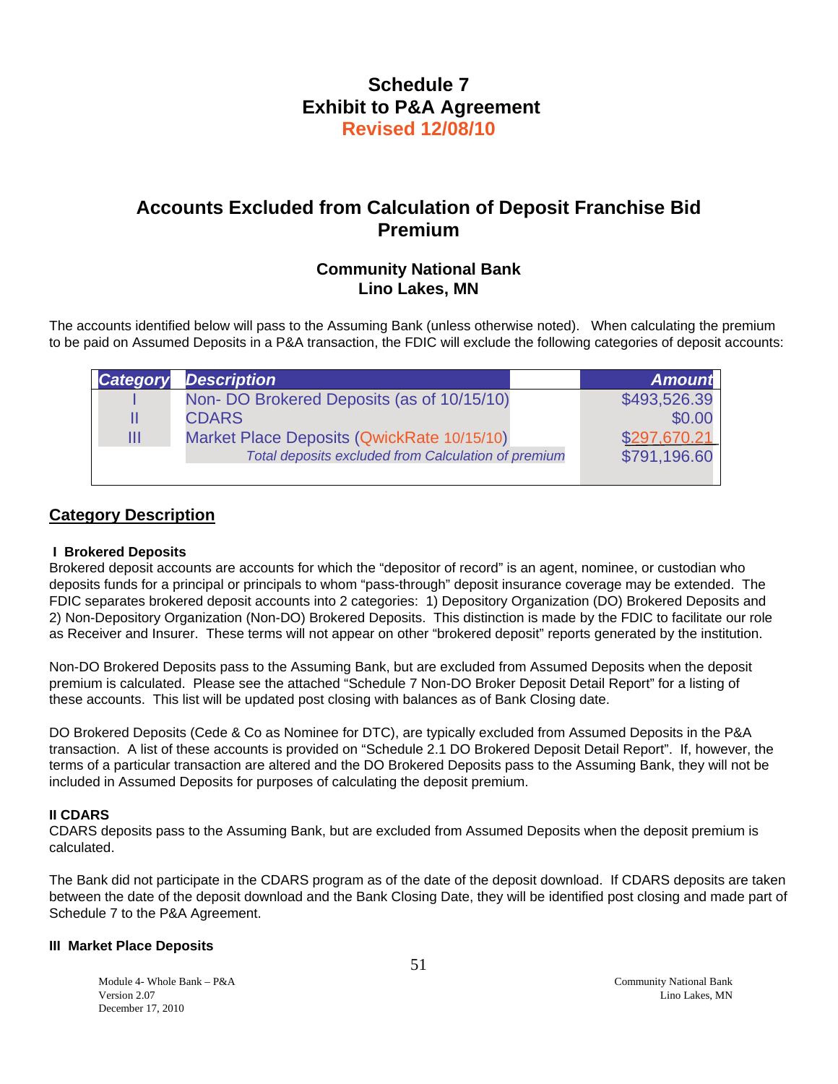# **Schedule 7 Exhibit to P&A Agreement Revised 12/08/10**

# **Accounts Excluded from Calculation of Deposit Franchise Bid Premium**

## **Community National Bank Lino Lakes, MN**

The accounts identified below will pass to the Assuming Bank (unless otherwise noted). When calculating the premium to be paid on Assumed Deposits in a P&A transaction, the FDIC will exclude the following categories of deposit accounts:

| <b>Category</b> | <b>Description</b>                                  | <b>Amount</b> |
|-----------------|-----------------------------------------------------|---------------|
|                 | Non- DO Brokered Deposits (as of 10/15/10)          | \$493,526.39  |
|                 | <b>CDARS</b>                                        | \$0.00        |
| Ш               | Market Place Deposits (QwickRate 10/15/10)          | \$297,670.21  |
|                 | Total deposits excluded from Calculation of premium | \$791,196.60  |
|                 |                                                     |               |

## **Category Description**

#### **I Brokered Deposits**

Brokered deposit accounts are accounts for which the "depositor of record" is an agent, nominee, or custodian who deposits funds for a principal or principals to whom "pass-through" deposit insurance coverage may be extended. The FDIC separates brokered deposit accounts into 2 categories: 1) Depository Organization (DO) Brokered Deposits and 2) Non-Depository Organization (Non-DO) Brokered Deposits. This distinction is made by the FDIC to facilitate our role as Receiver and Insurer. These terms will not appear on other "brokered deposit" reports generated by the institution.

Non-DO Brokered Deposits pass to the Assuming Bank, but are excluded from Assumed Deposits when the deposit premium is calculated. Please see the attached "Schedule 7 Non-DO Broker Deposit Detail Report" for a listing of these accounts. This list will be updated post closing with balances as of Bank Closing date.

DO Brokered Deposits (Cede & Co as Nominee for DTC), are typically excluded from Assumed Deposits in the P&A transaction. A list of these accounts is provided on "Schedule 2.1 DO Brokered Deposit Detail Report". If, however, the terms of a particular transaction are altered and the DO Brokered Deposits pass to the Assuming Bank, they will not be included in Assumed Deposits for purposes of calculating the deposit premium.

#### **II CDARS**

CDARS deposits pass to the Assuming Bank, but are excluded from Assumed Deposits when the deposit premium is calculated.

The Bank did not participate in the CDARS program as of the date of the deposit download. If CDARS deposits are taken between the date of the deposit download and the Bank Closing Date, they will be identified post closing and made part of Schedule 7 to the P&A Agreement.

#### **III Market Place Deposits**

Module 4- Whole Bank – P&A Version 2.07 December 17, 2010

Community National Bank Lino Lakes, MN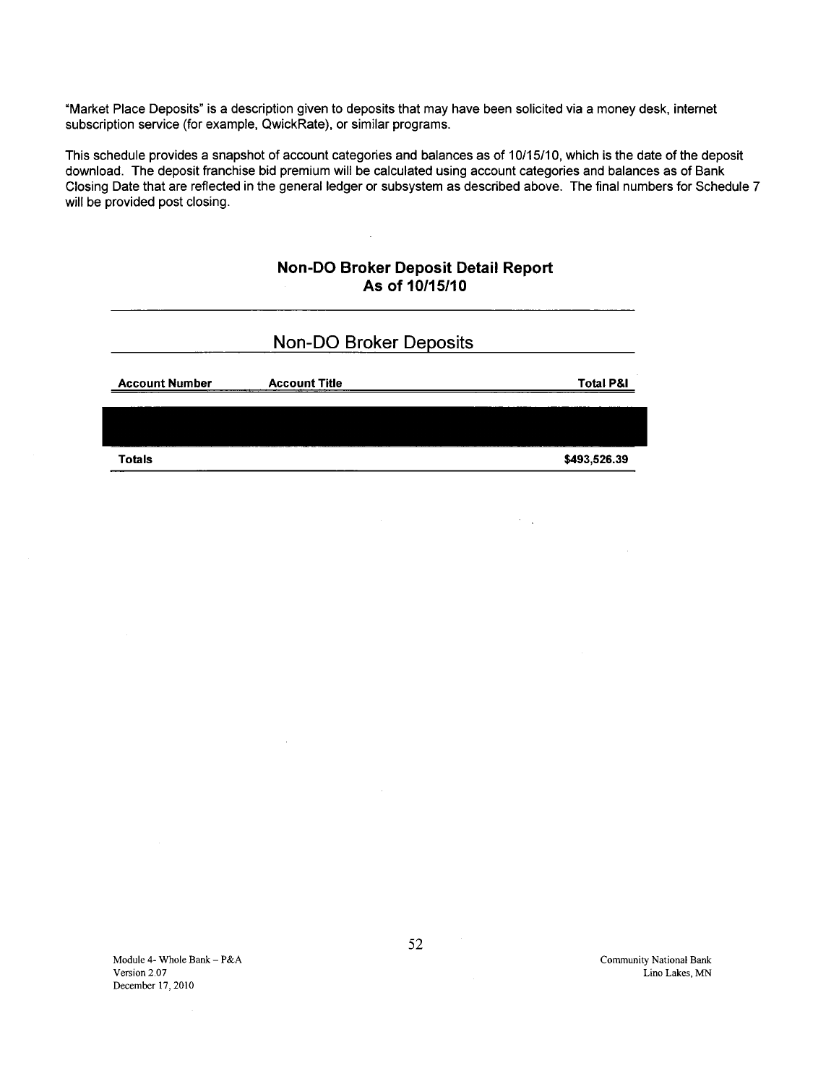"Market Place Deposits" is a description given to deposits that may have been solicited via a money desk, internet subscription service (for example, QwickRate), or similar programs.

This schedule provides a snapshot of account categories and balances as of 10/15/10, which is the date of the deposit download. The deposit franchise bid premium will be calculated using account categories and balances as of Bank Closing Date that are reflected in the general ledger or subsystem as described above. The final numbers for Schedule 7 will be provided post closing.

#### Non-DO Broker Deposit Detail Report As of 10/15/10

 $\mathcal{F}^{\mathcal{G}}(\mathcal{A})$ 

| <b>Non-DO Broker Deposits</b> |                      |                      |
|-------------------------------|----------------------|----------------------|
| <b>Account Number</b>         | <b>Account Title</b> | <b>Total P&amp;I</b> |
|                               |                      |                      |
|                               |                      |                      |
| <b>Totals</b>                 |                      | \$493,526.39         |

Module 4- Whole Bank - P&A Community National Bank<br>
Version 2.07 Line Lakes, MN Line Lakes, MN Line Lakes, MN Line Lakes, MN Line Lakes, MN Line Lakes, MN Line Lakes, MN Line Lakes, MN Line Lakes, MN Line Lakes, MN Line La December 17,2010

Lino Lakes, MN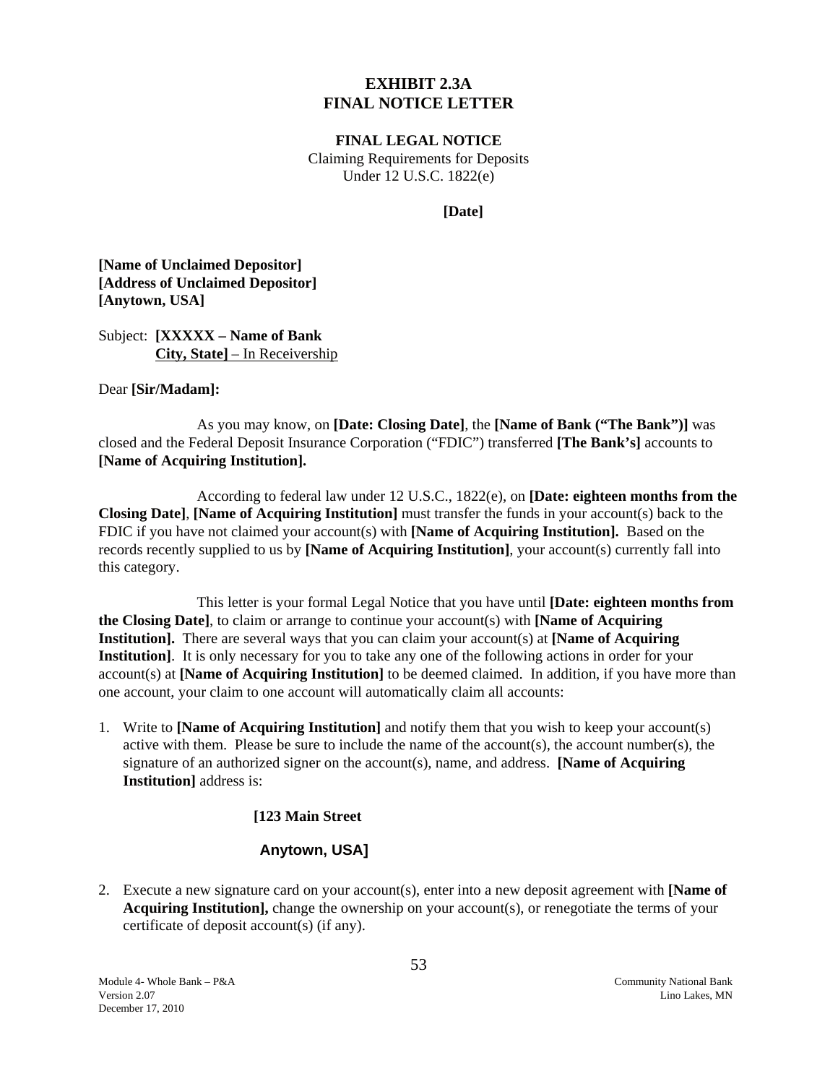## **EXHIBIT 2.3A FINAL NOTICE LETTER**

**FINAL LEGAL NOTICE** 

Claiming Requirements for Deposits Under 12 U.S.C. 1822(e)

**[Date]** 

<span id="page-56-0"></span>**[Name of Unclaimed Depositor] [Address of Unclaimed Depositor] [Anytown, USA]** 

Subject: **[XXXXX – Name of Bank City, State]** – In Receivership

Dear **[Sir/Madam]:** 

As you may know, on **[Date: Closing Date]**, the **[Name of Bank ("The Bank")]** was closed and the Federal Deposit Insurance Corporation ("FDIC") transferred **[The Bank's]** accounts to **[Name of Acquiring Institution].** 

According to federal law under 12 U.S.C., 1822(e), on **[Date: eighteen months from the Closing Date]**, **[Name of Acquiring Institution]** must transfer the funds in your account(s) back to the FDIC if you have not claimed your account(s) with **[Name of Acquiring Institution].** Based on the records recently supplied to us by **[Name of Acquiring Institution]**, your account(s) currently fall into this category.

This letter is your formal Legal Notice that you have until **[Date: eighteen months from the Closing Date]**, to claim or arrange to continue your account(s) with **[Name of Acquiring Institution].** There are several ways that you can claim your account(s) at **[Name of Acquiring Institution]**. It is only necessary for you to take any one of the following actions in order for your account(s) at **[Name of Acquiring Institution]** to be deemed claimed. In addition, if you have more than one account, your claim to one account will automatically claim all accounts:

1. Write to **[Name of Acquiring Institution**] and notify them that you wish to keep your account(s) active with them. Please be sure to include the name of the account(s), the account number(s), the signature of an authorized signer on the account(s), name, and address. **[Name of Acquiring Institution]** address is:

#### **[123 Main Street**

#### **Anytown, USA]**

2. Execute a new signature card on your account(s), enter into a new deposit agreement with **[Name of Acquiring Institution],** change the ownership on your account(s), or renegotiate the terms of your certificate of deposit account(s) (if any).

Module 4- Whole Bank – P&A Community National Bank Version 2.07 Lino Lakes, MN December 17, 2010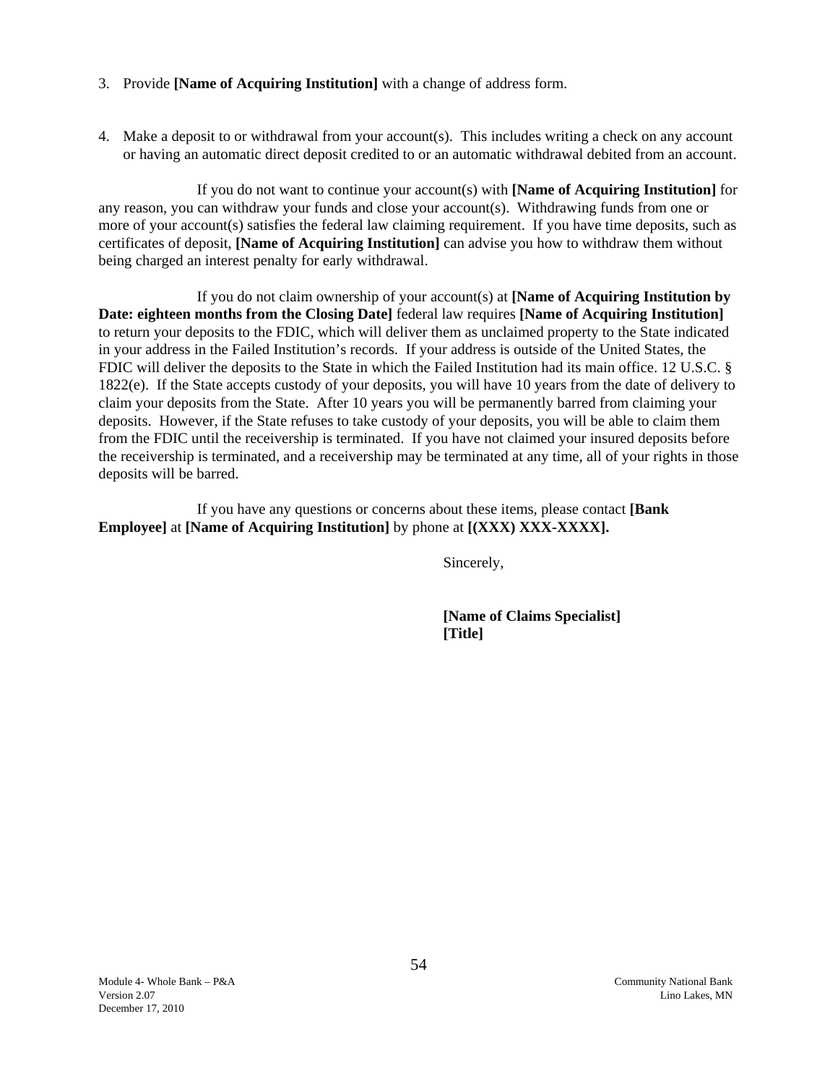- 3. Provide **[Name of Acquiring Institution]** with a change of address form.
- 4. Make a deposit to or withdrawal from your account(s). This includes writing a check on any account or having an automatic direct deposit credited to or an automatic withdrawal debited from an account.

If you do not want to continue your account(s) with **[Name of Acquiring Institution]** for any reason, you can withdraw your funds and close your account(s). Withdrawing funds from one or more of your account(s) satisfies the federal law claiming requirement. If you have time deposits, such as certificates of deposit, **[Name of Acquiring Institution]** can advise you how to withdraw them without being charged an interest penalty for early withdrawal.

If you do not claim ownership of your account(s) at **[Name of Acquiring Institution by Date: eighteen months from the Closing Date]** federal law requires **[Name of Acquiring Institution]**  to return your deposits to the FDIC, which will deliver them as unclaimed property to the State indicated in your address in the Failed Institution's records. If your address is outside of the United States, the FDIC will deliver the deposits to the State in which the Failed Institution had its main office. 12 U.S.C. § 1822(e). If the State accepts custody of your deposits, you will have 10 years from the date of delivery to claim your deposits from the State. After 10 years you will be permanently barred from claiming your deposits. However, if the State refuses to take custody of your deposits, you will be able to claim them from the FDIC until the receivership is terminated. If you have not claimed your insured deposits before the receivership is terminated, and a receivership may be terminated at any time, all of your rights in those deposits will be barred.

If you have any questions or concerns about these items, please contact **[Bank Employee]** at **[Name of Acquiring Institution]** by phone at **[(XXX) XXX-XXXX].** 

Sincerely,

**[Name of Claims Specialist] [Title]**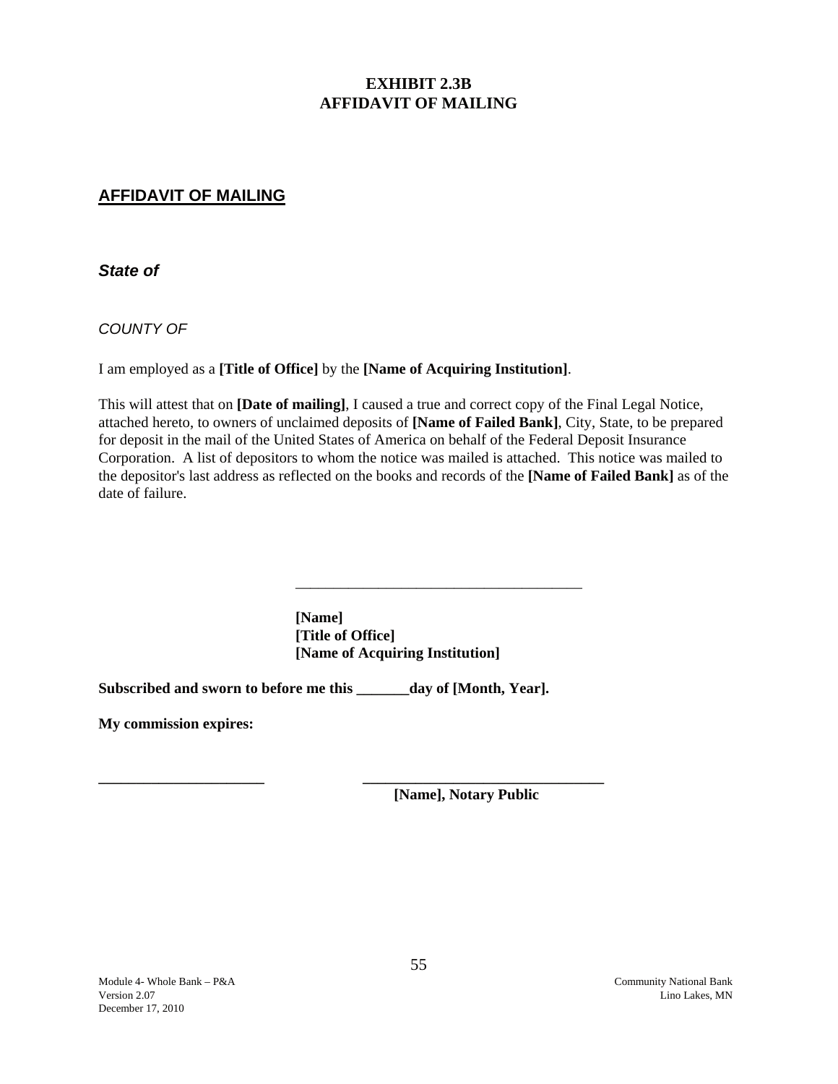## **EXHIBIT 2.3B AFFIDAVIT OF MAILING**

## <span id="page-58-0"></span>**AFFIDAVIT OF MAILING**

*State of* 

*COUNTY OF* 

I am employed as a **[Title of Office]** by the **[Name of Acquiring Institution]**.

This will attest that on **[Date of mailing]**, I caused a true and correct copy of the Final Legal Notice, attached hereto, to owners of unclaimed deposits of **[Name of Failed Bank]**, City, State, to be prepared for deposit in the mail of the United States of America on behalf of the Federal Deposit Insurance Corporation. A list of depositors to whom the notice was mailed is attached. This notice was mailed to the depositor's last address as reflected on the books and records of the **[Name of Failed Bank]** as of the date of failure.

> **[Name] [Title of Office] [Name of Acquiring Institution]**

**Subscribed and sworn to before me this \_\_\_\_\_\_\_day of [Month, Year].** 

 $\overline{\phantom{a}}$  ,  $\overline{\phantom{a}}$  ,  $\overline{\phantom{a}}$  ,  $\overline{\phantom{a}}$  ,  $\overline{\phantom{a}}$  ,  $\overline{\phantom{a}}$  ,  $\overline{\phantom{a}}$  ,  $\overline{\phantom{a}}$  ,  $\overline{\phantom{a}}$  ,  $\overline{\phantom{a}}$  ,  $\overline{\phantom{a}}$  ,  $\overline{\phantom{a}}$  ,  $\overline{\phantom{a}}$  ,  $\overline{\phantom{a}}$  ,  $\overline{\phantom{a}}$  ,  $\overline{\phantom{a}}$ 

**My commission expires:** 

**\_\_\_\_\_\_\_\_\_\_\_\_\_\_\_\_\_\_\_\_\_\_ \_\_\_\_\_\_\_\_\_\_\_\_\_\_\_\_\_\_\_\_\_\_\_\_\_\_\_\_\_\_\_\_ [Name], Notary Public**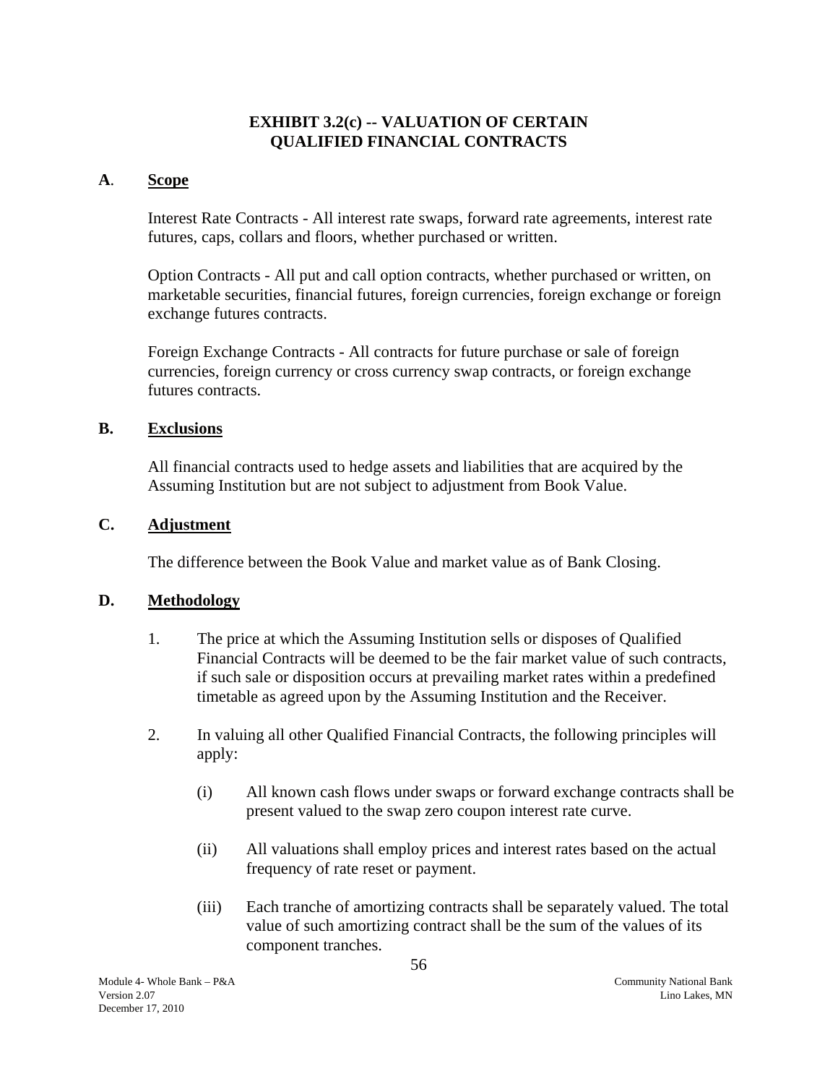## **EXHIBIT 3.2(c) -- VALUATION OF CERTAIN QUALIFIED FINANCIAL CONTRACTS**

#### <span id="page-59-0"></span>**A**. **Scope**

Interest Rate Contracts - All interest rate swaps, forward rate agreements, interest rate futures, caps, collars and floors, whether purchased or written.

Option Contracts - All put and call option contracts, whether purchased or written, on marketable securities, financial futures, foreign currencies, foreign exchange or foreign exchange futures contracts.

Foreign Exchange Contracts - All contracts for future purchase or sale of foreign currencies, foreign currency or cross currency swap contracts, or foreign exchange futures contracts.

#### **B. Exclusions**

All financial contracts used to hedge assets and liabilities that are acquired by the Assuming Institution but are not subject to adjustment from Book Value.

#### C. Adjustment

The difference between the Book Value and market value as of Bank Closing.

## **D. Methodology**

- 1. The price at which the Assuming Institution sells or disposes of Qualified Financial Contracts will be deemed to be the fair market value of such contracts, if such sale or disposition occurs at prevailing market rates within a predefined timetable as agreed upon by the Assuming Institution and the Receiver.
- 2. In valuing all other Qualified Financial Contracts, the following principles will apply:
	- (i) All known cash flows under swaps or forward exchange contracts shall be present valued to the swap zero coupon interest rate curve.
	- (ii) All valuations shall employ prices and interest rates based on the actual frequency of rate reset or payment.
	- (iii) Each tranche of amortizing contracts shall be separately valued. The total value of such amortizing contract shall be the sum of the values of its component tranches.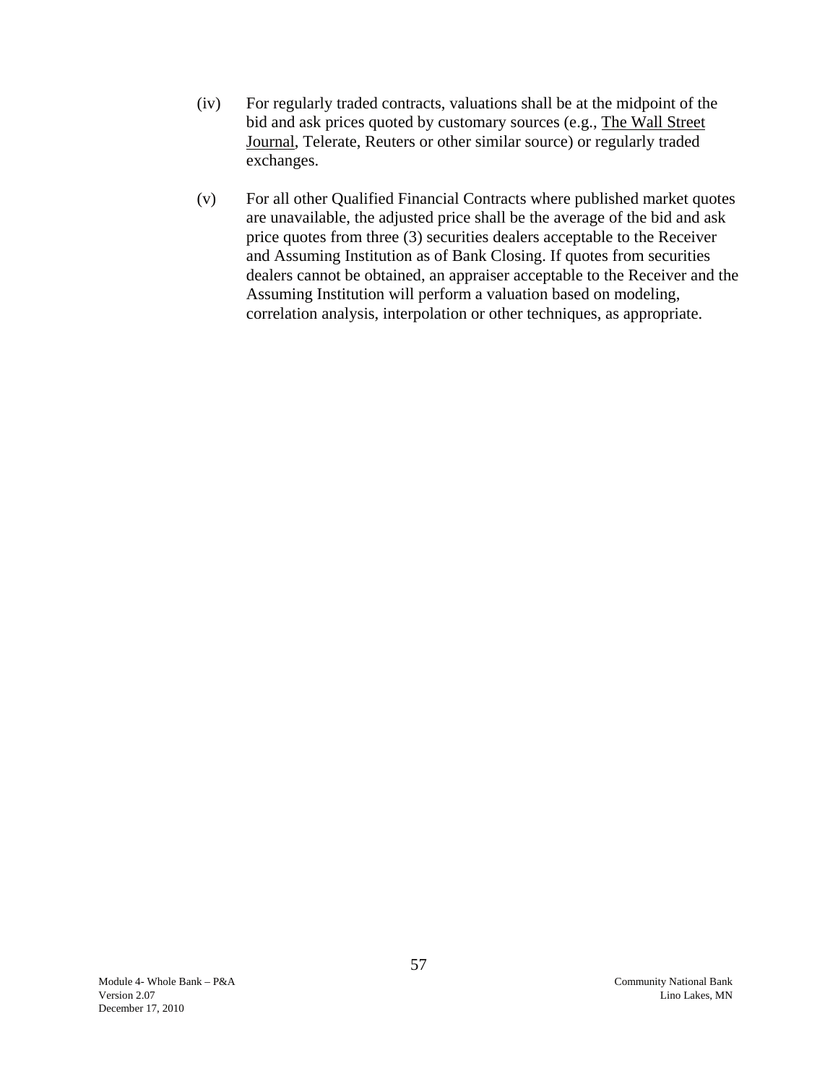- (iv) For regularly traded contracts, valuations shall be at the midpoint of the bid and ask prices quoted by customary sources (e.g., The Wall Street Journal, Telerate, Reuters or other similar source) or regularly traded exchanges.
- (v) For all other Qualified Financial Contracts where published market quotes are unavailable, the adjusted price shall be the average of the bid and ask price quotes from three (3) securities dealers acceptable to the Receiver and Assuming Institution as of Bank Closing. If quotes from securities dealers cannot be obtained, an appraiser acceptable to the Receiver and the Assuming Institution will perform a valuation based on modeling, correlation analysis, interpolation or other techniques, as appropriate.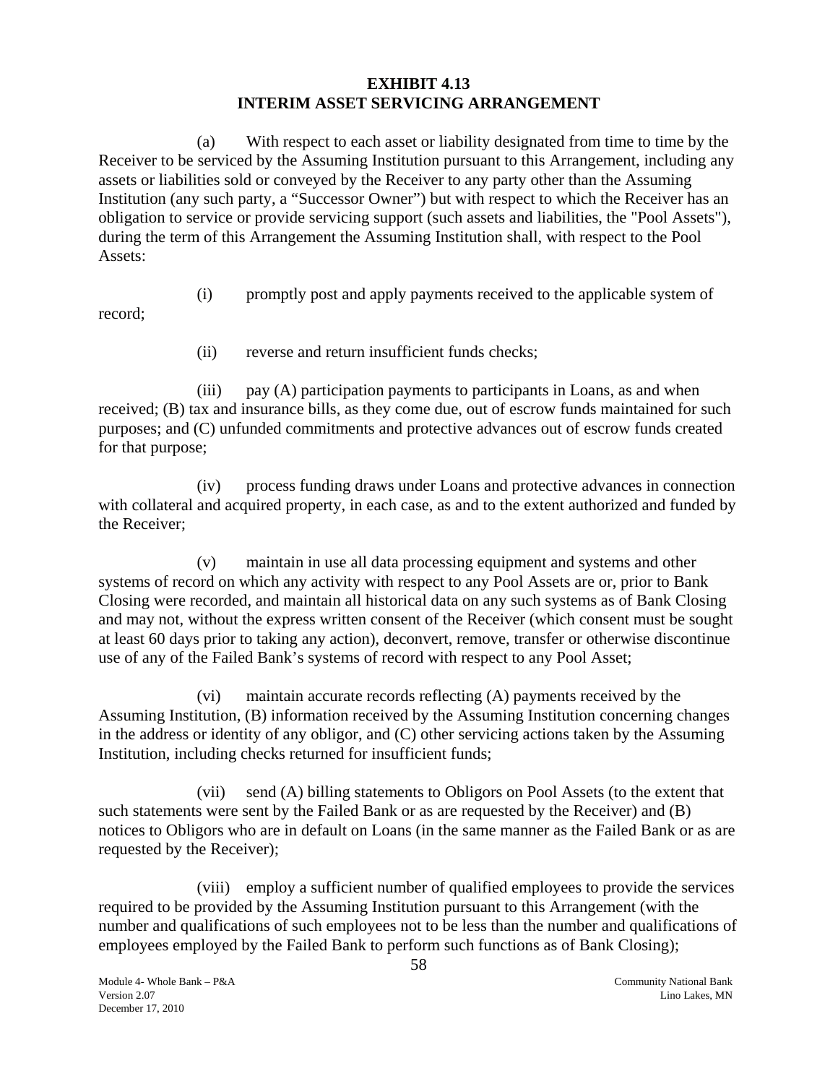## **EXHIBIT 4.13 INTERIM ASSET SERVICING ARRANGEMENT**

(a) With respect to each asset or liability designated from time to time by the Receiver to be serviced by the Assuming Institution pursuant to this Arrangement, including any assets or liabilities sold or conveyed by the Receiver to any party other than the Assuming Institution (any such party, a "Successor Owner") but with respect to which the Receiver has an obligation to service or provide servicing support (such assets and liabilities, the "Pool Assets"), during the term of this Arrangement the Assuming Institution shall, with respect to the Pool Assets:

(i) promptly post and apply payments received to the applicable system of

record;

(ii) reverse and return insufficient funds checks;

(iii) pay (A) participation payments to participants in Loans, as and when received; (B) tax and insurance bills, as they come due, out of escrow funds maintained for such purposes; and (C) unfunded commitments and protective advances out of escrow funds created for that purpose;

(iv) process funding draws under Loans and protective advances in connection with collateral and acquired property, in each case, as and to the extent authorized and funded by the Receiver;

(v) maintain in use all data processing equipment and systems and other systems of record on which any activity with respect to any Pool Assets are or, prior to Bank Closing were recorded, and maintain all historical data on any such systems as of Bank Closing and may not, without the express written consent of the Receiver (which consent must be sought at least 60 days prior to taking any action), deconvert, remove, transfer or otherwise discontinue use of any of the Failed Bank's systems of record with respect to any Pool Asset;

(vi) maintain accurate records reflecting (A) payments received by the Assuming Institution, (B) information received by the Assuming Institution concerning changes in the address or identity of any obligor, and (C) other servicing actions taken by the Assuming Institution, including checks returned for insufficient funds;

(vii) send (A) billing statements to Obligors on Pool Assets (to the extent that such statements were sent by the Failed Bank or as are requested by the Receiver) and (B) notices to Obligors who are in default on Loans (in the same manner as the Failed Bank or as are requested by the Receiver);

(viii) employ a sufficient number of qualified employees to provide the services required to be provided by the Assuming Institution pursuant to this Arrangement (with the number and qualifications of such employees not to be less than the number and qualifications of employees employed by the Failed Bank to perform such functions as of Bank Closing);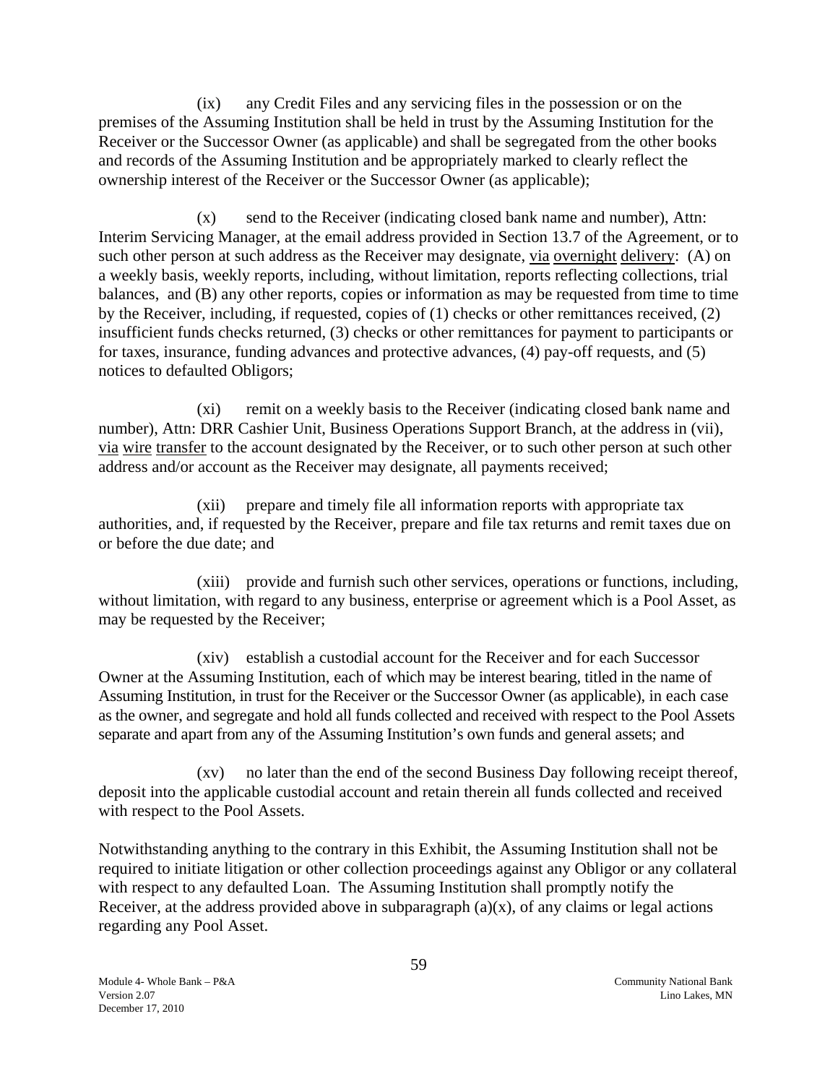(ix) any Credit Files and any servicing files in the possession or on the premises of the Assuming Institution shall be held in trust by the Assuming Institution for the Receiver or the Successor Owner (as applicable) and shall be segregated from the other books and records of the Assuming Institution and be appropriately marked to clearly reflect the ownership interest of the Receiver or the Successor Owner (as applicable);

(x) send to the Receiver (indicating closed bank name and number), Attn: Interim Servicing Manager, at the email address provided in Section 13.7 of the Agreement, or to such other person at such address as the Receiver may designate, via overnight delivery: (A) on a weekly basis, weekly reports, including, without limitation, reports reflecting collections, trial balances, and (B) any other reports, copies or information as may be requested from time to time by the Receiver, including, if requested, copies of (1) checks or other remittances received, (2) insufficient funds checks returned, (3) checks or other remittances for payment to participants or for taxes, insurance, funding advances and protective advances, (4) pay-off requests, and (5) notices to defaulted Obligors;

(xi) remit on a weekly basis to the Receiver (indicating closed bank name and number), Attn: DRR Cashier Unit, Business Operations Support Branch, at the address in (vii), via wire transfer to the account designated by the Receiver, or to such other person at such other address and/or account as the Receiver may designate, all payments received;

(xii) prepare and timely file all information reports with appropriate tax authorities, and, if requested by the Receiver, prepare and file tax returns and remit taxes due on or before the due date; and

(xiii) provide and furnish such other services, operations or functions, including, without limitation, with regard to any business, enterprise or agreement which is a Pool Asset, as may be requested by the Receiver;

 Owner at the Assuming Institution, each of which may be interest bearing, titled in the name of Assuming Institution, in trust for the Receiver or the Successor Owner (as applicable), in each case separate and apart from any of the Assuming Institution's own funds and general assets; and (xiv) establish a custodial account for the Receiver and for each Successor as the owner, and segregate and hold all funds collected and received with respect to the Pool Assets

(xv) no later than the end of the second Business Day following receipt thereof, deposit into the applicable custodial account and retain therein all funds collected and received with respect to the Pool Assets.

Notwithstanding anything to the contrary in this Exhibit, the Assuming Institution shall not be required to initiate litigation or other collection proceedings against any Obligor or any collateral with respect to any defaulted Loan. The Assuming Institution shall promptly notify the Receiver, at the address provided above in subparagraph  $(a)(x)$ , of any claims or legal actions regarding any Pool Asset.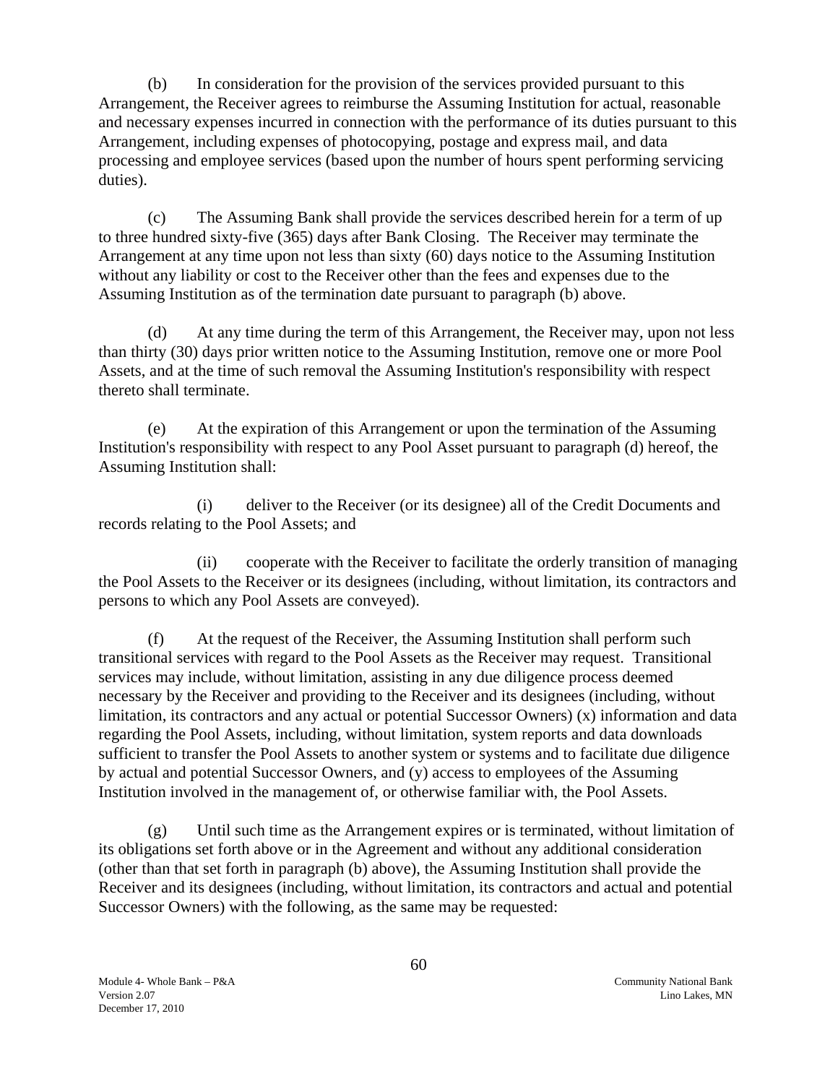(b) In consideration for the provision of the services provided pursuant to this Arrangement, the Receiver agrees to reimburse the Assuming Institution for actual, reasonable and necessary expenses incurred in connection with the performance of its duties pursuant to this Arrangement, including expenses of photocopying, postage and express mail, and data processing and employee services (based upon the number of hours spent performing servicing duties).

(c) The Assuming Bank shall provide the services described herein for a term of up to three hundred sixty-five (365) days after Bank Closing. The Receiver may terminate the Arrangement at any time upon not less than sixty (60) days notice to the Assuming Institution without any liability or cost to the Receiver other than the fees and expenses due to the Assuming Institution as of the termination date pursuant to paragraph (b) above.

(d) At any time during the term of this Arrangement, the Receiver may, upon not less than thirty (30) days prior written notice to the Assuming Institution, remove one or more Pool Assets, and at the time of such removal the Assuming Institution's responsibility with respect thereto shall terminate.

(e) At the expiration of this Arrangement or upon the termination of the Assuming Institution's responsibility with respect to any Pool Asset pursuant to paragraph (d) hereof, the Assuming Institution shall:

(i) deliver to the Receiver (or its designee) all of the Credit Documents and records relating to the Pool Assets; and

(ii) cooperate with the Receiver to facilitate the orderly transition of managing the Pool Assets to the Receiver or its designees (including, without limitation, its contractors and persons to which any Pool Assets are conveyed).

(f) At the request of the Receiver, the Assuming Institution shall perform such transitional services with regard to the Pool Assets as the Receiver may request. Transitional services may include, without limitation, assisting in any due diligence process deemed necessary by the Receiver and providing to the Receiver and its designees (including, without limitation, its contractors and any actual or potential Successor Owners) (x) information and data regarding the Pool Assets, including, without limitation, system reports and data downloads sufficient to transfer the Pool Assets to another system or systems and to facilitate due diligence by actual and potential Successor Owners, and (y) access to employees of the Assuming Institution involved in the management of, or otherwise familiar with, the Pool Assets.

(g) Until such time as the Arrangement expires or is terminated, without limitation of its obligations set forth above or in the Agreement and without any additional consideration (other than that set forth in paragraph (b) above), the Assuming Institution shall provide the Receiver and its designees (including, without limitation, its contractors and actual and potential Successor Owners) with the following, as the same may be requested: